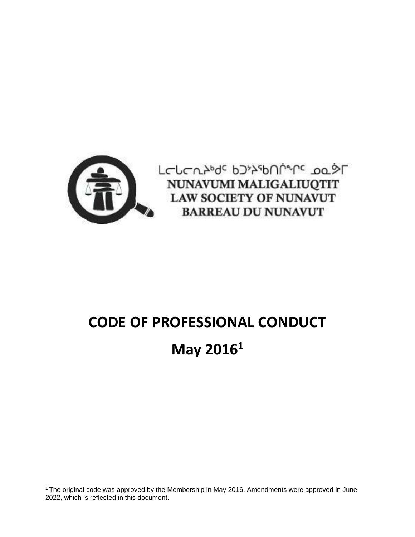

LCLCNAPGE bJYASbNMALE DQSL NUNAVUMI MALIGALIUQTIT<br>LAW SOCIETY OF NUNAVUT **BARREAU DU NUNAVUT** 

# **CODE OF PROFESSIONAL CONDUCT May 2016<sup>1</sup>**

<sup>&</sup>lt;sup>1</sup> The original code was approved by the Membership in May 2016. Amendments were approved in June 2022, which is reflected in this document.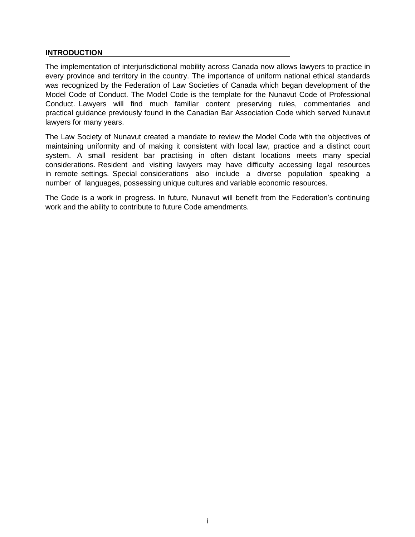#### **INTRODUCTION**

The implementation of interjurisdictional mobility across Canada now allows lawyers to practice in every province and territory in the country. The importance of uniform national ethical standards was recognized by the Federation of Law Societies of Canada which began development of the Model Code of Conduct. The Model Code is the template for the Nunavut Code of Professional Conduct. Lawyers will find much familiar content preserving rules, commentaries and practical guidance previously found in the Canadian Bar Association Code which served Nunavut lawyers for many years.

The Law Society of Nunavut created a mandate to review the Model Code with the objectives of maintaining uniformity and of making it consistent with local law, practice and a distinct court system. A small resident bar practising in often distant locations meets many special considerations. Resident and visiting lawyers may have difficulty accessing legal resources in remote settings. Special considerations also include a diverse population speaking a number of languages, possessing unique cultures and variable economic resources.

The Code is a work in progress. In future, Nunavut will benefit from the Federation's continuing work and the ability to contribute to future Code amendments.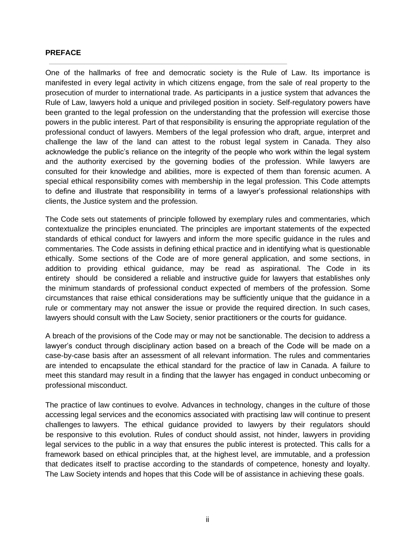#### **PREFACE**

One of the hallmarks of free and democratic society is the Rule of Law. Its importance is manifested in every legal activity in which citizens engage, from the sale of real property to the prosecution of murder to international trade. As participants in a justice system that advances the Rule of Law, lawyers hold a unique and privileged position in society. Self-regulatory powers have been granted to the legal profession on the understanding that the profession will exercise those powers in the public interest. Part of that responsibility is ensuring the appropriate regulation of the professional conduct of lawyers. Members of the legal profession who draft, argue, interpret and challenge the law of the land can attest to the robust legal system in Canada. They also acknowledge the public's reliance on the integrity of the people who work within the legal system and the authority exercised by the governing bodies of the profession. While lawyers are consulted for their knowledge and abilities, more is expected of them than forensic acumen. A special ethical responsibility comes with membership in the legal profession. This Code attempts to define and illustrate that responsibility in terms of a lawyer's professional relationships with clients, the Justice system and the profession.

The Code sets out statements of principle followed by exemplary rules and commentaries, which contextualize the principles enunciated. The principles are important statements of the expected standards of ethical conduct for lawyers and inform the more specific guidance in the rules and commentaries. The Code assists in defining ethical practice and in identifying what is questionable ethically. Some sections of the Code are of more general application, and some sections, in addition to providing ethical guidance, may be read as aspirational. The Code in its entirety should be considered a reliable and instructive guide for lawyers that establishes only the minimum standards of professional conduct expected of members of the profession. Some circumstances that raise ethical considerations may be sufficiently unique that the guidance in a rule or commentary may not answer the issue or provide the required direction. In such cases, lawyers should consult with the Law Society, senior practitioners or the courts for guidance.

A breach of the provisions of the Code may or may not be sanctionable. The decision to address a lawyer's conduct through disciplinary action based on a breach of the Code will be made on a case-by-case basis after an assessment of all relevant information. The rules and commentaries are intended to encapsulate the ethical standard for the practice of law in Canada. A failure to meet this standard may result in a finding that the lawyer has engaged in conduct unbecoming or professional misconduct.

The practice of law continues to evolve. Advances in technology, changes in the culture of those accessing legal services and the economics associated with practising law will continue to present challenges to lawyers. The ethical guidance provided to lawyers by their regulators should be responsive to this evolution. Rules of conduct should assist, not hinder, lawyers in providing legal services to the public in a way that ensures the public interest is protected. This calls for a framework based on ethical principles that, at the highest level, are immutable, and a profession that dedicates itself to practise according to the standards of competence, honesty and loyalty. The Law Society intends and hopes that this Code will be of assistance in achieving these goals.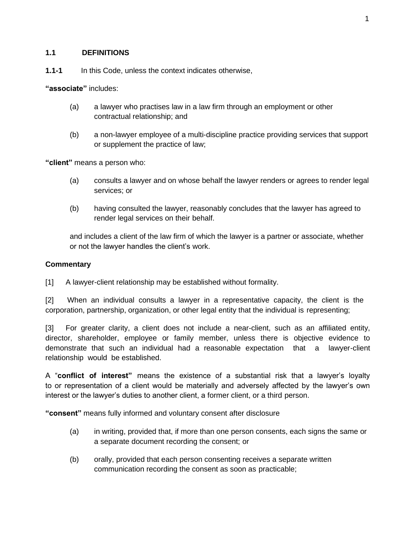#### **1.1 DEFINITIONS**

**1.1-1** In this Code, unless the context indicates otherwise,

**"associate"** includes:

- (a) a lawyer who practises law in a law firm through an employment or other contractual relationship; and
- (b) a non-lawyer employee of a multi-discipline practice providing services that support or supplement the practice of law;

**"client"** means a person who:

- (a) consults a lawyer and on whose behalf the lawyer renders or agrees to render legal services; or
- (b) having consulted the lawyer, reasonably concludes that the lawyer has agreed to render legal services on their behalf.

and includes a client of the law firm of which the lawyer is a partner or associate, whether or not the lawyer handles the client's work.

#### **Commentary**

[1] A lawyer-client relationship may be established without formality.

[2] When an individual consults a lawyer in a representative capacity, the client is the corporation, partnership, organization, or other legal entity that the individual is representing;

[3] For greater clarity, a client does not include a near-client, such as an affiliated entity, director, shareholder, employee or family member, unless there is objective evidence to demonstrate that such an individual had a reasonable expectation that a lawyer-client relationship would be established.

A "**conflict of interest"** means the existence of a substantial risk that a lawyer's loyalty to or representation of a client would be materially and adversely affected by the lawyer's own interest or the lawyer's duties to another client, a former client, or a third person.

**"consent"** means fully informed and voluntary consent after disclosure

- (a) in writing, provided that, if more than one person consents, each signs the same or a separate document recording the consent; or
- (b) orally, provided that each person consenting receives a separate written communication recording the consent as soon as practicable;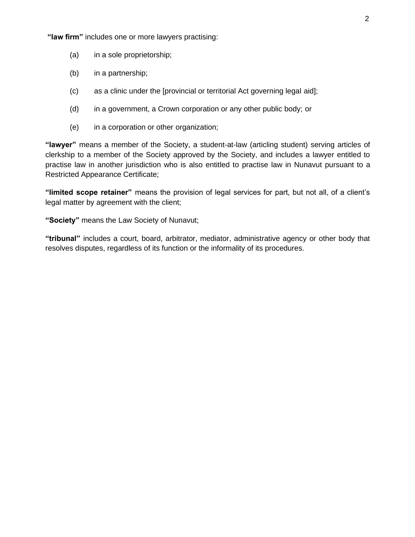**"law firm"** includes one or more lawyers practising:

- (a) in a sole proprietorship;
- (b) in a partnership;
- (c) as a clinic under the [provincial or territorial Act governing legal aid];
- (d) in a government, a Crown corporation or any other public body; or
- (e) in a corporation or other organization;

**"lawyer"** means a member of the Society, a student-at-law (articling student) serving articles of clerkship to a member of the Society approved by the Society, and includes a lawyer entitled to practise law in another jurisdiction who is also entitled to practise law in Nunavut pursuant to a Restricted Appearance Certificate;

**"limited scope retainer"** means the provision of legal services for part, but not all, of a client's legal matter by agreement with the client;

**"Society"** means the Law Society of Nunavut;

**"tribunal"** includes a court, board, arbitrator, mediator, administrative agency or other body that resolves disputes, regardless of its function or the informality of its procedures.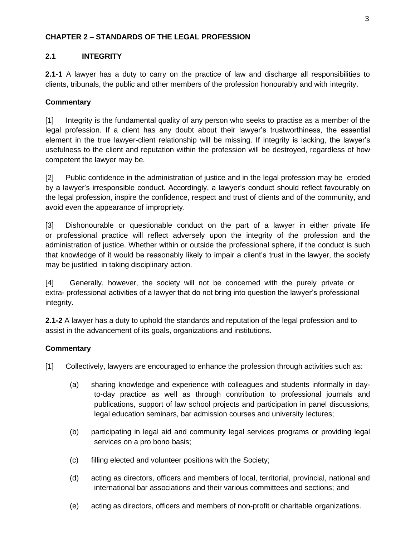## **CHAPTER 2 – STANDARDS OF THE LEGAL PROFESSION**

## **2.1 INTEGRITY**

**2.1-1** A lawyer has a duty to carry on the practice of law and discharge all responsibilities to clients, tribunals, the public and other members of the profession honourably and with integrity.

#### **Commentary**

[1] Integrity is the fundamental quality of any person who seeks to practise as a member of the legal profession. If a client has any doubt about their lawyer's trustworthiness, the essential element in the true lawyer-client relationship will be missing. If integrity is lacking, the lawyer's usefulness to the client and reputation within the profession will be destroyed, regardless of how competent the lawyer may be.

[2] Public confidence in the administration of justice and in the legal profession may be eroded by a lawyer's irresponsible conduct. Accordingly, a lawyer's conduct should reflect favourably on the legal profession, inspire the confidence, respect and trust of clients and of the community, and avoid even the appearance of impropriety.

[3] Dishonourable or questionable conduct on the part of a lawyer in either private life or professional practice will reflect adversely upon the integrity of the profession and the administration of justice. Whether within or outside the professional sphere, if the conduct is such that knowledge of it would be reasonably likely to impair a client's trust in the lawyer, the society may be justified in taking disciplinary action.

[4] Generally, however, the society will not be concerned with the purely private or extra- professional activities of a lawyer that do not bring into question the lawyer's professional integrity.

**2.1-2** A lawyer has a duty to uphold the standards and reputation of the legal profession and to assist in the advancement of its goals, organizations and institutions.

## **Commentary**

- [1] Collectively, lawyers are encouraged to enhance the profession through activities such as:
	- (a) sharing knowledge and experience with colleagues and students informally in dayto-day practice as well as through contribution to professional journals and publications, support of law school projects and participation in panel discussions, legal education seminars, bar admission courses and university lectures;
	- (b) participating in legal aid and community legal services programs or providing legal services on a pro bono basis;
	- (c) filling elected and volunteer positions with the Society;
	- (d) acting as directors, officers and members of local, territorial, provincial, national and international bar associations and their various committees and sections; and
	- (e) acting as directors, officers and members of non-profit or charitable organizations.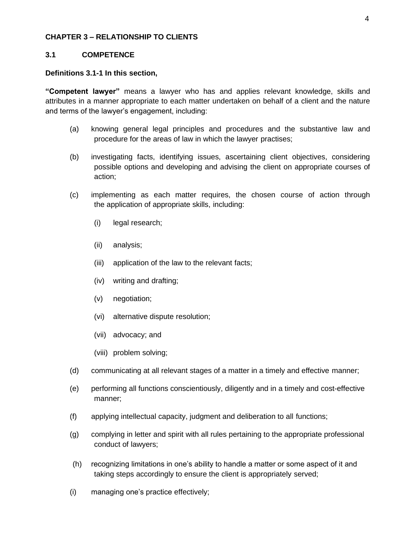#### **CHAPTER 3 – RELATIONSHIP TO CLIENTS**

#### **3.1 COMPETENCE**

#### **Definitions 3.1-1 In this section,**

**"Competent lawyer"** means a lawyer who has and applies relevant knowledge, skills and attributes in a manner appropriate to each matter undertaken on behalf of a client and the nature and terms of the lawyer's engagement, including:

- (a) knowing general legal principles and procedures and the substantive law and procedure for the areas of law in which the lawyer practises;
- (b) investigating facts, identifying issues, ascertaining client objectives, considering possible options and developing and advising the client on appropriate courses of action;
- (c) implementing as each matter requires, the chosen course of action through the application of appropriate skills, including:
	- (i) legal research;
	- (ii) analysis;
	- (iii) application of the law to the relevant facts;
	- (iv) writing and drafting;
	- (v) negotiation;
	- (vi) alternative dispute resolution;
	- (vii) advocacy; and
	- (viii) problem solving;
- (d) communicating at all relevant stages of a matter in a timely and effective manner;
- (e) performing all functions conscientiously, diligently and in a timely and cost-effective manner;
- (f) applying intellectual capacity, judgment and deliberation to all functions;
- (g) complying in letter and spirit with all rules pertaining to the appropriate professional conduct of lawyers;
- (h) recognizing limitations in one's ability to handle a matter or some aspect of it and taking steps accordingly to ensure the client is appropriately served;
- (i) managing one's practice effectively;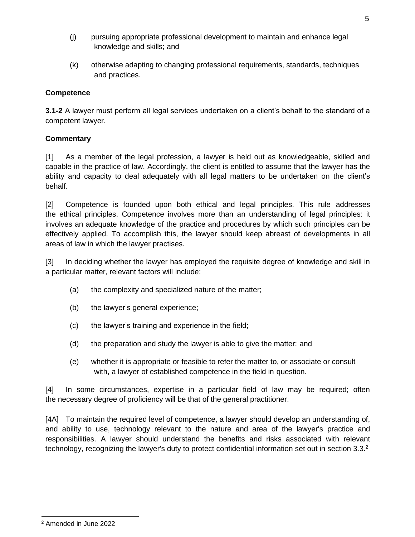- (j) pursuing appropriate professional development to maintain and enhance legal knowledge and skills; and
- (k) otherwise adapting to changing professional requirements, standards, techniques and practices.

## **Competence**

**3.1-2** A lawyer must perform all legal services undertaken on a client's behalf to the standard of a competent lawyer.

## **Commentary**

[1] As a member of the legal profession, a lawyer is held out as knowledgeable, skilled and capable in the practice of law. Accordingly, the client is entitled to assume that the lawyer has the ability and capacity to deal adequately with all legal matters to be undertaken on the client's behalf.

[2] Competence is founded upon both ethical and legal principles. This rule addresses the ethical principles. Competence involves more than an understanding of legal principles: it involves an adequate knowledge of the practice and procedures by which such principles can be effectively applied. To accomplish this, the lawyer should keep abreast of developments in all areas of law in which the lawyer practises.

[3] In deciding whether the lawyer has employed the requisite degree of knowledge and skill in a particular matter, relevant factors will include:

- (a) the complexity and specialized nature of the matter;
- (b) the lawyer's general experience;
- (c) the lawyer's training and experience in the field;
- (d) the preparation and study the lawyer is able to give the matter; and
- (e) whether it is appropriate or feasible to refer the matter to, or associate or consult with, a lawyer of established competence in the field in question.

[4] In some circumstances, expertise in a particular field of law may be required; often the necessary degree of proficiency will be that of the general practitioner.

[4A] To maintain the required level of competence, a lawyer should develop an understanding of, and ability to use, technology relevant to the nature and area of the lawyer's practice and responsibilities. A lawyer should understand the benefits and risks associated with relevant technology, recognizing the lawyer's duty to protect confidential information set out in section  $3.3$ .

<sup>2</sup> Amended in June 2022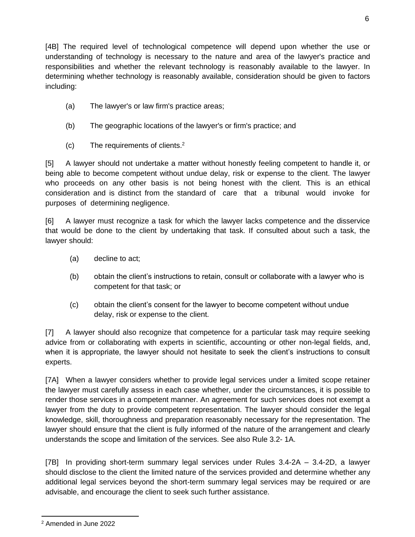[4B] The required level of technological competence will depend upon whether the use or understanding of technology is necessary to the nature and area of the lawyer's practice and responsibilities and whether the relevant technology is reasonably available to the lawyer. In determining whether technology is reasonably available, consideration should be given to factors including:

- (a) The lawyer's or law firm's practice areas;
- (b) The geographic locations of the lawyer's or firm's practice; and
- (c) The requirements of clients.<sup>2</sup>

[5] A lawyer should not undertake a matter without honestly feeling competent to handle it, or being able to become competent without undue delay, risk or expense to the client. The lawyer who proceeds on any other basis is not being honest with the client. This is an ethical consideration and is distinct from the standard of care that a tribunal would invoke for purposes of determining negligence.

[6] A lawyer must recognize a task for which the lawyer lacks competence and the disservice that would be done to the client by undertaking that task. If consulted about such a task, the lawyer should:

- (a) decline to act;
- (b) obtain the client's instructions to retain, consult or collaborate with a lawyer who is competent for that task; or
- (c) obtain the client's consent for the lawyer to become competent without undue delay, risk or expense to the client.

[7] A lawyer should also recognize that competence for a particular task may require seeking advice from or collaborating with experts in scientific, accounting or other non-legal fields, and, when it is appropriate, the lawyer should not hesitate to seek the client's instructions to consult experts.

[7A] When a lawyer considers whether to provide legal services under a limited scope retainer the lawyer must carefully assess in each case whether, under the circumstances, it is possible to render those services in a competent manner. An agreement for such services does not exempt a lawyer from the duty to provide competent representation. The lawyer should consider the legal knowledge, skill, thoroughness and preparation reasonably necessary for the representation. The lawyer should ensure that the client is fully informed of the nature of the arrangement and clearly understands the scope and limitation of the services. See also Rule 3.2- 1A.

[7B] In providing short-term summary legal services under Rules 3.4-2A – 3.4-2D, a lawyer should disclose to the client the limited nature of the services provided and determine whether any additional legal services beyond the short-term summary legal services may be required or are advisable, and encourage the client to seek such further assistance.

<sup>2</sup> Amended in June 2022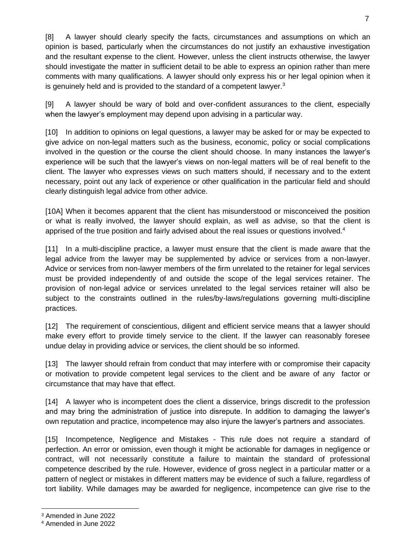[8] A lawyer should clearly specify the facts, circumstances and assumptions on which an opinion is based, particularly when the circumstances do not justify an exhaustive investigation and the resultant expense to the client. However, unless the client instructs otherwise, the lawyer should investigate the matter in sufficient detail to be able to express an opinion rather than mere comments with many qualifications. A lawyer should only express his or her legal opinion when it is genuinely held and is provided to the standard of a competent lawyer. $3$ 

[9] A lawyer should be wary of bold and over-confident assurances to the client, especially when the lawyer's employment may depend upon advising in a particular way.

[10] In addition to opinions on legal questions, a lawyer may be asked for or may be expected to give advice on non-legal matters such as the business, economic, policy or social complications involved in the question or the course the client should choose. In many instances the lawyer's experience will be such that the lawyer's views on non-legal matters will be of real benefit to the client. The lawyer who expresses views on such matters should, if necessary and to the extent necessary, point out any lack of experience or other qualification in the particular field and should clearly distinguish legal advice from other advice.

[10A] When it becomes apparent that the client has misunderstood or misconceived the position or what is really involved, the lawyer should explain, as well as advise, so that the client is apprised of the true position and fairly advised about the real issues or questions involved.<sup>4</sup>

[11] In a multi-discipline practice, a lawyer must ensure that the client is made aware that the legal advice from the lawyer may be supplemented by advice or services from a non-lawyer. Advice or services from non-lawyer members of the firm unrelated to the retainer for legal services must be provided independently of and outside the scope of the legal services retainer. The provision of non-legal advice or services unrelated to the legal services retainer will also be subject to the constraints outlined in the rules/by-laws/regulations governing multi-discipline practices.

[12] The requirement of conscientious, diligent and efficient service means that a lawyer should make every effort to provide timely service to the client. If the lawyer can reasonably foresee undue delay in providing advice or services, the client should be so informed.

[13] The lawyer should refrain from conduct that may interfere with or compromise their capacity or motivation to provide competent legal services to the client and be aware of any factor or circumstance that may have that effect.

[14] A lawyer who is incompetent does the client a disservice, brings discredit to the profession and may bring the administration of justice into disrepute. In addition to damaging the lawyer's own reputation and practice, incompetence may also injure the lawyer's partners and associates.

[15] Incompetence, Negligence and Mistakes - This rule does not require a standard of perfection. An error or omission, even though it might be actionable for damages in negligence or contract, will not necessarily constitute a failure to maintain the standard of professional competence described by the rule. However, evidence of gross neglect in a particular matter or a pattern of neglect or mistakes in different matters may be evidence of such a failure, regardless of tort liability. While damages may be awarded for negligence, incompetence can give rise to the

<sup>3</sup> Amended in June 2022

<sup>4</sup> Amended in June 2022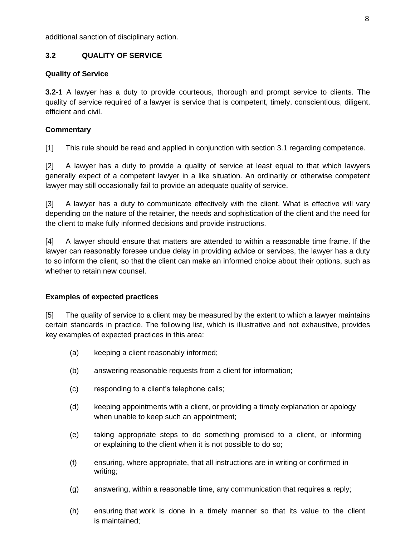additional sanction of disciplinary action.

## **3.2 QUALITY OF SERVICE**

#### **Quality of Service**

**3.2-1** A lawyer has a duty to provide courteous, thorough and prompt service to clients. The quality of service required of a lawyer is service that is competent, timely, conscientious, diligent, efficient and civil.

## **Commentary**

[1] This rule should be read and applied in conjunction with section 3.1 regarding competence.

[2] A lawyer has a duty to provide a quality of service at least equal to that which lawyers generally expect of a competent lawyer in a like situation. An ordinarily or otherwise competent lawyer may still occasionally fail to provide an adequate quality of service.

[3] A lawyer has a duty to communicate effectively with the client. What is effective will vary depending on the nature of the retainer, the needs and sophistication of the client and the need for the client to make fully informed decisions and provide instructions.

[4] A lawyer should ensure that matters are attended to within a reasonable time frame. If the lawyer can reasonably foresee undue delay in providing advice or services, the lawyer has a duty to so inform the client, so that the client can make an informed choice about their options, such as whether to retain new counsel.

#### **Examples of expected practices**

[5] The quality of service to a client may be measured by the extent to which a lawyer maintains certain standards in practice. The following list, which is illustrative and not exhaustive, provides key examples of expected practices in this area:

- (a) keeping a client reasonably informed;
- (b) answering reasonable requests from a client for information;
- (c) responding to a client's telephone calls;
- (d) keeping appointments with a client, or providing a timely explanation or apology when unable to keep such an appointment;
- (e) taking appropriate steps to do something promised to a client, or informing or explaining to the client when it is not possible to do so;
- (f) ensuring, where appropriate, that all instructions are in writing or confirmed in writing;
- (g) answering, within a reasonable time, any communication that requires a reply;
- (h) ensuring that work is done in a timely manner so that its value to the client is maintained;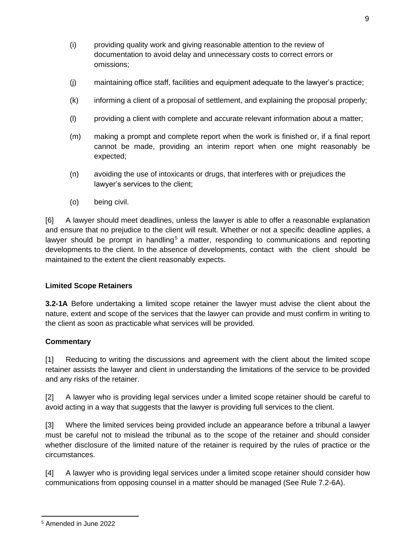- (i) providing quality work and giving reasonable attention to the review of documentation to avoid delay and unnecessary costs to correct errors or omissions;
- (j) maintaining office staff, facilities and equipment adequate to the lawyer's practice;
- (k) informing a client of a proposal of settlement, and explaining the proposal properly;
- (l) providing a client with complete and accurate relevant information about a matter;
- (m) making a prompt and complete report when the work is finished or, if a final report cannot be made, providing an interim report when one might reasonably be expected;
- (n) avoiding the use of intoxicants or drugs, that interferes with or prejudices the lawyer's services to the client;
- (o) being civil.

[6] A lawyer should meet deadlines, unless the lawyer is able to offer a reasonable explanation and ensure that no prejudice to the client will result. Whether or not a specific deadline applies, a lawyer should be prompt in handling<sup>5</sup> a matter, responding to communications and reporting developments to the client. In the absence of developments, contact with the client should be maintained to the extent the client reasonably expects.

#### **Limited Scope Retainers**

**3.2-1A** Before undertaking a limited scope retainer the lawyer must advise the client about the nature, extent and scope of the services that the lawyer can provide and must confirm in writing to the client as soon as practicable what services will be provided.

#### **Commentary**

[1] Reducing to writing the discussions and agreement with the client about the limited scope retainer assists the lawyer and client in understanding the limitations of the service to be provided and any risks of the retainer.

[2] A lawyer who is providing legal services under a limited scope retainer should be careful to avoid acting in a way that suggests that the lawyer is providing full services to the client.

[3] Where the limited services being provided include an appearance before a tribunal a lawyer must be careful not to mislead the tribunal as to the scope of the retainer and should consider whether disclosure of the limited nature of the retainer is required by the rules of practice or the circumstances.

[4] A lawyer who is providing legal services under a limited scope retainer should consider how communications from opposing counsel in a matter should be managed (See Rule 7.2-6A).

<sup>5</sup> Amended in June 2022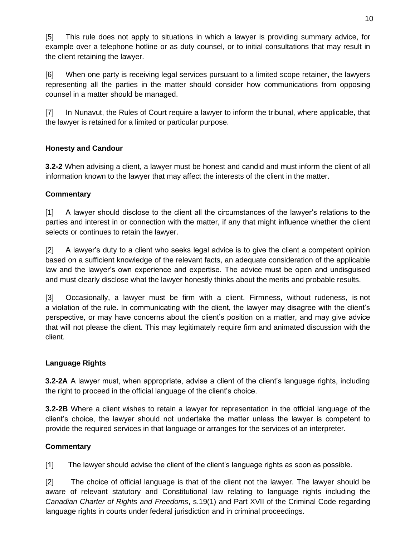[5] This rule does not apply to situations in which a lawyer is providing summary advice, for example over a telephone hotline or as duty counsel, or to initial consultations that may result in the client retaining the lawyer.

[6] When one party is receiving legal services pursuant to a limited scope retainer, the lawyers representing all the parties in the matter should consider how communications from opposing counsel in a matter should be managed.

[7] In Nunavut, the Rules of Court require a lawyer to inform the tribunal, where applicable, that the lawyer is retained for a limited or particular purpose.

## **Honesty and Candour**

**3.2-2** When advising a client, a lawyer must be honest and candid and must inform the client of all information known to the lawyer that may affect the interests of the client in the matter.

## **Commentary**

[1] A lawyer should disclose to the client all the circumstances of the lawyer's relations to the parties and interest in or connection with the matter, if any that might influence whether the client selects or continues to retain the lawyer.

[2] A lawyer's duty to a client who seeks legal advice is to give the client a competent opinion based on a sufficient knowledge of the relevant facts, an adequate consideration of the applicable law and the lawyer's own experience and expertise. The advice must be open and undisguised and must clearly disclose what the lawyer honestly thinks about the merits and probable results.

[3] Occasionally, a lawyer must be firm with a client. Firmness, without rudeness, is not a violation of the rule. In communicating with the client, the lawyer may disagree with the client's perspective, or may have concerns about the client's position on a matter, and may give advice that will not please the client. This may legitimately require firm and animated discussion with the client.

## **Language Rights**

**3.2-2A** A lawyer must, when appropriate, advise a client of the client's language rights, including the right to proceed in the official language of the client's choice.

**3.2-2B** Where a client wishes to retain a lawyer for representation in the official language of the client's choice, the lawyer should not undertake the matter unless the lawyer is competent to provide the required services in that language or arranges for the services of an interpreter.

# **Commentary**

[1] The lawyer should advise the client of the client's language rights as soon as possible.

[2] The choice of official language is that of the client not the lawyer. The lawyer should be aware of relevant statutory and Constitutional law relating to language rights including the *Canadian Charter of Rights and Freedoms*, s.19(1) and Part XVII of the Criminal Code regarding language rights in courts under federal jurisdiction and in criminal proceedings.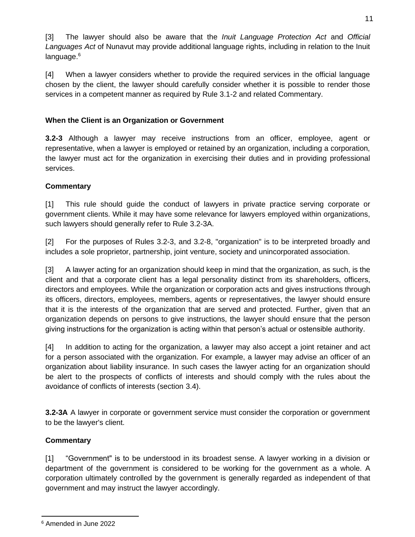[3] The lawyer should also be aware that the *Inuit Language Protection Act* and *Official Languages Act* of Nunavut may provide additional language rights, including in relation to the Inuit language.<sup>6</sup>

[4] When a lawyer considers whether to provide the required services in the official language chosen by the client, the lawyer should carefully consider whether it is possible to render those services in a competent manner as required by Rule 3.1-2 and related Commentary.

## **When the Client is an Organization or Government**

**3.2-3** Although a lawyer may receive instructions from an officer, employee, agent or representative, when a lawyer is employed or retained by an organization, including a corporation, the lawyer must act for the organization in exercising their duties and in providing professional services.

## **Commentary**

[1] This rule should guide the conduct of lawyers in private practice serving corporate or government clients. While it may have some relevance for lawyers employed within organizations, such lawyers should generally refer to Rule 3.2-3A.

[2] For the purposes of Rules 3.2-3, and 3.2-8, "organization" is to be interpreted broadly and includes a sole proprietor, partnership, joint venture, society and unincorporated association.

[3] A lawyer acting for an organization should keep in mind that the organization, as such, is the client and that a corporate client has a legal personality distinct from its shareholders, officers, directors and employees. While the organization or corporation acts and gives instructions through its officers, directors, employees, members, agents or representatives, the lawyer should ensure that it is the interests of the organization that are served and protected. Further, given that an organization depends on persons to give instructions, the lawyer should ensure that the person giving instructions for the organization is acting within that person's actual or ostensible authority.

[4] In addition to acting for the organization, a lawyer may also accept a joint retainer and act for a person associated with the organization. For example, a lawyer may advise an officer of an organization about liability insurance. In such cases the lawyer acting for an organization should be alert to the prospects of conflicts of interests and should comply with the rules about the avoidance of conflicts of interests (section 3.4).

**3.2-3A** A lawyer in corporate or government service must consider the corporation or government to be the lawyer's client.

# **Commentary**

[1] "Government" is to be understood in its broadest sense. A lawyer working in a division or department of the government is considered to be working for the government as a whole. A corporation ultimately controlled by the government is generally regarded as independent of that government and may instruct the lawyer accordingly.

<sup>6</sup> Amended in June 2022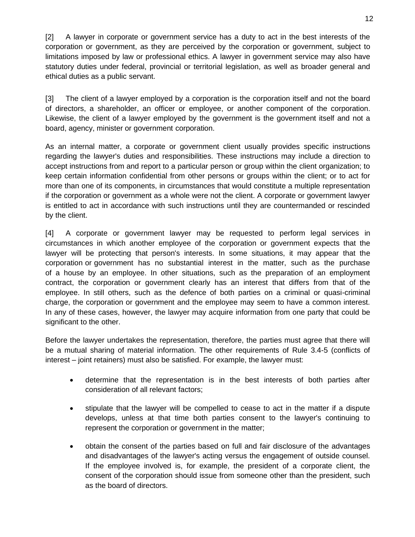[2] A lawyer in corporate or government service has a duty to act in the best interests of the corporation or government, as they are perceived by the corporation or government, subject to limitations imposed by law or professional ethics. A lawyer in government service may also have statutory duties under federal, provincial or territorial legislation, as well as broader general and ethical duties as a public servant.

[3] The client of a lawyer employed by a corporation is the corporation itself and not the board of directors, a shareholder, an officer or employee, or another component of the corporation. Likewise, the client of a lawyer employed by the government is the government itself and not a board, agency, minister or government corporation.

As an internal matter, a corporate or government client usually provides specific instructions regarding the lawyer's duties and responsibilities. These instructions may include a direction to accept instructions from and report to a particular person or group within the client organization; to keep certain information confidential from other persons or groups within the client; or to act for more than one of its components, in circumstances that would constitute a multiple representation if the corporation or government as a whole were not the client. A corporate or government lawyer is entitled to act in accordance with such instructions until they are countermanded or rescinded by the client.

[4] A corporate or government lawyer may be requested to perform legal services in circumstances in which another employee of the corporation or government expects that the lawyer will be protecting that person's interests. In some situations, it may appear that the corporation or government has no substantial interest in the matter, such as the purchase of a house by an employee. In other situations, such as the preparation of an employment contract, the corporation or government clearly has an interest that differs from that of the employee. In still others, such as the defence of both parties on a criminal or quasi-criminal charge, the corporation or government and the employee may seem to have a common interest. In any of these cases, however, the lawyer may acquire information from one party that could be significant to the other.

Before the lawyer undertakes the representation, therefore, the parties must agree that there will be a mutual sharing of material information. The other requirements of Rule 3.4-5 (conflicts of interest – joint retainers) must also be satisfied. For example, the lawyer must:

- determine that the representation is in the best interests of both parties after consideration of all relevant factors;
- stipulate that the lawyer will be compelled to cease to act in the matter if a dispute develops, unless at that time both parties consent to the lawyer's continuing to represent the corporation or government in the matter;
- obtain the consent of the parties based on full and fair disclosure of the advantages and disadvantages of the lawyer's acting versus the engagement of outside counsel. If the employee involved is, for example, the president of a corporate client, the consent of the corporation should issue from someone other than the president, such as the board of directors.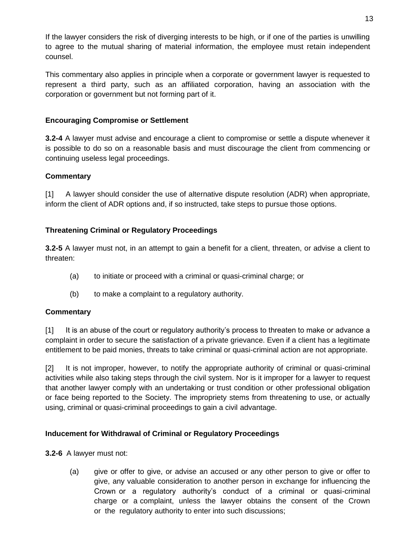If the lawyer considers the risk of diverging interests to be high, or if one of the parties is unwilling to agree to the mutual sharing of material information, the employee must retain independent counsel.

This commentary also applies in principle when a corporate or government lawyer is requested to represent a third party, such as an affiliated corporation, having an association with the corporation or government but not forming part of it.

## **Encouraging Compromise or Settlement**

**3.2-4** A lawyer must advise and encourage a client to compromise or settle a dispute whenever it is possible to do so on a reasonable basis and must discourage the client from commencing or continuing useless legal proceedings.

## **Commentary**

[1] A lawyer should consider the use of alternative dispute resolution (ADR) when appropriate, inform the client of ADR options and, if so instructed, take steps to pursue those options.

## **Threatening Criminal or Regulatory Proceedings**

**3.2-5** A lawyer must not, in an attempt to gain a benefit for a client, threaten, or advise a client to threaten:

- (a) to initiate or proceed with a criminal or quasi-criminal charge; or
- (b) to make a complaint to a regulatory authority.

## **Commentary**

[1] It is an abuse of the court or regulatory authority's process to threaten to make or advance a complaint in order to secure the satisfaction of a private grievance. Even if a client has a legitimate entitlement to be paid monies, threats to take criminal or quasi-criminal action are not appropriate.

[2] It is not improper, however, to notify the appropriate authority of criminal or quasi-criminal activities while also taking steps through the civil system. Nor is it improper for a lawyer to request that another lawyer comply with an undertaking or trust condition or other professional obligation or face being reported to the Society. The impropriety stems from threatening to use, or actually using, criminal or quasi-criminal proceedings to gain a civil advantage.

## **Inducement for Withdrawal of Criminal or Regulatory Proceedings**

**3.2-6** A lawyer must not:

(a) give or offer to give, or advise an accused or any other person to give or offer to give, any valuable consideration to another person in exchange for influencing the Crown or a regulatory authority's conduct of a criminal or quasi-criminal charge or a complaint, unless the lawyer obtains the consent of the Crown or the regulatory authority to enter into such discussions;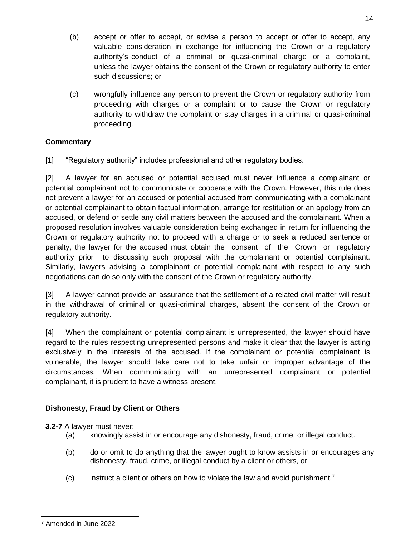- (b) accept or offer to accept, or advise a person to accept or offer to accept, any valuable consideration in exchange for influencing the Crown or a regulatory authority's conduct of a criminal or quasi-criminal charge or a complaint, unless the lawyer obtains the consent of the Crown or regulatory authority to enter such discussions; or
- (c) wrongfully influence any person to prevent the Crown or regulatory authority from proceeding with charges or a complaint or to cause the Crown or regulatory authority to withdraw the complaint or stay charges in a criminal or quasi-criminal proceeding.

## **Commentary**

[1] "Regulatory authority" includes professional and other regulatory bodies.

[2] A lawyer for an accused or potential accused must never influence a complainant or potential complainant not to communicate or cooperate with the Crown. However, this rule does not prevent a lawyer for an accused or potential accused from communicating with a complainant or potential complainant to obtain factual information, arrange for restitution or an apology from an accused, or defend or settle any civil matters between the accused and the complainant. When a proposed resolution involves valuable consideration being exchanged in return for influencing the Crown or regulatory authority not to proceed with a charge or to seek a reduced sentence or penalty, the lawyer for the accused must obtain the consent of the Crown or regulatory authority prior to discussing such proposal with the complainant or potential complainant. Similarly, lawyers advising a complainant or potential complainant with respect to any such negotiations can do so only with the consent of the Crown or regulatory authority.

[3] A lawyer cannot provide an assurance that the settlement of a related civil matter will result in the withdrawal of criminal or quasi-criminal charges, absent the consent of the Crown or regulatory authority.

[4] When the complainant or potential complainant is unrepresented, the lawyer should have regard to the rules respecting unrepresented persons and make it clear that the lawyer is acting exclusively in the interests of the accused. If the complainant or potential complainant is vulnerable, the lawyer should take care not to take unfair or improper advantage of the circumstances. When communicating with an unrepresented complainant or potential complainant, it is prudent to have a witness present.

## **Dishonesty, Fraud by Client or Others**

**3.2-7** A lawyer must never:

- (a) knowingly assist in or encourage any dishonesty, fraud, crime, or illegal conduct.
- (b) do or omit to do anything that the lawyer ought to know assists in or encourages any dishonesty, fraud, crime, or illegal conduct by a client or others, or
- (c) instruct a client or others on how to violate the law and avoid punishment.<sup>7</sup>

<sup>7</sup> Amended in June 2022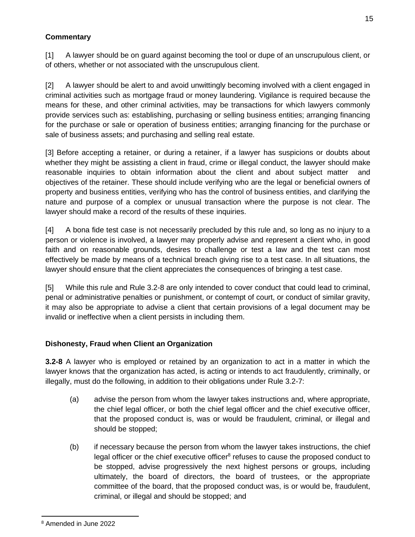## **Commentary**

[1] A lawyer should be on guard against becoming the tool or dupe of an unscrupulous client, or of others, whether or not associated with the unscrupulous client.

[2] A lawyer should be alert to and avoid unwittingly becoming involved with a client engaged in criminal activities such as mortgage fraud or money laundering. Vigilance is required because the means for these, and other criminal activities, may be transactions for which lawyers commonly provide services such as: establishing, purchasing or selling business entities; arranging financing for the purchase or sale or operation of business entities; arranging financing for the purchase or sale of business assets; and purchasing and selling real estate.

[3] Before accepting a retainer, or during a retainer, if a lawyer has suspicions or doubts about whether they might be assisting a client in fraud, crime or illegal conduct, the lawyer should make reasonable inquiries to obtain information about the client and about subject matter and objectives of the retainer. These should include verifying who are the legal or beneficial owners of property and business entities, verifying who has the control of business entities, and clarifying the nature and purpose of a complex or unusual transaction where the purpose is not clear. The lawyer should make a record of the results of these inquiries.

[4] A bona fide test case is not necessarily precluded by this rule and, so long as no injury to a person or violence is involved, a lawyer may properly advise and represent a client who, in good faith and on reasonable grounds, desires to challenge or test a law and the test can most effectively be made by means of a technical breach giving rise to a test case. In all situations, the lawyer should ensure that the client appreciates the consequences of bringing a test case.

[5] While this rule and Rule 3.2-8 are only intended to cover conduct that could lead to criminal, penal or administrative penalties or punishment, or contempt of court, or conduct of similar gravity, it may also be appropriate to advise a client that certain provisions of a legal document may be invalid or ineffective when a client persists in including them.

## **Dishonesty, Fraud when Client an Organization**

**3.2-8** A lawyer who is employed or retained by an organization to act in a matter in which the lawyer knows that the organization has acted, is acting or intends to act fraudulently, criminally, or illegally, must do the following, in addition to their obligations under Rule 3.2-7:

- (a) advise the person from whom the lawyer takes instructions and, where appropriate, the chief legal officer, or both the chief legal officer and the chief executive officer, that the proposed conduct is, was or would be fraudulent, criminal, or illegal and should be stopped;
- (b) if necessary because the person from whom the lawyer takes instructions, the chief legal officer or the chief executive officer<sup>8</sup> refuses to cause the proposed conduct to be stopped, advise progressively the next highest persons or groups, including ultimately, the board of directors, the board of trustees, or the appropriate committee of the board, that the proposed conduct was, is or would be, fraudulent, criminal, or illegal and should be stopped; and

<sup>8</sup> Amended in June 2022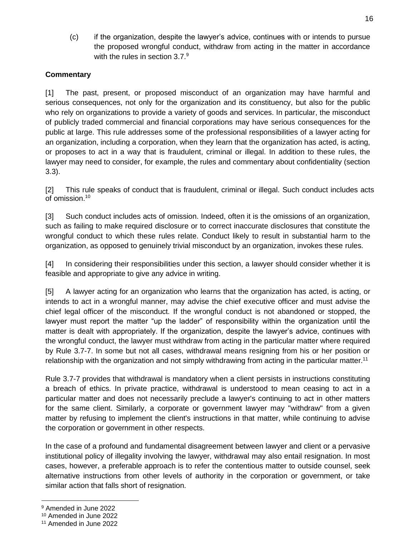(c) if the organization, despite the lawyer's advice, continues with or intends to pursue the proposed wrongful conduct, withdraw from acting in the matter in accordance with the rules in section  $3.7<sup>9</sup>$ 

## **Commentary**

[1] The past, present, or proposed misconduct of an organization may have harmful and serious consequences, not only for the organization and its constituency, but also for the public who rely on organizations to provide a variety of goods and services. In particular, the misconduct of publicly traded commercial and financial corporations may have serious consequences for the public at large. This rule addresses some of the professional responsibilities of a lawyer acting for an organization, including a corporation, when they learn that the organization has acted, is acting, or proposes to act in a way that is fraudulent, criminal or illegal. In addition to these rules, the lawyer may need to consider, for example, the rules and commentary about confidentiality (section 3.3).

[2] This rule speaks of conduct that is fraudulent, criminal or illegal. Such conduct includes acts of omission.<sup>10</sup>

[3] Such conduct includes acts of omission. Indeed, often it is the omissions of an organization, such as failing to make required disclosure or to correct inaccurate disclosures that constitute the wrongful conduct to which these rules relate. Conduct likely to result in substantial harm to the organization, as opposed to genuinely trivial misconduct by an organization, invokes these rules.

[4] In considering their responsibilities under this section, a lawyer should consider whether it is feasible and appropriate to give any advice in writing.

[5] A lawyer acting for an organization who learns that the organization has acted, is acting, or intends to act in a wrongful manner, may advise the chief executive officer and must advise the chief legal officer of the misconduct. If the wrongful conduct is not abandoned or stopped, the lawyer must report the matter "up the ladder" of responsibility within the organization until the matter is dealt with appropriately. If the organization, despite the lawyer's advice, continues with the wrongful conduct, the lawyer must withdraw from acting in the particular matter where required by Rule 3.7-7. In some but not all cases, withdrawal means resigning from his or her position or relationship with the organization and not simply withdrawing from acting in the particular matter.<sup>11</sup>

Rule 3.7-7 provides that withdrawal is mandatory when a client persists in instructions constituting a breach of ethics. In private practice, withdrawal is understood to mean ceasing to act in a particular matter and does not necessarily preclude a lawyer's continuing to act in other matters for the same client. Similarly, a corporate or government lawyer may "withdraw" from a given matter by refusing to implement the client's instructions in that matter, while continuing to advise the corporation or government in other respects.

In the case of a profound and fundamental disagreement between lawyer and client or a pervasive institutional policy of illegality involving the lawyer, withdrawal may also entail resignation. In most cases, however, a preferable approach is to refer the contentious matter to outside counsel, seek alternative instructions from other levels of authority in the corporation or government, or take similar action that falls short of resignation.

<sup>9</sup> Amended in June 2022

<sup>10</sup> Amended in June 2022

<sup>11</sup> Amended in June 2022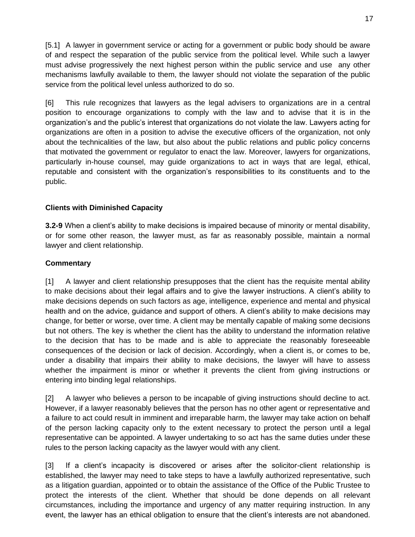[5.1] A lawyer in government service or acting for a government or public body should be aware of and respect the separation of the public service from the political level. While such a lawyer must advise progressively the next highest person within the public service and use any other mechanisms lawfully available to them, the lawyer should not violate the separation of the public service from the political level unless authorized to do so.

[6] This rule recognizes that lawyers as the legal advisers to organizations are in a central position to encourage organizations to comply with the law and to advise that it is in the organization's and the public's interest that organizations do not violate the law. Lawyers acting for organizations are often in a position to advise the executive officers of the organization, not only about the technicalities of the law, but also about the public relations and public policy concerns that motivated the government or regulator to enact the law. Moreover, lawyers for organizations, particularly in-house counsel, may guide organizations to act in ways that are legal, ethical, reputable and consistent with the organization's responsibilities to its constituents and to the public.

## **Clients with Diminished Capacity**

**3.2-9** When a client's ability to make decisions is impaired because of minority or mental disability, or for some other reason, the lawyer must, as far as reasonably possible, maintain a normal lawyer and client relationship.

#### **Commentary**

[1] A lawyer and client relationship presupposes that the client has the requisite mental ability to make decisions about their legal affairs and to give the lawyer instructions. A client's ability to make decisions depends on such factors as age, intelligence, experience and mental and physical health and on the advice, guidance and support of others. A client's ability to make decisions may change, for better or worse, over time. A client may be mentally capable of making some decisions but not others. The key is whether the client has the ability to understand the information relative to the decision that has to be made and is able to appreciate the reasonably foreseeable consequences of the decision or lack of decision. Accordingly, when a client is, or comes to be, under a disability that impairs their ability to make decisions, the lawyer will have to assess whether the impairment is minor or whether it prevents the client from giving instructions or entering into binding legal relationships.

[2] A lawyer who believes a person to be incapable of giving instructions should decline to act. However, if a lawyer reasonably believes that the person has no other agent or representative and a failure to act could result in imminent and irreparable harm, the lawyer may take action on behalf of the person lacking capacity only to the extent necessary to protect the person until a legal representative can be appointed. A lawyer undertaking to so act has the same duties under these rules to the person lacking capacity as the lawyer would with any client.

[3] If a client's incapacity is discovered or arises after the solicitor-client relationship is established, the lawyer may need to take steps to have a lawfully authorized representative, such as a litigation guardian, appointed or to obtain the assistance of the Office of the Public Trustee to protect the interests of the client. Whether that should be done depends on all relevant circumstances, including the importance and urgency of any matter requiring instruction. In any event, the lawyer has an ethical obligation to ensure that the client's interests are not abandoned.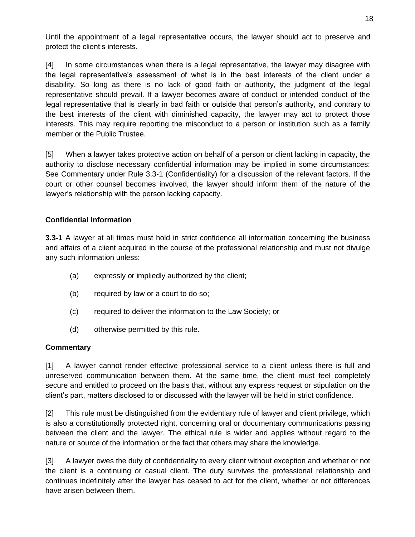Until the appointment of a legal representative occurs, the lawyer should act to preserve and protect the client's interests.

[4] In some circumstances when there is a legal representative, the lawyer may disagree with the legal representative's assessment of what is in the best interests of the client under a disability. So long as there is no lack of good faith or authority, the judgment of the legal representative should prevail. If a lawyer becomes aware of conduct or intended conduct of the legal representative that is clearly in bad faith or outside that person's authority, and contrary to the best interests of the client with diminished capacity, the lawyer may act to protect those interests. This may require reporting the misconduct to a person or institution such as a family member or the Public Trustee.

[5] When a lawyer takes protective action on behalf of a person or client lacking in capacity, the authority to disclose necessary confidential information may be implied in some circumstances: See Commentary under Rule 3.3-1 (Confidentiality) for a discussion of the relevant factors. If the court or other counsel becomes involved, the lawyer should inform them of the nature of the lawyer's relationship with the person lacking capacity.

## **Confidential Information**

**3.3-1** A lawyer at all times must hold in strict confidence all information concerning the business and affairs of a client acquired in the course of the professional relationship and must not divulge any such information unless:

- (a) expressly or impliedly authorized by the client;
- (b) required by law or a court to do so;
- (c) required to deliver the information to the Law Society; or
- (d) otherwise permitted by this rule.

#### **Commentary**

[1] A lawyer cannot render effective professional service to a client unless there is full and unreserved communication between them. At the same time, the client must feel completely secure and entitled to proceed on the basis that, without any express request or stipulation on the client's part, matters disclosed to or discussed with the lawyer will be held in strict confidence.

[2] This rule must be distinguished from the evidentiary rule of lawyer and client privilege, which is also a constitutionally protected right, concerning oral or documentary communications passing between the client and the lawyer. The ethical rule is wider and applies without regard to the nature or source of the information or the fact that others may share the knowledge.

[3] A lawyer owes the duty of confidentiality to every client without exception and whether or not the client is a continuing or casual client. The duty survives the professional relationship and continues indefinitely after the lawyer has ceased to act for the client, whether or not differences have arisen between them.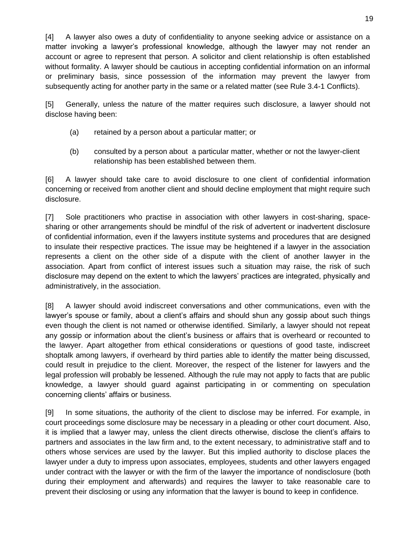[4] A lawyer also owes a duty of confidentiality to anyone seeking advice or assistance on a matter invoking a lawyer's professional knowledge, although the lawyer may not render an account or agree to represent that person. A solicitor and client relationship is often established without formality. A lawyer should be cautious in accepting confidential information on an informal or preliminary basis, since possession of the information may prevent the lawyer from subsequently acting for another party in the same or a related matter (see Rule 3.4-1 Conflicts).

[5] Generally, unless the nature of the matter requires such disclosure, a lawyer should not disclose having been:

- (a) retained by a person about a particular matter; or
- (b) consulted by a person about a particular matter, whether or not the lawyer-client relationship has been established between them.

[6] A lawyer should take care to avoid disclosure to one client of confidential information concerning or received from another client and should decline employment that might require such disclosure.

[7] Sole practitioners who practise in association with other lawyers in cost-sharing, spacesharing or other arrangements should be mindful of the risk of advertent or inadvertent disclosure of confidential information, even if the lawyers institute systems and procedures that are designed to insulate their respective practices. The issue may be heightened if a lawyer in the association represents a client on the other side of a dispute with the client of another lawyer in the association. Apart from conflict of interest issues such a situation may raise, the risk of such disclosure may depend on the extent to which the lawyers' practices are integrated, physically and administratively, in the association.

[8] A lawyer should avoid indiscreet conversations and other communications, even with the lawyer's spouse or family, about a client's affairs and should shun any gossip about such things even though the client is not named or otherwise identified. Similarly, a lawyer should not repeat any gossip or information about the client's business or affairs that is overheard or recounted to the lawyer. Apart altogether from ethical considerations or questions of good taste, indiscreet shoptalk among lawyers, if overheard by third parties able to identify the matter being discussed, could result in prejudice to the client. Moreover, the respect of the listener for lawyers and the legal profession will probably be lessened. Although the rule may not apply to facts that are public knowledge, a lawyer should guard against participating in or commenting on speculation concerning clients' affairs or business.

[9] In some situations, the authority of the client to disclose may be inferred. For example, in court proceedings some disclosure may be necessary in a pleading or other court document. Also, it is implied that a lawyer may, unless the client directs otherwise, disclose the client's affairs to partners and associates in the law firm and, to the extent necessary, to administrative staff and to others whose services are used by the lawyer. But this implied authority to disclose places the lawyer under a duty to impress upon associates, employees, students and other lawyers engaged under contract with the lawyer or with the firm of the lawyer the importance of nondisclosure (both during their employment and afterwards) and requires the lawyer to take reasonable care to prevent their disclosing or using any information that the lawyer is bound to keep in confidence.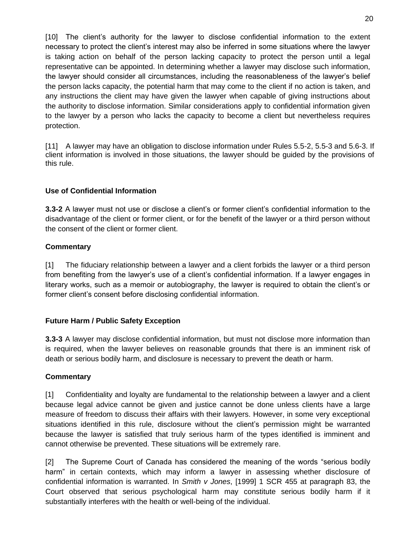[10] The client's authority for the lawyer to disclose confidential information to the extent necessary to protect the client's interest may also be inferred in some situations where the lawyer is taking action on behalf of the person lacking capacity to protect the person until a legal representative can be appointed. In determining whether a lawyer may disclose such information, the lawyer should consider all circumstances, including the reasonableness of the lawyer's belief the person lacks capacity, the potential harm that may come to the client if no action is taken, and any instructions the client may have given the lawyer when capable of giving instructions about the authority to disclose information. Similar considerations apply to confidential information given to the lawyer by a person who lacks the capacity to become a client but nevertheless requires protection.

[11] A lawyer may have an obligation to disclose information under Rules 5.5-2, 5.5-3 and 5.6-3. If client information is involved in those situations, the lawyer should be guided by the provisions of this rule.

## **Use of Confidential Information**

**3.3-2** A lawyer must not use or disclose a client's or former client's confidential information to the disadvantage of the client or former client, or for the benefit of the lawyer or a third person without the consent of the client or former client.

#### **Commentary**

[1] The fiduciary relationship between a lawyer and a client forbids the lawyer or a third person from benefiting from the lawyer's use of a client's confidential information. If a lawyer engages in literary works, such as a memoir or autobiography, the lawyer is required to obtain the client's or former client's consent before disclosing confidential information.

## **Future Harm / Public Safety Exception**

**3.3-3** A lawyer may disclose confidential information, but must not disclose more information than is required, when the lawyer believes on reasonable grounds that there is an imminent risk of death or serious bodily harm, and disclosure is necessary to prevent the death or harm.

#### **Commentary**

[1] Confidentiality and loyalty are fundamental to the relationship between a lawyer and a client because legal advice cannot be given and justice cannot be done unless clients have a large measure of freedom to discuss their affairs with their lawyers. However, in some very exceptional situations identified in this rule, disclosure without the client's permission might be warranted because the lawyer is satisfied that truly serious harm of the types identified is imminent and cannot otherwise be prevented. These situations will be extremely rare.

[2] The Supreme Court of Canada has considered the meaning of the words "serious bodily harm" in certain contexts, which may inform a lawyer in assessing whether disclosure of confidential information is warranted. In *Smith v Jones*, [1999] 1 SCR 455 at paragraph 83, the Court observed that serious psychological harm may constitute serious bodily harm if it substantially interferes with the health or well-being of the individual.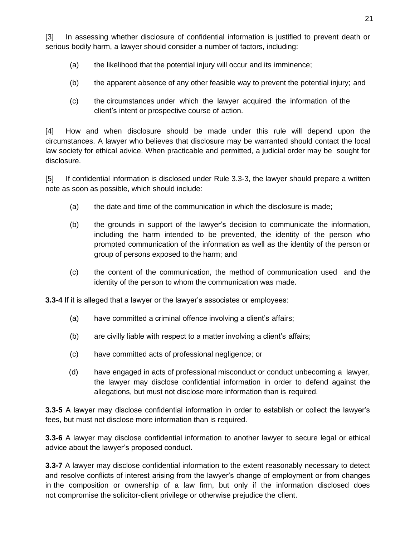[3] In assessing whether disclosure of confidential information is justified to prevent death or serious bodily harm, a lawyer should consider a number of factors, including:

- (a) the likelihood that the potential injury will occur and its imminence;
- (b) the apparent absence of any other feasible way to prevent the potential injury; and
- (c) the circumstances under which the lawyer acquired the information of the client's intent or prospective course of action.

[4] How and when disclosure should be made under this rule will depend upon the circumstances. A lawyer who believes that disclosure may be warranted should contact the local law society for ethical advice. When practicable and permitted, a judicial order may be sought for disclosure.

[5] If confidential information is disclosed under Rule 3.3-3, the lawyer should prepare a written note as soon as possible, which should include:

- (a) the date and time of the communication in which the disclosure is made;
- (b) the grounds in support of the lawyer's decision to communicate the information, including the harm intended to be prevented, the identity of the person who prompted communication of the information as well as the identity of the person or group of persons exposed to the harm; and
- (c) the content of the communication, the method of communication used and the identity of the person to whom the communication was made.

**3.3-4** If it is alleged that a lawyer or the lawyer's associates or employees:

- (a) have committed a criminal offence involving a client's affairs;
- (b) are civilly liable with respect to a matter involving a client's affairs;
- (c) have committed acts of professional negligence; or
- (d) have engaged in acts of professional misconduct or conduct unbecoming a lawyer, the lawyer may disclose confidential information in order to defend against the allegations, but must not disclose more information than is required.

**3.3-5** A lawyer may disclose confidential information in order to establish or collect the lawyer's fees, but must not disclose more information than is required.

**3.3-6** A lawyer may disclose confidential information to another lawyer to secure legal or ethical advice about the lawyer's proposed conduct.

**3.3-7** A lawyer may disclose confidential information to the extent reasonably necessary to detect and resolve conflicts of interest arising from the lawyer's change of employment or from changes in the composition or ownership of a law firm, but only if the information disclosed does not compromise the solicitor-client privilege or otherwise prejudice the client.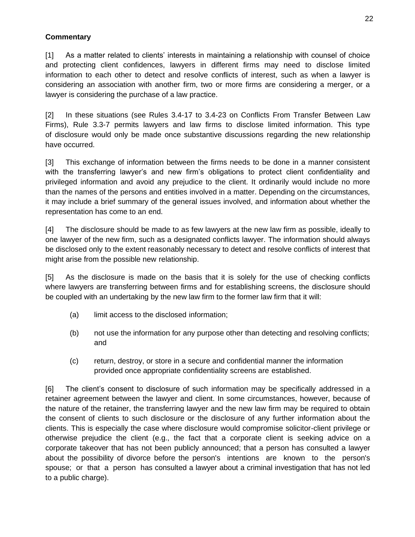#### **Commentary**

[1] As a matter related to clients' interests in maintaining a relationship with counsel of choice and protecting client confidences, lawyers in different firms may need to disclose limited information to each other to detect and resolve conflicts of interest, such as when a lawyer is considering an association with another firm, two or more firms are considering a merger, or a lawyer is considering the purchase of a law practice.

[2] In these situations (see Rules 3.4-17 to 3.4-23 on Conflicts From Transfer Between Law Firms), Rule 3.3-7 permits lawyers and law firms to disclose limited information. This type of disclosure would only be made once substantive discussions regarding the new relationship have occurred.

[3] This exchange of information between the firms needs to be done in a manner consistent with the transferring lawyer's and new firm's obligations to protect client confidentiality and privileged information and avoid any prejudice to the client. It ordinarily would include no more than the names of the persons and entities involved in a matter. Depending on the circumstances, it may include a brief summary of the general issues involved, and information about whether the representation has come to an end.

[4] The disclosure should be made to as few lawyers at the new law firm as possible, ideally to one lawyer of the new firm, such as a designated conflicts lawyer. The information should always be disclosed only to the extent reasonably necessary to detect and resolve conflicts of interest that might arise from the possible new relationship.

[5] As the disclosure is made on the basis that it is solely for the use of checking conflicts where lawyers are transferring between firms and for establishing screens, the disclosure should be coupled with an undertaking by the new law firm to the former law firm that it will:

- (a) limit access to the disclosed information;
- (b) not use the information for any purpose other than detecting and resolving conflicts; and
- (c) return, destroy, or store in a secure and confidential manner the information provided once appropriate confidentiality screens are established.

[6] The client's consent to disclosure of such information may be specifically addressed in a retainer agreement between the lawyer and client. In some circumstances, however, because of the nature of the retainer, the transferring lawyer and the new law firm may be required to obtain the consent of clients to such disclosure or the disclosure of any further information about the clients. This is especially the case where disclosure would compromise solicitor-client privilege or otherwise prejudice the client (e.g., the fact that a corporate client is seeking advice on a corporate takeover that has not been publicly announced; that a person has consulted a lawyer about the possibility of divorce before the person's intentions are known to the person's spouse; or that a person has consulted a lawyer about a criminal investigation that has not led to a public charge).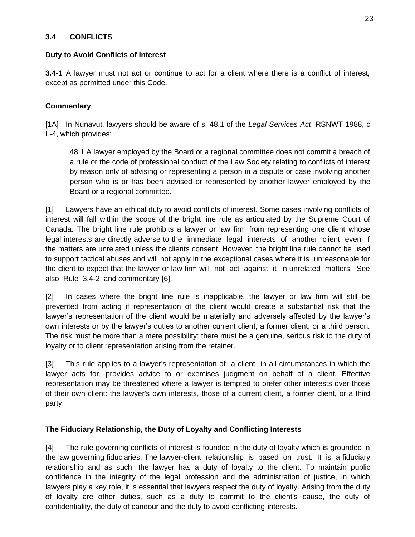## **3.4 CONFLICTS**

#### **Duty to Avoid Conflicts of Interest**

**3.4-1** A lawyer must not act or continue to act for a client where there is a conflict of interest, except as permitted under this Code.

#### **Commentary**

[1A] In Nunavut, lawyers should be aware of s. 48.1 of the *Legal Services Act*, RSNWT 1988, c L-4, which provides:

48.1 A lawyer employed by the Board or a regional committee does not commit a breach of a rule or the code of professional conduct of the Law Society relating to conflicts of interest by reason only of advising or representing a person in a dispute or case involving another person who is or has been advised or represented by another lawyer employed by the Board or a regional committee.

[1] Lawyers have an ethical duty to avoid conflicts of interest. Some cases involving conflicts of interest will fall within the scope of the bright line rule as articulated by the Supreme Court of Canada. The bright line rule prohibits a lawyer or law firm from representing one client whose legal interests are directly adverse to the immediate legal interests of another client even if the matters are unrelated unless the clients consent. However, the bright line rule cannot be used to support tactical abuses and will not apply in the exceptional cases where it is unreasonable for the client to expect that the lawyer or law firm will not act against it in unrelated matters. See also Rule 3.4-2 and commentary [6].

[2] In cases where the bright line rule is inapplicable, the lawyer or law firm will still be prevented from acting if representation of the client would create a substantial risk that the lawyer's representation of the client would be materially and adversely affected by the lawyer's own interests or by the lawyer's duties to another current client, a former client, or a third person. The risk must be more than a mere possibility; there must be a genuine, serious risk to the duty of loyalty or to client representation arising from the retainer.

[3] This rule applies to a lawyer's representation of a client in all circumstances in which the lawyer acts for, provides advice to or exercises judgment on behalf of a client. Effective representation may be threatened where a lawyer is tempted to prefer other interests over those of their own client: the lawyer's own interests, those of a current client, a former client, or a third party.

#### **The Fiduciary Relationship, the Duty of Loyalty and Conflicting Interests**

[4] The rule governing conflicts of interest is founded in the duty of loyalty which is grounded in the law governing fiduciaries. The lawyer-client relationship is based on trust. It is a fiduciary relationship and as such, the lawyer has a duty of loyalty to the client. To maintain public confidence in the integrity of the legal profession and the administration of justice, in which lawyers play a key role, it is essential that lawyers respect the duty of loyalty. Arising from the duty of loyalty are other duties, such as a duty to commit to the client's cause, the duty of confidentiality, the duty of candour and the duty to avoid conflicting interests.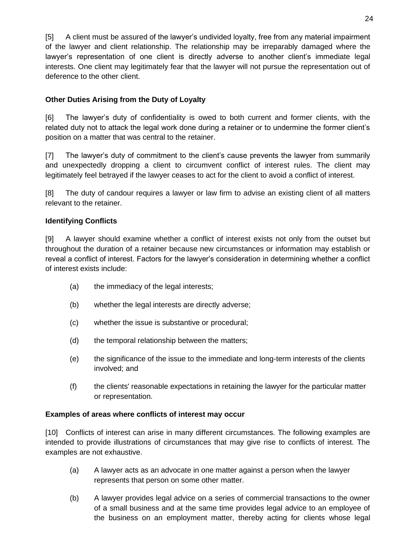[5] A client must be assured of the lawyer's undivided loyalty, free from any material impairment of the lawyer and client relationship. The relationship may be irreparably damaged where the lawyer's representation of one client is directly adverse to another client's immediate legal interests. One client may legitimately fear that the lawyer will not pursue the representation out of deference to the other client.

## **Other Duties Arising from the Duty of Loyalty**

[6] The lawyer's duty of confidentiality is owed to both current and former clients, with the related duty not to attack the legal work done during a retainer or to undermine the former client's position on a matter that was central to the retainer.

[7] The lawyer's duty of commitment to the client's cause prevents the lawyer from summarily and unexpectedly dropping a client to circumvent conflict of interest rules. The client may legitimately feel betrayed if the lawyer ceases to act for the client to avoid a conflict of interest.

[8] The duty of candour requires a lawyer or law firm to advise an existing client of all matters relevant to the retainer.

## **Identifying Conflicts**

[9] A lawyer should examine whether a conflict of interest exists not only from the outset but throughout the duration of a retainer because new circumstances or information may establish or reveal a conflict of interest. Factors for the lawyer's consideration in determining whether a conflict of interest exists include:

- (a) the immediacy of the legal interests;
- (b) whether the legal interests are directly adverse;
- (c) whether the issue is substantive or procedural;
- (d) the temporal relationship between the matters;
- (e) the significance of the issue to the immediate and long-term interests of the clients involved; and
- (f) the clients' reasonable expectations in retaining the lawyer for the particular matter or representation.

## **Examples of areas where conflicts of interest may occur**

[10] Conflicts of interest can arise in many different circumstances. The following examples are intended to provide illustrations of circumstances that may give rise to conflicts of interest. The examples are not exhaustive.

- (a) A lawyer acts as an advocate in one matter against a person when the lawyer represents that person on some other matter.
- (b) A lawyer provides legal advice on a series of commercial transactions to the owner of a small business and at the same time provides legal advice to an employee of the business on an employment matter, thereby acting for clients whose legal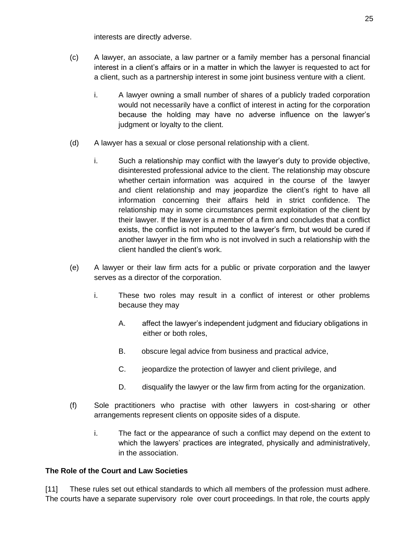interests are directly adverse.

- (c) A lawyer, an associate, a law partner or a family member has a personal financial interest in a client's affairs or in a matter in which the lawyer is requested to act for a client, such as a partnership interest in some joint business venture with a client.
	- i. A lawyer owning a small number of shares of a publicly traded corporation would not necessarily have a conflict of interest in acting for the corporation because the holding may have no adverse influence on the lawyer's judgment or loyalty to the client.
- (d) A lawyer has a sexual or close personal relationship with a client.
	- i. Such a relationship may conflict with the lawyer's duty to provide objective, disinterested professional advice to the client. The relationship may obscure whether certain information was acquired in the course of the lawyer and client relationship and may jeopardize the client's right to have all information concerning their affairs held in strict confidence. The relationship may in some circumstances permit exploitation of the client by their lawyer. If the lawyer is a member of a firm and concludes that a conflict exists, the conflict is not imputed to the lawyer's firm, but would be cured if another lawyer in the firm who is not involved in such a relationship with the client handled the client's work.
- (e) A lawyer or their law firm acts for a public or private corporation and the lawyer serves as a director of the corporation.
	- i. These two roles may result in a conflict of interest or other problems because they may
		- A. affect the lawyer's independent judgment and fiduciary obligations in either or both roles,
		- B. obscure legal advice from business and practical advice,
		- C. jeopardize the protection of lawyer and client privilege, and
		- D. disqualify the lawyer or the law firm from acting for the organization.
- (f) Sole practitioners who practise with other lawyers in cost-sharing or other arrangements represent clients on opposite sides of a dispute.
	- i. The fact or the appearance of such a conflict may depend on the extent to which the lawyers' practices are integrated, physically and administratively, in the association.

## **The Role of the Court and Law Societies**

[11] These rules set out ethical standards to which all members of the profession must adhere. The courts have a separate supervisory role over court proceedings. In that role, the courts apply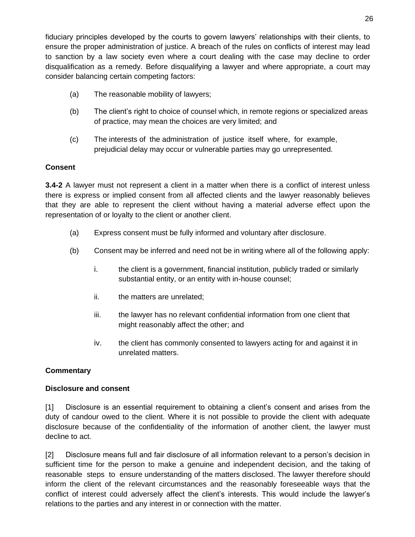fiduciary principles developed by the courts to govern lawyers' relationships with their clients, to ensure the proper administration of justice. A breach of the rules on conflicts of interest may lead to sanction by a law society even where a court dealing with the case may decline to order disqualification as a remedy. Before disqualifying a lawyer and where appropriate, a court may consider balancing certain competing factors:

- (a) The reasonable mobility of lawyers;
- (b) The client's right to choice of counsel which, in remote regions or specialized areas of practice, may mean the choices are very limited; and
- (c) The interests of the administration of justice itself where, for example, prejudicial delay may occur or vulnerable parties may go unrepresented.

## **Consent**

**3.4-2** A lawyer must not represent a client in a matter when there is a conflict of interest unless there is express or implied consent from all affected clients and the lawyer reasonably believes that they are able to represent the client without having a material adverse effect upon the representation of or loyalty to the client or another client.

- (a) Express consent must be fully informed and voluntary after disclosure.
- (b) Consent may be inferred and need not be in writing where all of the following apply:
	- i. the client is a government, financial institution, publicly traded or similarly substantial entity, or an entity with in-house counsel;
	- ii. the matters are unrelated;
	- iii. the lawyer has no relevant confidential information from one client that might reasonably affect the other; and
	- iv. the client has commonly consented to lawyers acting for and against it in unrelated matters.

## **Commentary**

#### **Disclosure and consent**

[1] Disclosure is an essential requirement to obtaining a client's consent and arises from the duty of candour owed to the client. Where it is not possible to provide the client with adequate disclosure because of the confidentiality of the information of another client, the lawyer must decline to act.

[2] Disclosure means full and fair disclosure of all information relevant to a person's decision in sufficient time for the person to make a genuine and independent decision, and the taking of reasonable steps to ensure understanding of the matters disclosed. The lawyer therefore should inform the client of the relevant circumstances and the reasonably foreseeable ways that the conflict of interest could adversely affect the client's interests. This would include the lawyer's relations to the parties and any interest in or connection with the matter.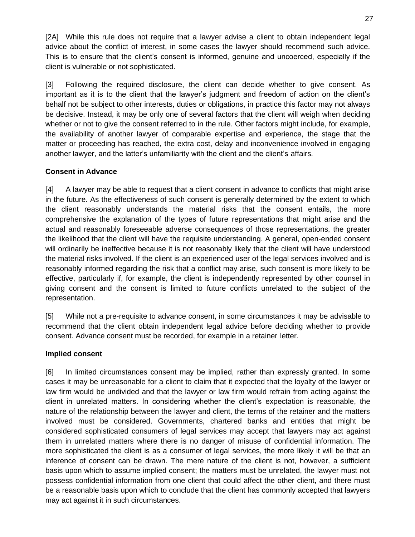[2A] While this rule does not require that a lawyer advise a client to obtain independent legal advice about the conflict of interest, in some cases the lawyer should recommend such advice. This is to ensure that the client's consent is informed, genuine and uncoerced, especially if the client is vulnerable or not sophisticated.

[3] Following the required disclosure, the client can decide whether to give consent. As important as it is to the client that the lawyer's judgment and freedom of action on the client's behalf not be subject to other interests, duties or obligations, in practice this factor may not always be decisive. Instead, it may be only one of several factors that the client will weigh when deciding whether or not to give the consent referred to in the rule. Other factors might include, for example, the availability of another lawyer of comparable expertise and experience, the stage that the matter or proceeding has reached, the extra cost, delay and inconvenience involved in engaging another lawyer, and the latter's unfamiliarity with the client and the client's affairs.

#### **Consent in Advance**

[4] A lawyer may be able to request that a client consent in advance to conflicts that might arise in the future. As the effectiveness of such consent is generally determined by the extent to which the client reasonably understands the material risks that the consent entails, the more comprehensive the explanation of the types of future representations that might arise and the actual and reasonably foreseeable adverse consequences of those representations, the greater the likelihood that the client will have the requisite understanding. A general, open-ended consent will ordinarily be ineffective because it is not reasonably likely that the client will have understood the material risks involved. If the client is an experienced user of the legal services involved and is reasonably informed regarding the risk that a conflict may arise, such consent is more likely to be effective, particularly if, for example, the client is independently represented by other counsel in giving consent and the consent is limited to future conflicts unrelated to the subject of the representation.

[5] While not a pre-requisite to advance consent, in some circumstances it may be advisable to recommend that the client obtain independent legal advice before deciding whether to provide consent. Advance consent must be recorded, for example in a retainer letter.

#### **Implied consent**

[6] In limited circumstances consent may be implied, rather than expressly granted. In some cases it may be unreasonable for a client to claim that it expected that the loyalty of the lawyer or law firm would be undivided and that the lawyer or law firm would refrain from acting against the client in unrelated matters. In considering whether the client's expectation is reasonable, the nature of the relationship between the lawyer and client, the terms of the retainer and the matters involved must be considered. Governments, chartered banks and entities that might be considered sophisticated consumers of legal services may accept that lawyers may act against them in unrelated matters where there is no danger of misuse of confidential information. The more sophisticated the client is as a consumer of legal services, the more likely it will be that an inference of consent can be drawn. The mere nature of the client is not, however, a sufficient basis upon which to assume implied consent; the matters must be unrelated, the lawyer must not possess confidential information from one client that could affect the other client, and there must be a reasonable basis upon which to conclude that the client has commonly accepted that lawyers may act against it in such circumstances.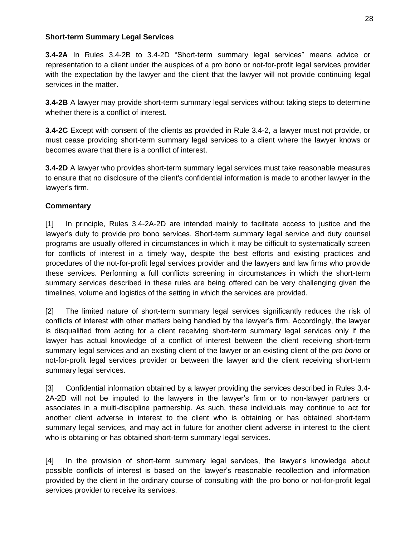#### **Short-term Summary Legal Services**

**3.4-2A** In Rules 3.4-2B to 3.4-2D "Short-term summary legal services" means advice or representation to a client under the auspices of a pro bono or not-for-profit legal services provider with the expectation by the lawyer and the client that the lawyer will not provide continuing legal services in the matter.

**3.4-2B** A lawyer may provide short-term summary legal services without taking steps to determine whether there is a conflict of interest.

**3.4-2C** Except with consent of the clients as provided in Rule 3.4-2, a lawyer must not provide, or must cease providing short-term summary legal services to a client where the lawyer knows or becomes aware that there is a conflict of interest.

**3.4-2D** A lawyer who provides short-term summary legal services must take reasonable measures to ensure that no disclosure of the client's confidential information is made to another lawyer in the lawyer's firm.

## **Commentary**

[1] In principle, Rules 3.4-2A-2D are intended mainly to facilitate access to justice and the lawyer's duty to provide pro bono services. Short-term summary legal service and duty counsel programs are usually offered in circumstances in which it may be difficult to systematically screen for conflicts of interest in a timely way, despite the best efforts and existing practices and procedures of the not-for-profit legal services provider and the lawyers and law firms who provide these services. Performing a full conflicts screening in circumstances in which the short-term summary services described in these rules are being offered can be very challenging given the timelines, volume and logistics of the setting in which the services are provided.

[2] The limited nature of short-term summary legal services significantly reduces the risk of conflicts of interest with other matters being handled by the lawyer's firm. Accordingly, the lawyer is disqualified from acting for a client receiving short-term summary legal services only if the lawyer has actual knowledge of a conflict of interest between the client receiving short-term summary legal services and an existing client of the lawyer or an existing client of the *pro bono* or not-for-profit legal services provider or between the lawyer and the client receiving short-term summary legal services.

[3] Confidential information obtained by a lawyer providing the services described in Rules 3.4- 2A-2D will not be imputed to the lawyers in the lawyer's firm or to non-lawyer partners or associates in a multi-discipline partnership. As such, these individuals may continue to act for another client adverse in interest to the client who is obtaining or has obtained short-term summary legal services, and may act in future for another client adverse in interest to the client who is obtaining or has obtained short-term summary legal services.

[4] In the provision of short-term summary legal services, the lawyer's knowledge about possible conflicts of interest is based on the lawyer's reasonable recollection and information provided by the client in the ordinary course of consulting with the pro bono or not-for-profit legal services provider to receive its services.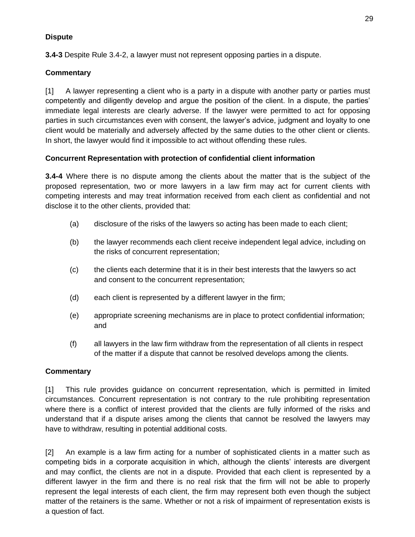## **Dispute**

**3.4-3** Despite Rule 3.4-2, a lawyer must not represent opposing parties in a dispute.

## **Commentary**

[1] A lawyer representing a client who is a party in a dispute with another party or parties must competently and diligently develop and argue the position of the client. In a dispute, the parties' immediate legal interests are clearly adverse. If the lawyer were permitted to act for opposing parties in such circumstances even with consent, the lawyer's advice, judgment and loyalty to one client would be materially and adversely affected by the same duties to the other client or clients. In short, the lawyer would find it impossible to act without offending these rules.

## **Concurrent Representation with protection of confidential client information**

**3.4-4** Where there is no dispute among the clients about the matter that is the subject of the proposed representation, two or more lawyers in a law firm may act for current clients with competing interests and may treat information received from each client as confidential and not disclose it to the other clients, provided that:

- (a) disclosure of the risks of the lawyers so acting has been made to each client;
- (b) the lawyer recommends each client receive independent legal advice, including on the risks of concurrent representation;
- (c) the clients each determine that it is in their best interests that the lawyers so act and consent to the concurrent representation;
- (d) each client is represented by a different lawyer in the firm;
- (e) appropriate screening mechanisms are in place to protect confidential information; and
- (f) all lawyers in the law firm withdraw from the representation of all clients in respect of the matter if a dispute that cannot be resolved develops among the clients.

#### **Commentary**

[1] This rule provides guidance on concurrent representation, which is permitted in limited circumstances. Concurrent representation is not contrary to the rule prohibiting representation where there is a conflict of interest provided that the clients are fully informed of the risks and understand that if a dispute arises among the clients that cannot be resolved the lawyers may have to withdraw, resulting in potential additional costs.

[2] An example is a law firm acting for a number of sophisticated clients in a matter such as competing bids in a corporate acquisition in which, although the clients' interests are divergent and may conflict, the clients are not in a dispute. Provided that each client is represented by a different lawyer in the firm and there is no real risk that the firm will not be able to properly represent the legal interests of each client, the firm may represent both even though the subject matter of the retainers is the same. Whether or not a risk of impairment of representation exists is a question of fact.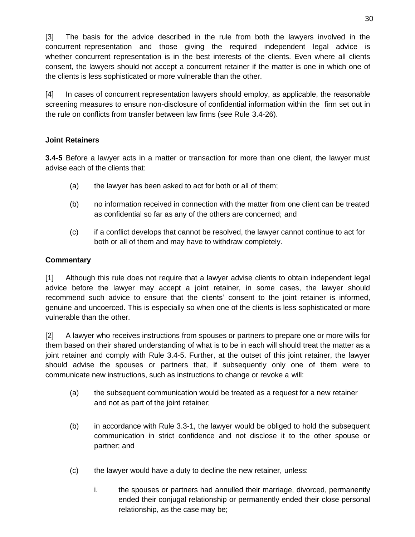[3] The basis for the advice described in the rule from both the lawyers involved in the concurrent representation and those giving the required independent legal advice is whether concurrent representation is in the best interests of the clients. Even where all clients consent, the lawyers should not accept a concurrent retainer if the matter is one in which one of the clients is less sophisticated or more vulnerable than the other.

[4] In cases of concurrent representation lawyers should employ, as applicable, the reasonable screening measures to ensure non-disclosure of confidential information within the firm set out in the rule on conflicts from transfer between law firms (see Rule 3.4-26).

## **Joint Retainers**

**3.4-5** Before a lawyer acts in a matter or transaction for more than one client, the lawyer must advise each of the clients that:

- (a) the lawyer has been asked to act for both or all of them;
- (b) no information received in connection with the matter from one client can be treated as confidential so far as any of the others are concerned; and
- (c) if a conflict develops that cannot be resolved, the lawyer cannot continue to act for both or all of them and may have to withdraw completely.

## **Commentary**

[1] Although this rule does not require that a lawyer advise clients to obtain independent legal advice before the lawyer may accept a joint retainer, in some cases, the lawyer should recommend such advice to ensure that the clients' consent to the joint retainer is informed, genuine and uncoerced. This is especially so when one of the clients is less sophisticated or more vulnerable than the other.

[2] A lawyer who receives instructions from spouses or partners to prepare one or more wills for them based on their shared understanding of what is to be in each will should treat the matter as a joint retainer and comply with Rule 3.4-5. Further, at the outset of this joint retainer, the lawyer should advise the spouses or partners that, if subsequently only one of them were to communicate new instructions, such as instructions to change or revoke a will:

- (a) the subsequent communication would be treated as a request for a new retainer and not as part of the joint retainer;
- (b) in accordance with Rule 3.3-1, the lawyer would be obliged to hold the subsequent communication in strict confidence and not disclose it to the other spouse or partner; and
- (c) the lawyer would have a duty to decline the new retainer, unless:
	- i. the spouses or partners had annulled their marriage, divorced, permanently ended their conjugal relationship or permanently ended their close personal relationship, as the case may be;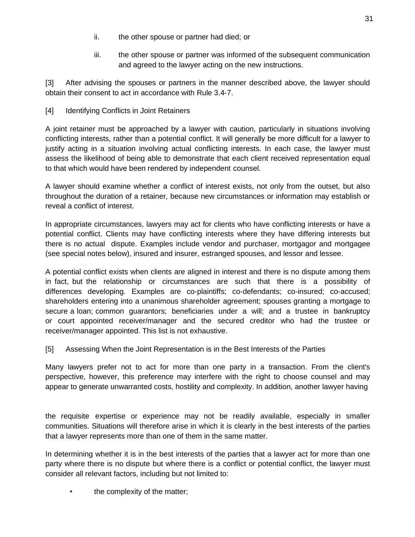- ii. the other spouse or partner had died; or
- iii. the other spouse or partner was informed of the subsequent communication and agreed to the lawyer acting on the new instructions.

[3] After advising the spouses or partners in the manner described above, the lawyer should obtain their consent to act in accordance with Rule 3.4-7.

[4] Identifying Conflicts in Joint Retainers

A joint retainer must be approached by a lawyer with caution, particularly in situations involving conflicting interests, rather than a potential conflict. It will generally be more difficult for a lawyer to justify acting in a situation involving actual conflicting interests. In each case, the lawyer must assess the likelihood of being able to demonstrate that each client received representation equal to that which would have been rendered by independent counsel.

A lawyer should examine whether a conflict of interest exists, not only from the outset, but also throughout the duration of a retainer, because new circumstances or information may establish or reveal a conflict of interest.

In appropriate circumstances, lawyers may act for clients who have conflicting interests or have a potential conflict. Clients may have conflicting interests where they have differing interests but there is no actual dispute. Examples include vendor and purchaser, mortgagor and mortgagee (see special notes below), insured and insurer, estranged spouses, and lessor and lessee.

A potential conflict exists when clients are aligned in interest and there is no dispute among them in fact, but the relationship or circumstances are such that there is a possibility of differences developing. Examples are co-plaintiffs; co-defendants; co-insured; co-accused; shareholders entering into a unanimous shareholder agreement; spouses granting a mortgage to secure a loan; common guarantors; beneficiaries under a will; and a trustee in bankruptcy or court appointed receiver/manager and the secured creditor who had the trustee or receiver/manager appointed. This list is not exhaustive.

[5] Assessing When the Joint Representation is in the Best Interests of the Parties

Many lawyers prefer not to act for more than one party in a transaction. From the client's perspective, however, this preference may interfere with the right to choose counsel and may appear to generate unwarranted costs, hostility and complexity. In addition, another lawyer having

the requisite expertise or experience may not be readily available, especially in smaller communities. Situations will therefore arise in which it is clearly in the best interests of the parties that a lawyer represents more than one of them in the same matter.

In determining whether it is in the best interests of the parties that a lawyer act for more than one party where there is no dispute but where there is a conflict or potential conflict, the lawyer must consider all relevant factors, including but not limited to:

the complexity of the matter;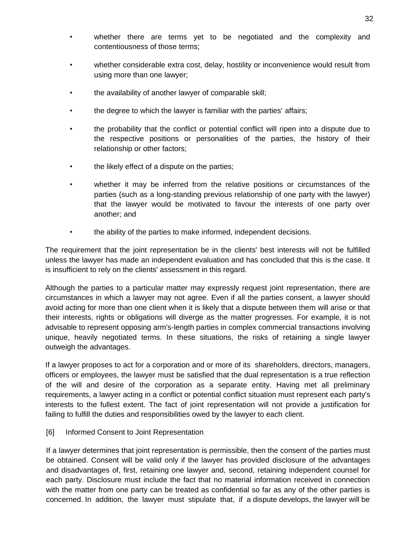- whether there are terms yet to be negotiated and the complexity and contentiousness of those terms;
- whether considerable extra cost, delay, hostility or inconvenience would result from using more than one lawyer;
- the availability of another lawyer of comparable skill;
- the degree to which the lawyer is familiar with the parties' affairs;
- the probability that the conflict or potential conflict will ripen into a dispute due to the respective positions or personalities of the parties, the history of their relationship or other factors;
- the likely effect of a dispute on the parties;
- whether it may be inferred from the relative positions or circumstances of the parties (such as a long-standing previous relationship of one party with the lawyer) that the lawyer would be motivated to favour the interests of one party over another; and
- the ability of the parties to make informed, independent decisions.

The requirement that the joint representation be in the clients' best interests will not be fulfilled unless the lawyer has made an independent evaluation and has concluded that this is the case. It is insufficient to rely on the clients' assessment in this regard.

Although the parties to a particular matter may expressly request joint representation, there are circumstances in which a lawyer may not agree. Even if all the parties consent, a lawyer should avoid acting for more than one client when it is likely that a dispute between them will arise or that their interests, rights or obligations will diverge as the matter progresses. For example, it is not advisable to represent opposing arm's-length parties in complex commercial transactions involving unique, heavily negotiated terms. In these situations, the risks of retaining a single lawyer outweigh the advantages.

If a lawyer proposes to act for a corporation and or more of its shareholders, directors, managers, officers or employees, the lawyer must be satisfied that the dual representation is a true reflection of the will and desire of the corporation as a separate entity. Having met all preliminary requirements, a lawyer acting in a conflict or potential conflict situation must represent each party's interests to the fullest extent. The fact of joint representation will not provide a justification for failing to fulfill the duties and responsibilities owed by the lawyer to each client.

[6] Informed Consent to Joint Representation

If a lawyer determines that joint representation is permissible, then the consent of the parties must be obtained. Consent will be valid only if the lawyer has provided disclosure of the advantages and disadvantages of, first, retaining one lawyer and, second, retaining independent counsel for each party. Disclosure must include the fact that no material information received in connection with the matter from one party can be treated as confidential so far as any of the other parties is concerned. In addition, the lawyer must stipulate that, if a dispute develops, the lawyer will be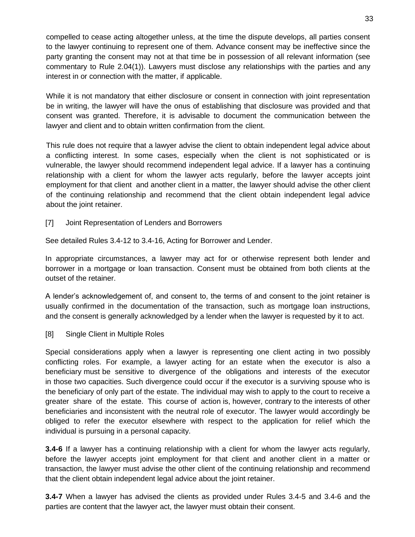compelled to cease acting altogether unless, at the time the dispute develops, all parties consent to the lawyer continuing to represent one of them. Advance consent may be ineffective since the party granting the consent may not at that time be in possession of all relevant information (see commentary to Rule 2.04(1)). Lawyers must disclose any relationships with the parties and any interest in or connection with the matter, if applicable.

While it is not mandatory that either disclosure or consent in connection with joint representation be in writing, the lawyer will have the onus of establishing that disclosure was provided and that consent was granted. Therefore, it is advisable to document the communication between the lawyer and client and to obtain written confirmation from the client.

This rule does not require that a lawyer advise the client to obtain independent legal advice about a conflicting interest. In some cases, especially when the client is not sophisticated or is vulnerable, the lawyer should recommend independent legal advice. If a lawyer has a continuing relationship with a client for whom the lawyer acts regularly, before the lawyer accepts joint employment for that client and another client in a matter, the lawyer should advise the other client of the continuing relationship and recommend that the client obtain independent legal advice about the joint retainer.

[7] Joint Representation of Lenders and Borrowers

See detailed Rules 3.4-12 to 3.4-16, Acting for Borrower and Lender.

In appropriate circumstances, a lawyer may act for or otherwise represent both lender and borrower in a mortgage or loan transaction. Consent must be obtained from both clients at the outset of the retainer.

A lender's acknowledgement of, and consent to, the terms of and consent to the joint retainer is usually confirmed in the documentation of the transaction, such as mortgage loan instructions, and the consent is generally acknowledged by a lender when the lawyer is requested by it to act.

[8] Single Client in Multiple Roles

Special considerations apply when a lawyer is representing one client acting in two possibly conflicting roles. For example, a lawyer acting for an estate when the executor is also a beneficiary must be sensitive to divergence of the obligations and interests of the executor in those two capacities. Such divergence could occur if the executor is a surviving spouse who is the beneficiary of only part of the estate. The individual may wish to apply to the court to receive a greater share of the estate. This course of action is, however, contrary to the interests of other beneficiaries and inconsistent with the neutral role of executor. The lawyer would accordingly be obliged to refer the executor elsewhere with respect to the application for relief which the individual is pursuing in a personal capacity.

**3.4-6** If a lawyer has a continuing relationship with a client for whom the lawyer acts regularly, before the lawyer accepts joint employment for that client and another client in a matter or transaction, the lawyer must advise the other client of the continuing relationship and recommend that the client obtain independent legal advice about the joint retainer.

**3.4-7** When a lawyer has advised the clients as provided under Rules 3.4-5 and 3.4-6 and the parties are content that the lawyer act, the lawyer must obtain their consent.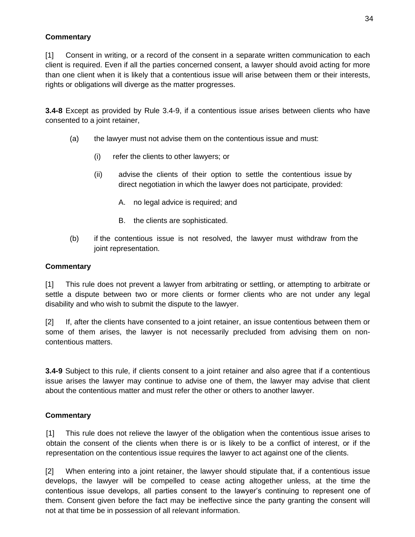[1] Consent in writing, or a record of the consent in a separate written communication to each client is required. Even if all the parties concerned consent, a lawyer should avoid acting for more than one client when it is likely that a contentious issue will arise between them or their interests, rights or obligations will diverge as the matter progresses.

**3.4-8** Except as provided by Rule 3.4-9, if a contentious issue arises between clients who have consented to a joint retainer,

- (a) the lawyer must not advise them on the contentious issue and must:
	- (i) refer the clients to other lawyers; or
	- (ii) advise the clients of their option to settle the contentious issue by direct negotiation in which the lawyer does not participate, provided:
		- A. no legal advice is required; and
		- B. the clients are sophisticated.
- (b) if the contentious issue is not resolved, the lawyer must withdraw from the joint representation.

#### **Commentary**

[1] This rule does not prevent a lawyer from arbitrating or settling, or attempting to arbitrate or settle a dispute between two or more clients or former clients who are not under any legal disability and who wish to submit the dispute to the lawyer.

[2] If, after the clients have consented to a joint retainer, an issue contentious between them or some of them arises, the lawyer is not necessarily precluded from advising them on noncontentious matters.

**3.4-9** Subject to this rule, if clients consent to a joint retainer and also agree that if a contentious issue arises the lawyer may continue to advise one of them, the lawyer may advise that client about the contentious matter and must refer the other or others to another lawyer.

# **Commentary**

[1] This rule does not relieve the lawyer of the obligation when the contentious issue arises to obtain the consent of the clients when there is or is likely to be a conflict of interest, or if the representation on the contentious issue requires the lawyer to act against one of the clients.

[2] When entering into a joint retainer, the lawyer should stipulate that, if a contentious issue develops, the lawyer will be compelled to cease acting altogether unless, at the time the contentious issue develops, all parties consent to the lawyer's continuing to represent one of them. Consent given before the fact may be ineffective since the party granting the consent will not at that time be in possession of all relevant information.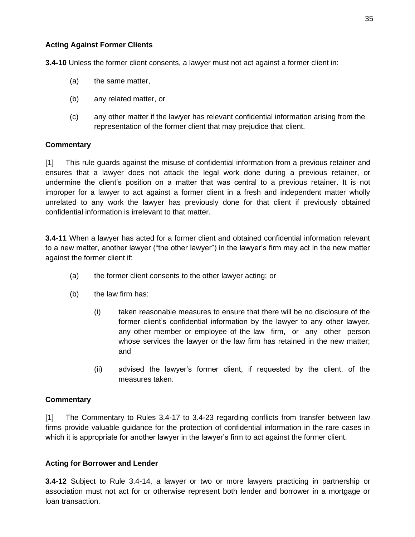#### **Acting Against Former Clients**

**3.4-10** Unless the former client consents, a lawyer must not act against a former client in:

- (a) the same matter,
- (b) any related matter, or
- (c) any other matter if the lawyer has relevant confidential information arising from the representation of the former client that may prejudice that client.

#### **Commentary**

[1] This rule guards against the misuse of confidential information from a previous retainer and ensures that a lawyer does not attack the legal work done during a previous retainer, or undermine the client's position on a matter that was central to a previous retainer. It is not improper for a lawyer to act against a former client in a fresh and independent matter wholly unrelated to any work the lawyer has previously done for that client if previously obtained confidential information is irrelevant to that matter.

**3.4-11** When a lawyer has acted for a former client and obtained confidential information relevant to a new matter, another lawyer ("the other lawyer") in the lawyer's firm may act in the new matter against the former client if:

- (a) the former client consents to the other lawyer acting; or
- (b) the law firm has:
	- (i) taken reasonable measures to ensure that there will be no disclosure of the former client's confidential information by the lawyer to any other lawyer, any other member or employee of the law firm, or any other person whose services the lawyer or the law firm has retained in the new matter; and
	- (ii) advised the lawyer's former client, if requested by the client, of the measures taken.

#### **Commentary**

[1] The Commentary to Rules 3.4-17 to 3.4-23 regarding conflicts from transfer between law firms provide valuable guidance for the protection of confidential information in the rare cases in which it is appropriate for another lawyer in the lawyer's firm to act against the former client.

#### **Acting for Borrower and Lender**

**3.4-12** Subject to Rule 3.4-14, a lawyer or two or more lawyers practicing in partnership or association must not act for or otherwise represent both lender and borrower in a mortgage or loan transaction.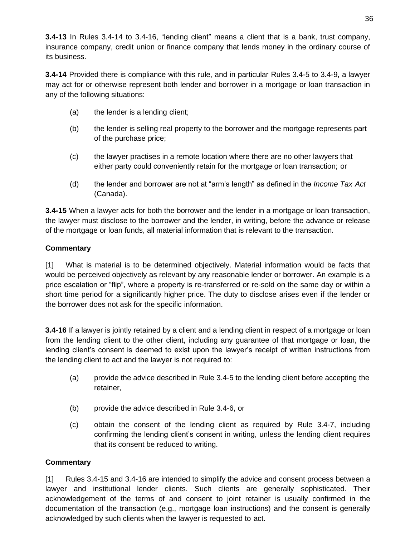**3.4-13** In Rules 3.4-14 to 3.4-16, "lending client" means a client that is a bank, trust company, insurance company, credit union or finance company that lends money in the ordinary course of its business.

**3.4-14** Provided there is compliance with this rule, and in particular Rules 3.4-5 to 3.4-9, a lawyer may act for or otherwise represent both lender and borrower in a mortgage or loan transaction in any of the following situations:

- (a) the lender is a lending client;
- (b) the lender is selling real property to the borrower and the mortgage represents part of the purchase price;
- (c) the lawyer practises in a remote location where there are no other lawyers that either party could conveniently retain for the mortgage or loan transaction; or
- (d) the lender and borrower are not at "arm's length" as defined in the *Income Tax Act* (Canada).

**3.4-15** When a lawyer acts for both the borrower and the lender in a mortgage or loan transaction, the lawyer must disclose to the borrower and the lender, in writing, before the advance or release of the mortgage or loan funds, all material information that is relevant to the transaction.

# **Commentary**

[1] What is material is to be determined objectively. Material information would be facts that would be perceived objectively as relevant by any reasonable lender or borrower. An example is a price escalation or "flip", where a property is re-transferred or re-sold on the same day or within a short time period for a significantly higher price. The duty to disclose arises even if the lender or the borrower does not ask for the specific information.

**3.4-16** If a lawyer is jointly retained by a client and a lending client in respect of a mortgage or loan from the lending client to the other client, including any guarantee of that mortgage or loan, the lending client's consent is deemed to exist upon the lawyer's receipt of written instructions from the lending client to act and the lawyer is not required to:

- (a) provide the advice described in Rule 3.4-5 to the lending client before accepting the retainer,
- (b) provide the advice described in Rule 3.4-6, or
- (c) obtain the consent of the lending client as required by Rule 3.4-7, including confirming the lending client's consent in writing, unless the lending client requires that its consent be reduced to writing.

# **Commentary**

[1] Rules 3.4-15 and 3.4-16 are intended to simplify the advice and consent process between a lawyer and institutional lender clients. Such clients are generally sophisticated. Their acknowledgement of the terms of and consent to joint retainer is usually confirmed in the documentation of the transaction (e.g., mortgage loan instructions) and the consent is generally acknowledged by such clients when the lawyer is requested to act.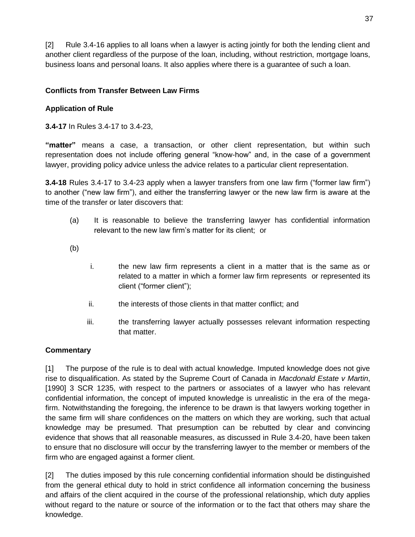[2] Rule 3.4-16 applies to all loans when a lawyer is acting jointly for both the lending client and another client regardless of the purpose of the loan, including, without restriction, mortgage loans, business loans and personal loans. It also applies where there is a guarantee of such a loan.

# **Conflicts from Transfer Between Law Firms**

#### **Application of Rule**

**3.4-17** In Rules 3.4-17 to 3.4-23,

**"matter"** means a case, a transaction, or other client representation, but within such representation does not include offering general "know-how" and, in the case of a government lawyer, providing policy advice unless the advice relates to a particular client representation.

**3.4-18** Rules 3.4-17 to 3.4-23 apply when a lawyer transfers from one law firm ("former law firm") to another ("new law firm"), and either the transferring lawyer or the new law firm is aware at the time of the transfer or later discovers that:

- (a) It is reasonable to believe the transferring lawyer has confidential information relevant to the new law firm's matter for its client; or
- (b)
- i. the new law firm represents a client in a matter that is the same as or related to a matter in which a former law firm represents or represented its client ("former client");
- ii. the interests of those clients in that matter conflict; and
- iii. the transferring lawyer actually possesses relevant information respecting that matter.

#### **Commentary**

[1] The purpose of the rule is to deal with actual knowledge. Imputed knowledge does not give rise to disqualification. As stated by the Supreme Court of Canada in *Macdonald Estate v Martin*, [1990] 3 SCR 1235, with respect to the partners or associates of a lawyer who has relevant confidential information, the concept of imputed knowledge is unrealistic in the era of the megafirm. Notwithstanding the foregoing, the inference to be drawn is that lawyers working together in the same firm will share confidences on the matters on which they are working, such that actual knowledge may be presumed. That presumption can be rebutted by clear and convincing evidence that shows that all reasonable measures, as discussed in Rule 3.4-20, have been taken to ensure that no disclosure will occur by the transferring lawyer to the member or members of the firm who are engaged against a former client.

[2] The duties imposed by this rule concerning confidential information should be distinguished from the general ethical duty to hold in strict confidence all information concerning the business and affairs of the client acquired in the course of the professional relationship, which duty applies without regard to the nature or source of the information or to the fact that others may share the knowledge.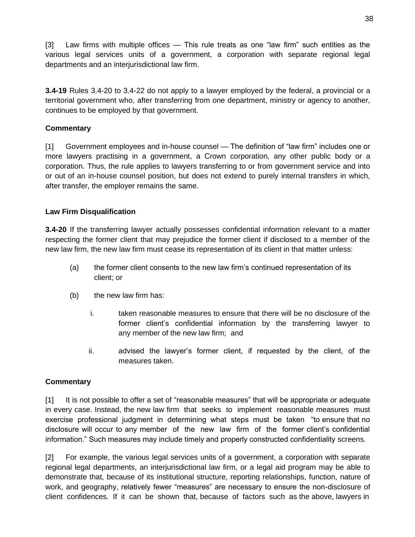[3] Law firms with multiple offices — This rule treats as one "law firm" such entities as the various legal services units of a government, a corporation with separate regional legal departments and an interjurisdictional law firm.

**3.4-19** Rules 3.4-20 to 3.4-22 do not apply to a lawyer employed by the federal, a provincial or a territorial government who, after transferring from one department, ministry or agency to another, continues to be employed by that government.

# **Commentary**

[1] Government employees and in-house counsel — The definition of "law firm" includes one or more lawyers practising in a government, a Crown corporation, any other public body or a corporation. Thus, the rule applies to lawyers transferring to or from government service and into or out of an in-house counsel position, but does not extend to purely internal transfers in which, after transfer, the employer remains the same.

# **Law Firm Disqualification**

**3.4-20** If the transferring lawyer actually possesses confidential information relevant to a matter respecting the former client that may prejudice the former client if disclosed to a member of the new law firm, the new law firm must cease its representation of its client in that matter unless:

- (a) the former client consents to the new law firm's continued representation of its client; or
- (b) the new law firm has:
	- i. taken reasonable measures to ensure that there will be no disclosure of the former client's confidential information by the transferring lawyer to any member of the new law firm; and
	- ii. advised the lawyer's former client, if requested by the client, of the measures taken.

# **Commentary**

[1] It is not possible to offer a set of "reasonable measures" that will be appropriate or adequate in every case. Instead, the new law firm that seeks to implement reasonable measures must exercise professional judgment in determining what steps must be taken "to ensure that no disclosure will occur to any member of the new law firm of the former client's confidential information." Such measures may include timely and properly constructed confidentiality screens.

[2] For example, the various legal services units of a government, a corporation with separate regional legal departments, an interjurisdictional law firm, or a legal aid program may be able to demonstrate that, because of its institutional structure, reporting relationships, function, nature of work, and geography, relatively fewer "measures" are necessary to ensure the non-disclosure of client confidences. If it can be shown that, because of factors such as the above, lawyers in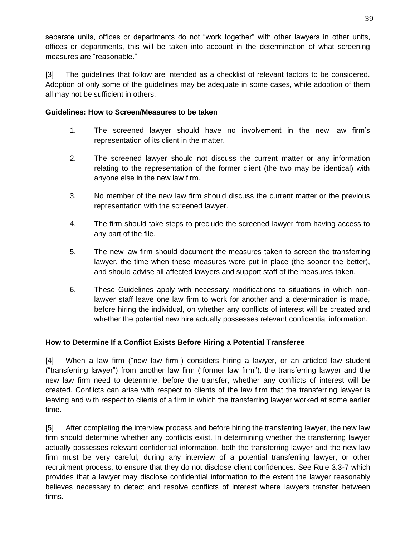separate units, offices or departments do not "work together" with other lawyers in other units, offices or departments, this will be taken into account in the determination of what screening measures are "reasonable."

[3] The quidelines that follow are intended as a checklist of relevant factors to be considered. Adoption of only some of the guidelines may be adequate in some cases, while adoption of them all may not be sufficient in others.

#### **Guidelines: How to Screen/Measures to be taken**

- 1. The screened lawyer should have no involvement in the new law firm's representation of its client in the matter.
- 2. The screened lawyer should not discuss the current matter or any information relating to the representation of the former client (the two may be identical) with anyone else in the new law firm.
- 3. No member of the new law firm should discuss the current matter or the previous representation with the screened lawyer.
- 4. The firm should take steps to preclude the screened lawyer from having access to any part of the file.
- 5. The new law firm should document the measures taken to screen the transferring lawyer, the time when these measures were put in place (the sooner the better), and should advise all affected lawyers and support staff of the measures taken.
- 6. These Guidelines apply with necessary modifications to situations in which nonlawyer staff leave one law firm to work for another and a determination is made, before hiring the individual, on whether any conflicts of interest will be created and whether the potential new hire actually possesses relevant confidential information.

# **How to Determine If a Conflict Exists Before Hiring a Potential Transferee**

[4] When a law firm ("new law firm") considers hiring a lawyer, or an articled law student ("transferring lawyer") from another law firm ("former law firm"), the transferring lawyer and the new law firm need to determine, before the transfer, whether any conflicts of interest will be created. Conflicts can arise with respect to clients of the law firm that the transferring lawyer is leaving and with respect to clients of a firm in which the transferring lawyer worked at some earlier time.

[5] After completing the interview process and before hiring the transferring lawyer, the new law firm should determine whether any conflicts exist. In determining whether the transferring lawyer actually possesses relevant confidential information, both the transferring lawyer and the new law firm must be very careful, during any interview of a potential transferring lawyer, or other recruitment process, to ensure that they do not disclose client confidences. See Rule 3.3-7 which provides that a lawyer may disclose confidential information to the extent the lawyer reasonably believes necessary to detect and resolve conflicts of interest where lawyers transfer between firms.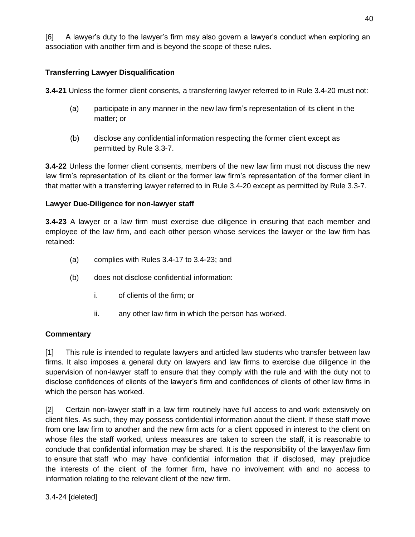[6] A lawyer's duty to the lawyer's firm may also govern a lawyer's conduct when exploring an association with another firm and is beyond the scope of these rules.

# **Transferring Lawyer Disqualification**

**3.4-21** Unless the former client consents, a transferring lawyer referred to in Rule 3.4-20 must not:

- (a) participate in any manner in the new law firm's representation of its client in the matter; or
- (b) disclose any confidential information respecting the former client except as permitted by Rule 3.3-7.

**3.4-22** Unless the former client consents, members of the new law firm must not discuss the new law firm's representation of its client or the former law firm's representation of the former client in that matter with a transferring lawyer referred to in Rule 3.4-20 except as permitted by Rule 3.3-7.

#### **Lawyer Due-Diligence for non-lawyer staff**

**3.4-23** A lawyer or a law firm must exercise due diligence in ensuring that each member and employee of the law firm, and each other person whose services the lawyer or the law firm has retained:

- (a) complies with Rules 3.4-17 to 3.4-23; and
- (b) does not disclose confidential information:
	- i. of clients of the firm; or
	- ii. any other law firm in which the person has worked.

#### **Commentary**

[1] This rule is intended to regulate lawyers and articled law students who transfer between law firms. It also imposes a general duty on lawyers and law firms to exercise due diligence in the supervision of non-lawyer staff to ensure that they comply with the rule and with the duty not to disclose confidences of clients of the lawyer's firm and confidences of clients of other law firms in which the person has worked.

[2] Certain non-lawyer staff in a law firm routinely have full access to and work extensively on client files. As such, they may possess confidential information about the client. If these staff move from one law firm to another and the new firm acts for a client opposed in interest to the client on whose files the staff worked, unless measures are taken to screen the staff, it is reasonable to conclude that confidential information may be shared. It is the responsibility of the lawyer/law firm to ensure that staff who may have confidential information that if disclosed, may prejudice the interests of the client of the former firm, have no involvement with and no access to information relating to the relevant client of the new firm.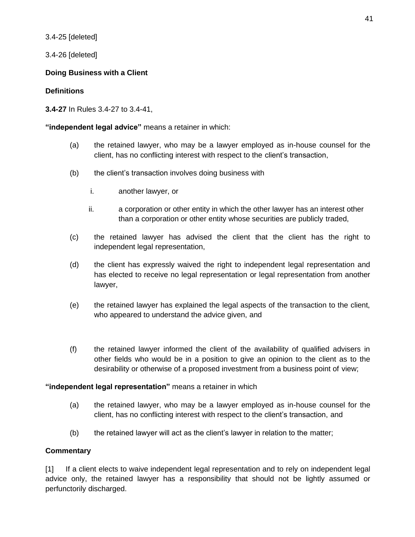3.4-25 [deleted]

3.4-26 [deleted]

# **Doing Business with a Client**

# **Definitions**

**3.4-27** In Rules 3.4-27 to 3.4-41,

**"independent legal advice"** means a retainer in which:

- (a) the retained lawyer, who may be a lawyer employed as in-house counsel for the client, has no conflicting interest with respect to the client's transaction,
- (b) the client's transaction involves doing business with
	- i. another lawyer, or
	- ii. a corporation or other entity in which the other lawyer has an interest other than a corporation or other entity whose securities are publicly traded,
- (c) the retained lawyer has advised the client that the client has the right to independent legal representation,
- (d) the client has expressly waived the right to independent legal representation and has elected to receive no legal representation or legal representation from another lawyer,
- (e) the retained lawyer has explained the legal aspects of the transaction to the client, who appeared to understand the advice given, and
- (f) the retained lawyer informed the client of the availability of qualified advisers in other fields who would be in a position to give an opinion to the client as to the desirability or otherwise of a proposed investment from a business point of view;

# **"independent legal representation"** means a retainer in which

- (a) the retained lawyer, who may be a lawyer employed as in-house counsel for the client, has no conflicting interest with respect to the client's transaction, and
- (b) the retained lawyer will act as the client's lawyer in relation to the matter;

# **Commentary**

[1] If a client elects to waive independent legal representation and to rely on independent legal advice only, the retained lawyer has a responsibility that should not be lightly assumed or perfunctorily discharged.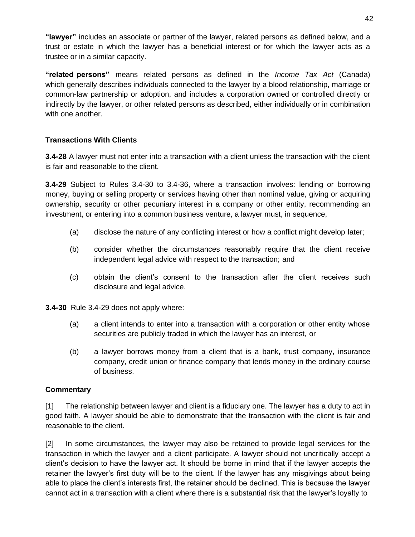**"lawyer"** includes an associate or partner of the lawyer, related persons as defined below, and a trust or estate in which the lawyer has a beneficial interest or for which the lawyer acts as a trustee or in a similar capacity.

**"related persons"** means related persons as defined in the *Income Tax Act* (Canada) which generally describes individuals connected to the lawyer by a blood relationship, marriage or common-law partnership or adoption, and includes a corporation owned or controlled directly or indirectly by the lawyer, or other related persons as described, either individually or in combination with one another.

# **Transactions With Clients**

**3.4-28** A lawyer must not enter into a transaction with a client unless the transaction with the client is fair and reasonable to the client.

**3.4-29** Subject to Rules 3.4-30 to 3.4-36, where a transaction involves: lending or borrowing money, buying or selling property or services having other than nominal value, giving or acquiring ownership, security or other pecuniary interest in a company or other entity, recommending an investment, or entering into a common business venture, a lawyer must, in sequence,

- (a) disclose the nature of any conflicting interest or how a conflict might develop later;
- (b) consider whether the circumstances reasonably require that the client receive independent legal advice with respect to the transaction; and
- (c) obtain the client's consent to the transaction after the client receives such disclosure and legal advice.

**3.4-30** Rule 3.4-29 does not apply where:

- (a) a client intends to enter into a transaction with a corporation or other entity whose securities are publicly traded in which the lawyer has an interest, or
- (b) a lawyer borrows money from a client that is a bank, trust company, insurance company, credit union or finance company that lends money in the ordinary course of business.

# **Commentary**

[1] The relationship between lawyer and client is a fiduciary one. The lawyer has a duty to act in good faith. A lawyer should be able to demonstrate that the transaction with the client is fair and reasonable to the client.

[2] In some circumstances, the lawyer may also be retained to provide legal services for the transaction in which the lawyer and a client participate. A lawyer should not uncritically accept a client's decision to have the lawyer act. It should be borne in mind that if the lawyer accepts the retainer the lawyer's first duty will be to the client. If the lawyer has any misgivings about being able to place the client's interests first, the retainer should be declined. This is because the lawyer cannot act in a transaction with a client where there is a substantial risk that the lawyer's loyalty to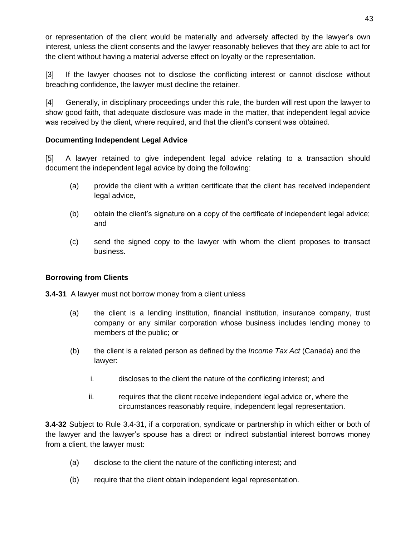or representation of the client would be materially and adversely affected by the lawyer's own interest, unless the client consents and the lawyer reasonably believes that they are able to act for the client without having a material adverse effect on loyalty or the representation.

[3] If the lawyer chooses not to disclose the conflicting interest or cannot disclose without breaching confidence, the lawyer must decline the retainer.

[4] Generally, in disciplinary proceedings under this rule, the burden will rest upon the lawyer to show good faith, that adequate disclosure was made in the matter, that independent legal advice was received by the client, where required, and that the client's consent was obtained.

# **Documenting Independent Legal Advice**

[5] A lawyer retained to give independent legal advice relating to a transaction should document the independent legal advice by doing the following:

- (a) provide the client with a written certificate that the client has received independent legal advice,
- (b) obtain the client's signature on a copy of the certificate of independent legal advice; and
- (c) send the signed copy to the lawyer with whom the client proposes to transact business.

# **Borrowing from Clients**

**3.4-31** A lawyer must not borrow money from a client unless

- (a) the client is a lending institution, financial institution, insurance company, trust company or any similar corporation whose business includes lending money to members of the public; or
- (b) the client is a related person as defined by the *Income Tax Act* (Canada) and the lawyer:
	- i. discloses to the client the nature of the conflicting interest; and
	- ii. requires that the client receive independent legal advice or, where the circumstances reasonably require, independent legal representation.

**3.4-32** Subject to Rule 3.4-31, if a corporation, syndicate or partnership in which either or both of the lawyer and the lawyer's spouse has a direct or indirect substantial interest borrows money from a client, the lawyer must:

- (a) disclose to the client the nature of the conflicting interest; and
- (b) require that the client obtain independent legal representation.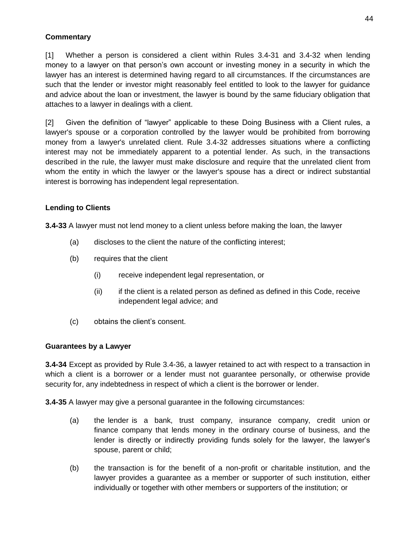[1] Whether a person is considered a client within Rules 3.4-31 and 3.4-32 when lending money to a lawyer on that person's own account or investing money in a security in which the lawyer has an interest is determined having regard to all circumstances. If the circumstances are such that the lender or investor might reasonably feel entitled to look to the lawyer for guidance and advice about the loan or investment, the lawyer is bound by the same fiduciary obligation that attaches to a lawyer in dealings with a client.

[2] Given the definition of "lawyer" applicable to these Doing Business with a Client rules, a lawyer's spouse or a corporation controlled by the lawyer would be prohibited from borrowing money from a lawyer's unrelated client. Rule 3.4-32 addresses situations where a conflicting interest may not be immediately apparent to a potential lender. As such, in the transactions described in the rule, the lawyer must make disclosure and require that the unrelated client from whom the entity in which the lawyer or the lawyer's spouse has a direct or indirect substantial interest is borrowing has independent legal representation.

#### **Lending to Clients**

**3.4-33** A lawyer must not lend money to a client unless before making the loan, the lawyer

- (a) discloses to the client the nature of the conflicting interest;
- (b) requires that the client
	- (i) receive independent legal representation, or
	- (ii) if the client is a related person as defined as defined in this Code, receive independent legal advice; and
- (c) obtains the client's consent.

#### **Guarantees by a Lawyer**

**3.4-34** Except as provided by Rule 3.4-36, a lawyer retained to act with respect to a transaction in which a client is a borrower or a lender must not guarantee personally, or otherwise provide security for, any indebtedness in respect of which a client is the borrower or lender.

**3.4-35** A lawyer may give a personal guarantee in the following circumstances:

- (a) the lender is a bank, trust company, insurance company, credit union or finance company that lends money in the ordinary course of business, and the lender is directly or indirectly providing funds solely for the lawyer, the lawyer's spouse, parent or child;
- (b) the transaction is for the benefit of a non-profit or charitable institution, and the lawyer provides a guarantee as a member or supporter of such institution, either individually or together with other members or supporters of the institution; or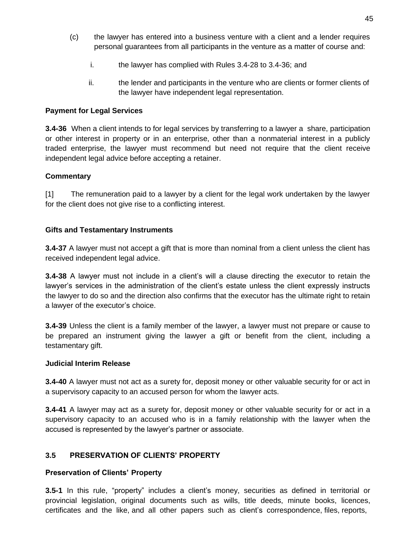- (c) the lawyer has entered into a business venture with a client and a lender requires personal guarantees from all participants in the venture as a matter of course and:
	- i. the lawyer has complied with Rules 3.4-28 to 3.4-36; and
	- ii. the lender and participants in the venture who are clients or former clients of the lawyer have independent legal representation.

# **Payment for Legal Services**

**3.4-36** When a client intends to for legal services by transferring to a lawyer a share, participation or other interest in property or in an enterprise, other than a nonmaterial interest in a publicly traded enterprise, the lawyer must recommend but need not require that the client receive independent legal advice before accepting a retainer.

# **Commentary**

[1] The remuneration paid to a lawyer by a client for the legal work undertaken by the lawyer for the client does not give rise to a conflicting interest.

# **Gifts and Testamentary Instruments**

**3.4-37** A lawyer must not accept a gift that is more than nominal from a client unless the client has received independent legal advice.

**3.4-38** A lawyer must not include in a client's will a clause directing the executor to retain the lawyer's services in the administration of the client's estate unless the client expressly instructs the lawyer to do so and the direction also confirms that the executor has the ultimate right to retain a lawyer of the executor's choice.

**3.4-39** Unless the client is a family member of the lawyer, a lawyer must not prepare or cause to be prepared an instrument giving the lawyer a gift or benefit from the client, including a testamentary gift.

# **Judicial Interim Release**

**3.4-40** A lawyer must not act as a surety for, deposit money or other valuable security for or act in a supervisory capacity to an accused person for whom the lawyer acts.

**3.4-41** A lawyer may act as a surety for, deposit money or other valuable security for or act in a supervisory capacity to an accused who is in a family relationship with the lawyer when the accused is represented by the lawyer's partner or associate.

# **3.5 PRESERVATION OF CLIENTS' PROPERTY**

# **Preservation of Clients' Property**

**3.5-1** In this rule, "property" includes a client's money, securities as defined in territorial or provincial legislation, original documents such as wills, title deeds, minute books, licences, certificates and the like, and all other papers such as client's correspondence, files, reports,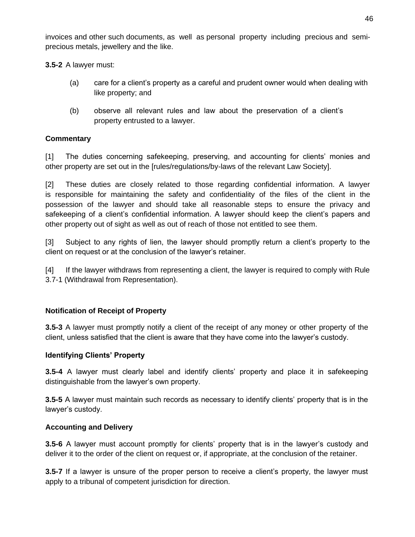invoices and other such documents, as well as personal property including precious and semiprecious metals, jewellery and the like.

**3.5-2** A lawyer must:

- (a) care for a client's property as a careful and prudent owner would when dealing with like property; and
- (b) observe all relevant rules and law about the preservation of a client's property entrusted to a lawyer.

# **Commentary**

[1] The duties concerning safekeeping, preserving, and accounting for clients' monies and other property are set out in the [rules/regulations/by-laws of the relevant Law Society].

[2] These duties are closely related to those regarding confidential information. A lawyer is responsible for maintaining the safety and confidentiality of the files of the client in the possession of the lawyer and should take all reasonable steps to ensure the privacy and safekeeping of a client's confidential information. A lawyer should keep the client's papers and other property out of sight as well as out of reach of those not entitled to see them.

[3] Subject to any rights of lien, the lawyer should promptly return a client's property to the client on request or at the conclusion of the lawyer's retainer.

[4] If the lawyer withdraws from representing a client, the lawyer is required to comply with Rule 3.7-1 (Withdrawal from Representation).

# **Notification of Receipt of Property**

**3.5-3** A lawyer must promptly notify a client of the receipt of any money or other property of the client, unless satisfied that the client is aware that they have come into the lawyer's custody.

#### **Identifying Clients' Property**

**3.5-4** A lawyer must clearly label and identify clients' property and place it in safekeeping distinguishable from the lawyer's own property.

**3.5-5** A lawyer must maintain such records as necessary to identify clients' property that is in the lawyer's custody.

#### **Accounting and Delivery**

**3.5-6** A lawyer must account promptly for clients' property that is in the lawyer's custody and deliver it to the order of the client on request or, if appropriate, at the conclusion of the retainer.

**3.5-7** If a lawyer is unsure of the proper person to receive a client's property, the lawyer must apply to a tribunal of competent jurisdiction for direction.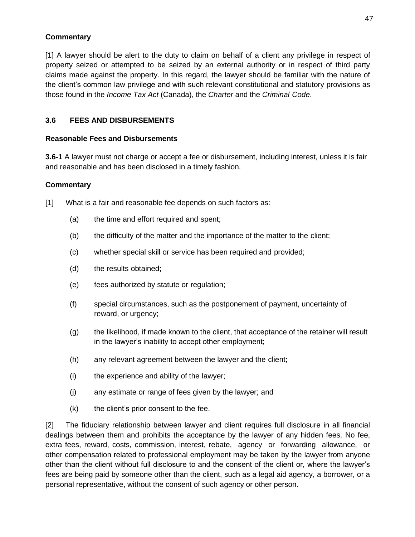[1] A lawyer should be alert to the duty to claim on behalf of a client any privilege in respect of property seized or attempted to be seized by an external authority or in respect of third party claims made against the property. In this regard, the lawyer should be familiar with the nature of the client's common law privilege and with such relevant constitutional and statutory provisions as those found in the *Income Tax Act* (Canada), the *Charter* and the *Criminal Code*.

# **3.6 FEES AND DISBURSEMENTS**

# **Reasonable Fees and Disbursements**

**3.6-1** A lawyer must not charge or accept a fee or disbursement, including interest, unless it is fair and reasonable and has been disclosed in a timely fashion.

#### **Commentary**

- [1] What is a fair and reasonable fee depends on such factors as:
	- (a) the time and effort required and spent;
	- (b) the difficulty of the matter and the importance of the matter to the client;
	- (c) whether special skill or service has been required and provided;
	- (d) the results obtained;
	- (e) fees authorized by statute or regulation;
	- (f) special circumstances, such as the postponement of payment, uncertainty of reward, or urgency;
	- (g) the likelihood, if made known to the client, that acceptance of the retainer will result in the lawyer's inability to accept other employment;
	- (h) any relevant agreement between the lawyer and the client;
	- (i) the experience and ability of the lawyer;
	- (j) any estimate or range of fees given by the lawyer; and
	- $(k)$  the client's prior consent to the fee.

[2] The fiduciary relationship between lawyer and client requires full disclosure in all financial dealings between them and prohibits the acceptance by the lawyer of any hidden fees. No fee, extra fees, reward, costs, commission, interest, rebate, agency or forwarding allowance, or other compensation related to professional employment may be taken by the lawyer from anyone other than the client without full disclosure to and the consent of the client or, where the lawyer's fees are being paid by someone other than the client, such as a legal aid agency, a borrower, or a personal representative, without the consent of such agency or other person.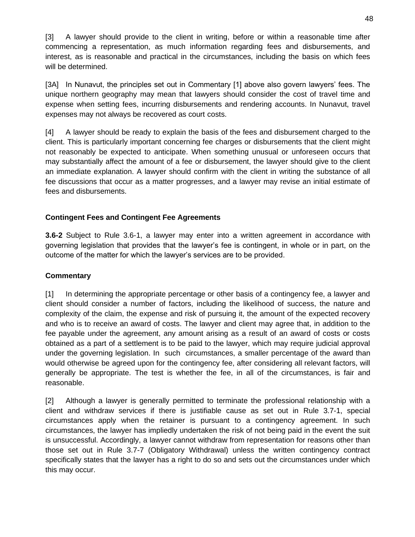[3] A lawyer should provide to the client in writing, before or within a reasonable time after commencing a representation, as much information regarding fees and disbursements, and interest, as is reasonable and practical in the circumstances, including the basis on which fees will be determined.

[3A] In Nunavut, the principles set out in Commentary [1] above also govern lawyers' fees. The unique northern geography may mean that lawyers should consider the cost of travel time and expense when setting fees, incurring disbursements and rendering accounts. In Nunavut, travel expenses may not always be recovered as court costs.

[4] A lawyer should be ready to explain the basis of the fees and disbursement charged to the client. This is particularly important concerning fee charges or disbursements that the client might not reasonably be expected to anticipate. When something unusual or unforeseen occurs that may substantially affect the amount of a fee or disbursement, the lawyer should give to the client an immediate explanation. A lawyer should confirm with the client in writing the substance of all fee discussions that occur as a matter progresses, and a lawyer may revise an initial estimate of fees and disbursements.

# **Contingent Fees and Contingent Fee Agreements**

**3.6-2** Subject to Rule 3.6-1, a lawyer may enter into a written agreement in accordance with governing legislation that provides that the lawyer's fee is contingent, in whole or in part, on the outcome of the matter for which the lawyer's services are to be provided.

#### **Commentary**

[1] In determining the appropriate percentage or other basis of a contingency fee, a lawyer and client should consider a number of factors, including the likelihood of success, the nature and complexity of the claim, the expense and risk of pursuing it, the amount of the expected recovery and who is to receive an award of costs. The lawyer and client may agree that, in addition to the fee payable under the agreement, any amount arising as a result of an award of costs or costs obtained as a part of a settlement is to be paid to the lawyer, which may require judicial approval under the governing legislation. In such circumstances, a smaller percentage of the award than would otherwise be agreed upon for the contingency fee, after considering all relevant factors, will generally be appropriate. The test is whether the fee, in all of the circumstances, is fair and reasonable.

[2] Although a lawyer is generally permitted to terminate the professional relationship with a client and withdraw services if there is justifiable cause as set out in Rule 3.7-1, special circumstances apply when the retainer is pursuant to a contingency agreement. In such circumstances, the lawyer has impliedly undertaken the risk of not being paid in the event the suit is unsuccessful. Accordingly, a lawyer cannot withdraw from representation for reasons other than those set out in Rule 3.7-7 (Obligatory Withdrawal) unless the written contingency contract specifically states that the lawyer has a right to do so and sets out the circumstances under which this may occur.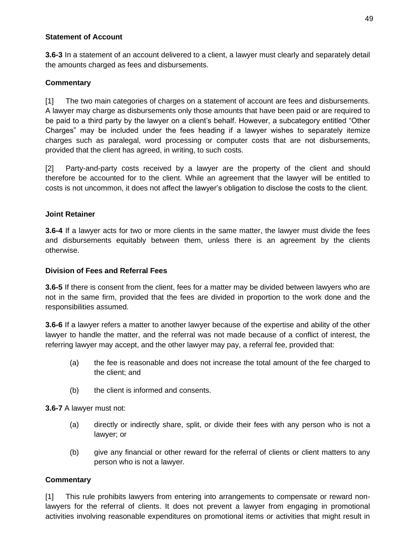#### **Statement of Account**

**3.6-3** In a statement of an account delivered to a client, a lawyer must clearly and separately detail the amounts charged as fees and disbursements.

#### **Commentary**

[1] The two main categories of charges on a statement of account are fees and disbursements. A lawyer may charge as disbursements only those amounts that have been paid or are required to be paid to a third party by the lawyer on a client's behalf. However, a subcategory entitled "Other Charges" may be included under the fees heading if a lawyer wishes to separately itemize charges such as paralegal, word processing or computer costs that are not disbursements, provided that the client has agreed, in writing, to such costs.

[2] Party-and-party costs received by a lawyer are the property of the client and should therefore be accounted for to the client. While an agreement that the lawyer will be entitled to costs is not uncommon, it does not affect the lawyer's obligation to disclose the costs to the client.

#### **Joint Retainer**

**3.6-4** If a lawyer acts for two or more clients in the same matter, the lawyer must divide the fees and disbursements equitably between them, unless there is an agreement by the clients otherwise.

#### **Division of Fees and Referral Fees**

**3.6-5** If there is consent from the client, fees for a matter may be divided between lawyers who are not in the same firm, provided that the fees are divided in proportion to the work done and the responsibilities assumed.

**3.6-6** If a lawyer refers a matter to another lawyer because of the expertise and ability of the other lawyer to handle the matter, and the referral was not made because of a conflict of interest, the referring lawyer may accept, and the other lawyer may pay, a referral fee, provided that:

- (a) the fee is reasonable and does not increase the total amount of the fee charged to the client; and
- (b) the client is informed and consents.

**3.6-7** A lawyer must not:

- (a) directly or indirectly share, split, or divide their fees with any person who is not a lawyer; or
- (b) give any financial or other reward for the referral of clients or client matters to any person who is not a lawyer.

# **Commentary**

[1] This rule prohibits lawyers from entering into arrangements to compensate or reward nonlawyers for the referral of clients. It does not prevent a lawyer from engaging in promotional activities involving reasonable expenditures on promotional items or activities that might result in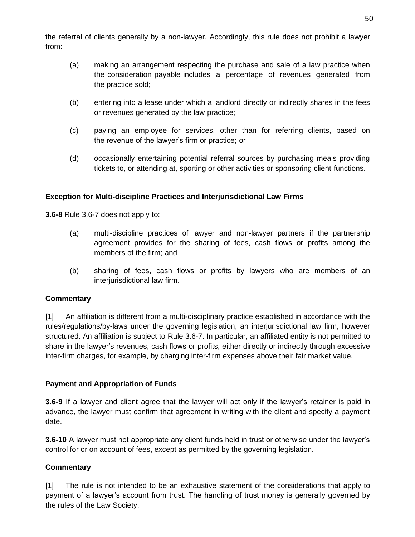the referral of clients generally by a non-lawyer. Accordingly, this rule does not prohibit a lawyer from:

- (a) making an arrangement respecting the purchase and sale of a law practice when the consideration payable includes a percentage of revenues generated from the practice sold;
- (b) entering into a lease under which a landlord directly or indirectly shares in the fees or revenues generated by the law practice;
- (c) paying an employee for services, other than for referring clients, based on the revenue of the lawyer's firm or practice; or
- (d) occasionally entertaining potential referral sources by purchasing meals providing tickets to, or attending at, sporting or other activities or sponsoring client functions.

#### **Exception for Multi-discipline Practices and Interjurisdictional Law Firms**

**3.6-8** Rule 3.6-7 does not apply to:

- (a) multi-discipline practices of lawyer and non-lawyer partners if the partnership agreement provides for the sharing of fees, cash flows or profits among the members of the firm; and
- (b) sharing of fees, cash flows or profits by lawyers who are members of an interjurisdictional law firm.

#### **Commentary**

[1] An affiliation is different from a multi-disciplinary practice established in accordance with the rules/regulations/by-laws under the governing legislation, an interjurisdictional law firm, however structured. An affiliation is subject to Rule 3.6-7. In particular, an affiliated entity is not permitted to share in the lawyer's revenues, cash flows or profits, either directly or indirectly through excessive inter-firm charges, for example, by charging inter-firm expenses above their fair market value.

# **Payment and Appropriation of Funds**

**3.6-9** If a lawyer and client agree that the lawyer will act only if the lawyer's retainer is paid in advance, the lawyer must confirm that agreement in writing with the client and specify a payment date.

**3.6-10** A lawyer must not appropriate any client funds held in trust or otherwise under the lawyer's control for or on account of fees, except as permitted by the governing legislation.

# **Commentary**

[1] The rule is not intended to be an exhaustive statement of the considerations that apply to payment of a lawyer's account from trust. The handling of trust money is generally governed by the rules of the Law Society.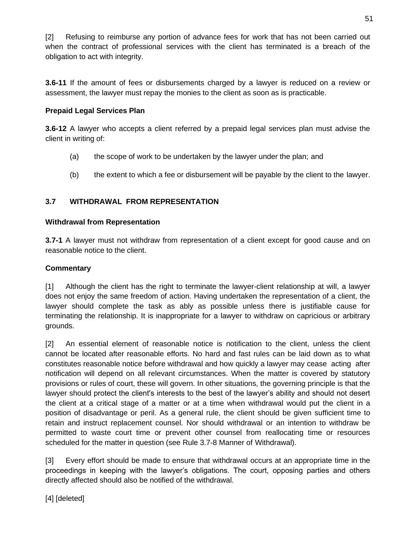[2] Refusing to reimburse any portion of advance fees for work that has not been carried out when the contract of professional services with the client has terminated is a breach of the obligation to act with integrity.

**3.6-11** If the amount of fees or disbursements charged by a lawyer is reduced on a review or assessment, the lawyer must repay the monies to the client as soon as is practicable.

# **Prepaid Legal Services Plan**

**3.6-12** A lawyer who accepts a client referred by a prepaid legal services plan must advise the client in writing of:

- (a) the scope of work to be undertaken by the lawyer under the plan; and
- (b) the extent to which a fee or disbursement will be payable by the client to the lawyer.

# **3.7 WITHDRAWAL FROM REPRESENTATION**

# **Withdrawal from Representation**

**3.7-1** A lawyer must not withdraw from representation of a client except for good cause and on reasonable notice to the client.

# **Commentary**

[1] Although the client has the right to terminate the lawyer-client relationship at will, a lawyer does not enjoy the same freedom of action. Having undertaken the representation of a client, the lawyer should complete the task as ably as possible unless there is justifiable cause for terminating the relationship. It is inappropriate for a lawyer to withdraw on capricious or arbitrary grounds.

[2] An essential element of reasonable notice is notification to the client, unless the client cannot be located after reasonable efforts. No hard and fast rules can be laid down as to what constitutes reasonable notice before withdrawal and how quickly a lawyer may cease acting after notification will depend on all relevant circumstances. When the matter is covered by statutory provisions or rules of court, these will govern. In other situations, the governing principle is that the lawyer should protect the client's interests to the best of the lawyer's ability and should not desert the client at a critical stage of a matter or at a time when withdrawal would put the client in a position of disadvantage or peril. As a general rule, the client should be given sufficient time to retain and instruct replacement counsel. Nor should withdrawal or an intention to withdraw be permitted to waste court time or prevent other counsel from reallocating time or resources scheduled for the matter in question (see Rule 3.7-8 Manner of Withdrawal).

[3] Every effort should be made to ensure that withdrawal occurs at an appropriate time in the proceedings in keeping with the lawyer's obligations. The court, opposing parties and others directly affected should also be notified of the withdrawal.

[4] [deleted]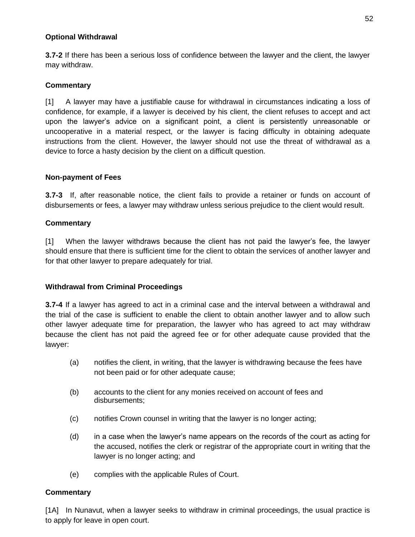#### **Optional Withdrawal**

**3.7-2** If there has been a serious loss of confidence between the lawyer and the client, the lawyer may withdraw.

### **Commentary**

[1] A lawyer may have a justifiable cause for withdrawal in circumstances indicating a loss of confidence, for example, if a lawyer is deceived by his client, the client refuses to accept and act upon the lawyer's advice on a significant point, a client is persistently unreasonable or uncooperative in a material respect, or the lawyer is facing difficulty in obtaining adequate instructions from the client. However, the lawyer should not use the threat of withdrawal as a device to force a hasty decision by the client on a difficult question.

#### **Non-payment of Fees**

**3.7-3** If, after reasonable notice, the client fails to provide a retainer or funds on account of disbursements or fees, a lawyer may withdraw unless serious prejudice to the client would result.

#### **Commentary**

[1] When the lawyer withdraws because the client has not paid the lawyer's fee, the lawyer should ensure that there is sufficient time for the client to obtain the services of another lawyer and for that other lawyer to prepare adequately for trial.

#### **Withdrawal from Criminal Proceedings**

**3.7-4** If a lawyer has agreed to act in a criminal case and the interval between a withdrawal and the trial of the case is sufficient to enable the client to obtain another lawyer and to allow such other lawyer adequate time for preparation, the lawyer who has agreed to act may withdraw because the client has not paid the agreed fee or for other adequate cause provided that the lawyer:

- (a) notifies the client, in writing, that the lawyer is withdrawing because the fees have not been paid or for other adequate cause;
- (b) accounts to the client for any monies received on account of fees and disbursements;
- (c) notifies Crown counsel in writing that the lawyer is no longer acting;
- (d) in a case when the lawyer's name appears on the records of the court as acting for the accused, notifies the clerk or registrar of the appropriate court in writing that the lawyer is no longer acting; and
- (e) complies with the applicable Rules of Court.

# **Commentary**

[1A] In Nunavut, when a lawyer seeks to withdraw in criminal proceedings, the usual practice is to apply for leave in open court.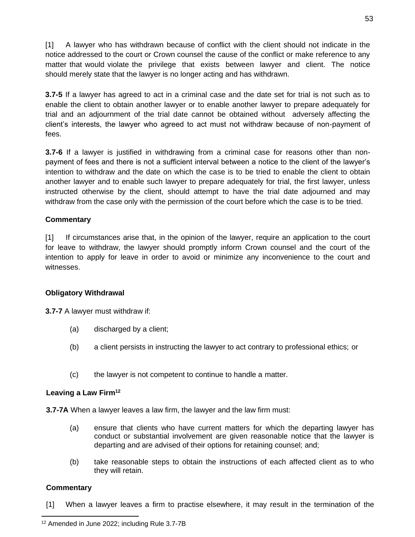[1] A lawyer who has withdrawn because of conflict with the client should not indicate in the notice addressed to the court or Crown counsel the cause of the conflict or make reference to any matter that would violate the privilege that exists between lawyer and client. The notice should merely state that the lawyer is no longer acting and has withdrawn.

**3.7-5** If a lawyer has agreed to act in a criminal case and the date set for trial is not such as to enable the client to obtain another lawyer or to enable another lawyer to prepare adequately for trial and an adjournment of the trial date cannot be obtained without adversely affecting the client's interests, the lawyer who agreed to act must not withdraw because of non-payment of fees.

**3.7-6** If a lawyer is justified in withdrawing from a criminal case for reasons other than nonpayment of fees and there is not a sufficient interval between a notice to the client of the lawyer's intention to withdraw and the date on which the case is to be tried to enable the client to obtain another lawyer and to enable such lawyer to prepare adequately for trial, the first lawyer, unless instructed otherwise by the client, should attempt to have the trial date adjourned and may withdraw from the case only with the permission of the court before which the case is to be tried.

#### **Commentary**

[1] If circumstances arise that, in the opinion of the lawyer, require an application to the court for leave to withdraw, the lawyer should promptly inform Crown counsel and the court of the intention to apply for leave in order to avoid or minimize any inconvenience to the court and witnesses.

#### **Obligatory Withdrawal**

**3.7-7** A lawyer must withdraw if:

- (a) discharged by a client;
- (b) a client persists in instructing the lawyer to act contrary to professional ethics; or
- (c) the lawyer is not competent to continue to handle a matter.

# **Leaving a Law Firm<sup>12</sup>**

**3.7-7A** When a lawyer leaves a law firm, the lawyer and the law firm must:

- (a) ensure that clients who have current matters for which the departing lawyer has conduct or substantial involvement are given reasonable notice that the lawyer is departing and are advised of their options for retaining counsel; and;
- (b) take reasonable steps to obtain the instructions of each affected client as to who they will retain.

#### **Commentary**

[1] When a lawyer leaves a firm to practise elsewhere, it may result in the termination of the

<sup>12</sup> Amended in June 2022; including Rule 3.7-7B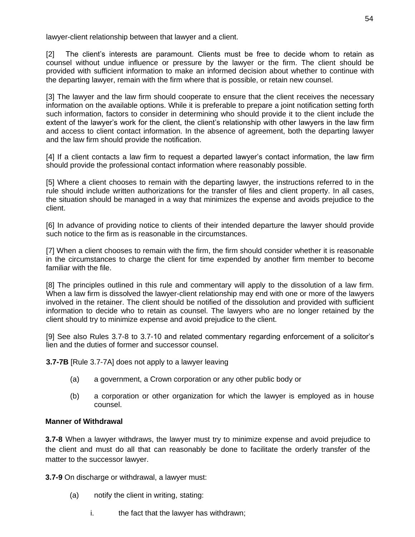lawyer-client relationship between that lawyer and a client.

[2] The client's interests are paramount. Clients must be free to decide whom to retain as counsel without undue influence or pressure by the lawyer or the firm. The client should be provided with sufficient information to make an informed decision about whether to continue with the departing lawyer, remain with the firm where that is possible, or retain new counsel.

[3] The lawyer and the law firm should cooperate to ensure that the client receives the necessary information on the available options. While it is preferable to prepare a joint notification setting forth such information, factors to consider in determining who should provide it to the client include the extent of the lawyer's work for the client, the client's relationship with other lawyers in the law firm and access to client contact information. In the absence of agreement, both the departing lawyer and the law firm should provide the notification.

[4] If a client contacts a law firm to request a departed lawyer's contact information, the law firm should provide the professional contact information where reasonably possible.

[5] Where a client chooses to remain with the departing lawyer, the instructions referred to in the rule should include written authorizations for the transfer of files and client property. In all cases, the situation should be managed in a way that minimizes the expense and avoids prejudice to the client.

[6] In advance of providing notice to clients of their intended departure the lawyer should provide such notice to the firm as is reasonable in the circumstances.

[7] When a client chooses to remain with the firm, the firm should consider whether it is reasonable in the circumstances to charge the client for time expended by another firm member to become familiar with the file.

[8] The principles outlined in this rule and commentary will apply to the dissolution of a law firm. When a law firm is dissolved the lawyer-client relationship may end with one or more of the lawyers involved in the retainer. The client should be notified of the dissolution and provided with sufficient information to decide who to retain as counsel. The lawyers who are no longer retained by the client should try to minimize expense and avoid prejudice to the client.

[9] See also Rules 3.7-8 to 3.7-10 and related commentary regarding enforcement of a solicitor's lien and the duties of former and successor counsel.

**3.7-7B** [Rule 3.7-7A] does not apply to a lawyer leaving

- (a) a government, a Crown corporation or any other public body or
- (b) a corporation or other organization for which the lawyer is employed as in house counsel.

#### **Manner of Withdrawal**

**3.7-8** When a lawyer withdraws, the lawyer must try to minimize expense and avoid prejudice to the client and must do all that can reasonably be done to facilitate the orderly transfer of the matter to the successor lawyer.

**3.7-9** On discharge or withdrawal, a lawyer must:

- (a) notify the client in writing, stating:
	- i. the fact that the lawyer has withdrawn;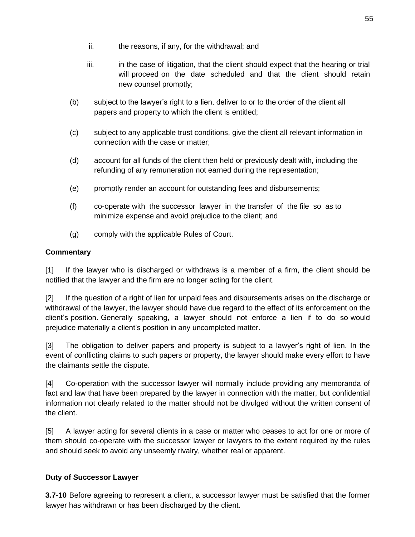- ii. the reasons, if any, for the withdrawal; and
- iii. in the case of litigation, that the client should expect that the hearing or trial will proceed on the date scheduled and that the client should retain new counsel promptly;
- (b) subject to the lawyer's right to a lien, deliver to or to the order of the client all papers and property to which the client is entitled;
- (c) subject to any applicable trust conditions, give the client all relevant information in connection with the case or matter;
- (d) account for all funds of the client then held or previously dealt with, including the refunding of any remuneration not earned during the representation;
- (e) promptly render an account for outstanding fees and disbursements;
- (f) co-operate with the successor lawyer in the transfer of the file so as to minimize expense and avoid prejudice to the client; and
- (g) comply with the applicable Rules of Court.

[1] If the lawyer who is discharged or withdraws is a member of a firm, the client should be notified that the lawyer and the firm are no longer acting for the client.

[2] If the question of a right of lien for unpaid fees and disbursements arises on the discharge or withdrawal of the lawyer, the lawyer should have due regard to the effect of its enforcement on the client's position. Generally speaking, a lawyer should not enforce a lien if to do so would prejudice materially a client's position in any uncompleted matter.

[3] The obligation to deliver papers and property is subject to a lawyer's right of lien. In the event of conflicting claims to such papers or property, the lawyer should make every effort to have the claimants settle the dispute.

[4] Co-operation with the successor lawyer will normally include providing any memoranda of fact and law that have been prepared by the lawyer in connection with the matter, but confidential information not clearly related to the matter should not be divulged without the written consent of the client.

[5] A lawyer acting for several clients in a case or matter who ceases to act for one or more of them should co-operate with the successor lawyer or lawyers to the extent required by the rules and should seek to avoid any unseemly rivalry, whether real or apparent.

# **Duty of Successor Lawyer**

**3.7-10** Before agreeing to represent a client, a successor lawyer must be satisfied that the former lawyer has withdrawn or has been discharged by the client.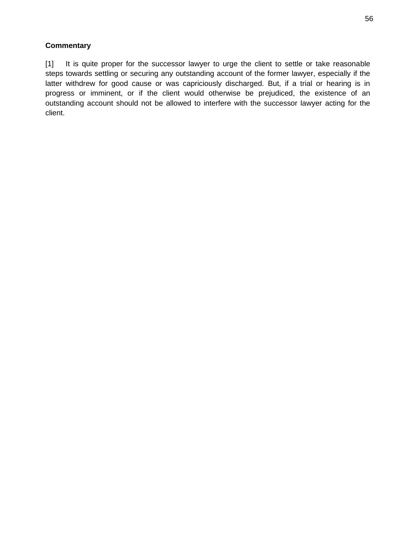[1] It is quite proper for the successor lawyer to urge the client to settle or take reasonable steps towards settling or securing any outstanding account of the former lawyer, especially if the latter withdrew for good cause or was capriciously discharged. But, if a trial or hearing is in progress or imminent, or if the client would otherwise be prejudiced, the existence of an outstanding account should not be allowed to interfere with the successor lawyer acting for the client.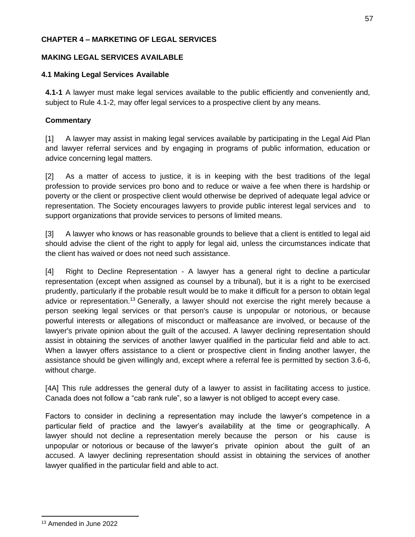#### **CHAPTER 4 – MARKETING OF LEGAL SERVICES**

#### **MAKING LEGAL SERVICES AVAILABLE**

#### **4.1 Making Legal Services Available**

**4.1-1** A lawyer must make legal services available to the public efficiently and conveniently and, subject to Rule 4.1-2, may offer legal services to a prospective client by any means.

#### **Commentary**

[1] A lawyer may assist in making legal services available by participating in the Legal Aid Plan and lawyer referral services and by engaging in programs of public information, education or advice concerning legal matters.

[2] As a matter of access to justice, it is in keeping with the best traditions of the legal profession to provide services pro bono and to reduce or waive a fee when there is hardship or poverty or the client or prospective client would otherwise be deprived of adequate legal advice or representation. The Society encourages lawyers to provide public interest legal services and to support organizations that provide services to persons of limited means.

[3] A lawyer who knows or has reasonable grounds to believe that a client is entitled to legal aid should advise the client of the right to apply for legal aid, unless the circumstances indicate that the client has waived or does not need such assistance.

[4] Right to Decline Representation - A lawyer has a general right to decline a particular representation (except when assigned as counsel by a tribunal), but it is a right to be exercised prudently, particularly if the probable result would be to make it difficult for a person to obtain legal advice or representation.<sup>13</sup> Generally, a lawyer should not exercise the right merely because a person seeking legal services or that person's cause is unpopular or notorious, or because powerful interests or allegations of misconduct or malfeasance are involved, or because of the lawyer's private opinion about the guilt of the accused. A lawyer declining representation should assist in obtaining the services of another lawyer qualified in the particular field and able to act. When a lawyer offers assistance to a client or prospective client in finding another lawyer, the assistance should be given willingly and, except where a referral fee is permitted by section 3.6-6, without charge.

[4A] This rule addresses the general duty of a lawyer to assist in facilitating access to justice. Canada does not follow a "cab rank rule", so a lawyer is not obliged to accept every case.

Factors to consider in declining a representation may include the lawyer's competence in a particular field of practice and the lawyer's availability at the time or geographically. A lawyer should not decline a representation merely because the person or his cause is unpopular or notorious or because of the lawyer's private opinion about the guilt of an accused. A lawyer declining representation should assist in obtaining the services of another lawyer qualified in the particular field and able to act.

<sup>13</sup> Amended in June 2022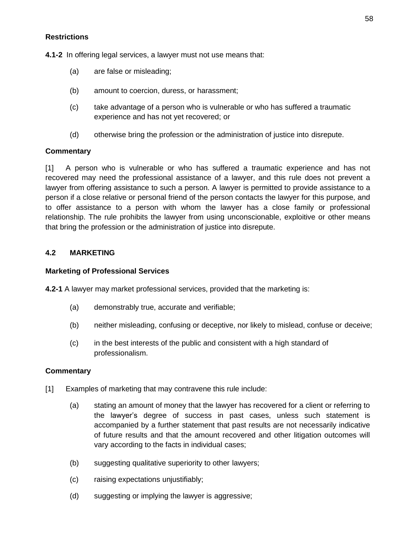#### **Restrictions**

**4.1-2** In offering legal services, a lawyer must not use means that:

- (a) are false or misleading;
- (b) amount to coercion, duress, or harassment;
- (c) take advantage of a person who is vulnerable or who has suffered a traumatic experience and has not yet recovered; or
- (d) otherwise bring the profession or the administration of justice into disrepute.

#### **Commentary**

[1] A person who is vulnerable or who has suffered a traumatic experience and has not recovered may need the professional assistance of a lawyer, and this rule does not prevent a lawyer from offering assistance to such a person. A lawyer is permitted to provide assistance to a person if a close relative or personal friend of the person contacts the lawyer for this purpose, and to offer assistance to a person with whom the lawyer has a close family or professional relationship. The rule prohibits the lawyer from using unconscionable, exploitive or other means that bring the profession or the administration of justice into disrepute.

#### **4.2 MARKETING**

#### **Marketing of Professional Services**

**4.2-1** A lawyer may market professional services, provided that the marketing is:

- (a) demonstrably true, accurate and verifiable;
- (b) neither misleading, confusing or deceptive, nor likely to mislead, confuse or deceive;
- (c) in the best interests of the public and consistent with a high standard of professionalism.

#### **Commentary**

- [1] Examples of marketing that may contravene this rule include:
	- (a) stating an amount of money that the lawyer has recovered for a client or referring to the lawyer's degree of success in past cases, unless such statement is accompanied by a further statement that past results are not necessarily indicative of future results and that the amount recovered and other litigation outcomes will vary according to the facts in individual cases;
	- (b) suggesting qualitative superiority to other lawyers;
	- (c) raising expectations unjustifiably;
	- (d) suggesting or implying the lawyer is aggressive;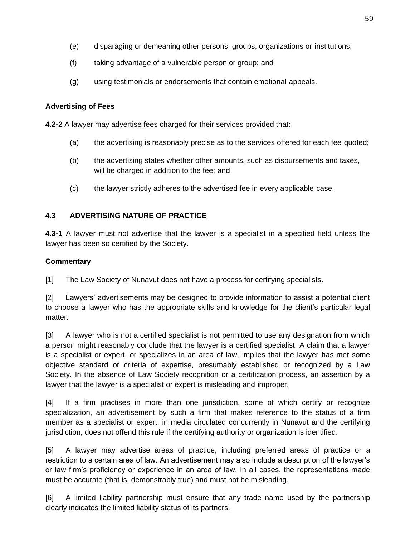- (e) disparaging or demeaning other persons, groups, organizations or institutions;
- (f) taking advantage of a vulnerable person or group; and
- (g) using testimonials or endorsements that contain emotional appeals.

#### **Advertising of Fees**

**4.2-2** A lawyer may advertise fees charged for their services provided that:

- (a) the advertising is reasonably precise as to the services offered for each fee quoted;
- (b) the advertising states whether other amounts, such as disbursements and taxes, will be charged in addition to the fee; and
- (c) the lawyer strictly adheres to the advertised fee in every applicable case.

# **4.3 ADVERTISING NATURE OF PRACTICE**

**4.3-1** A lawyer must not advertise that the lawyer is a specialist in a specified field unless the lawyer has been so certified by the Society.

#### **Commentary**

[1] The Law Society of Nunavut does not have a process for certifying specialists.

[2] Lawyers' advertisements may be designed to provide information to assist a potential client to choose a lawyer who has the appropriate skills and knowledge for the client's particular legal matter.

[3] A lawyer who is not a certified specialist is not permitted to use any designation from which a person might reasonably conclude that the lawyer is a certified specialist. A claim that a lawyer is a specialist or expert, or specializes in an area of law, implies that the lawyer has met some objective standard or criteria of expertise, presumably established or recognized by a Law Society. In the absence of Law Society recognition or a certification process, an assertion by a lawyer that the lawyer is a specialist or expert is misleading and improper.

[4] If a firm practises in more than one jurisdiction, some of which certify or recognize specialization, an advertisement by such a firm that makes reference to the status of a firm member as a specialist or expert, in media circulated concurrently in Nunavut and the certifying jurisdiction, does not offend this rule if the certifying authority or organization is identified.

[5] A lawyer may advertise areas of practice, including preferred areas of practice or a restriction to a certain area of law. An advertisement may also include a description of the lawyer's or law firm's proficiency or experience in an area of law. In all cases, the representations made must be accurate (that is, demonstrably true) and must not be misleading.

[6] A limited liability partnership must ensure that any trade name used by the partnership clearly indicates the limited liability status of its partners.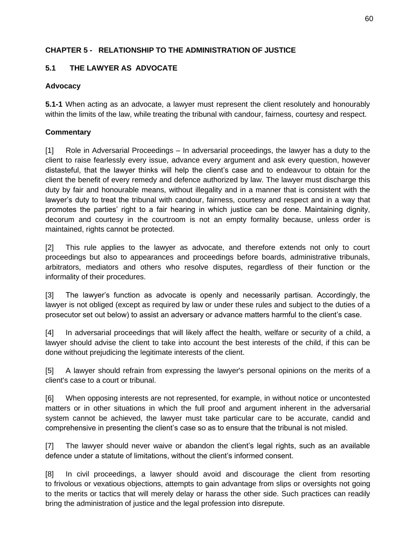# **CHAPTER 5 - RELATIONSHIP TO THE ADMINISTRATION OF JUSTICE**

# **5.1 THE LAWYER AS ADVOCATE**

# **Advocacy**

**5.1-1** When acting as an advocate, a lawyer must represent the client resolutely and honourably within the limits of the law, while treating the tribunal with candour, fairness, courtesy and respect.

# **Commentary**

[1] Role in Adversarial Proceedings – In adversarial proceedings, the lawyer has a duty to the client to raise fearlessly every issue, advance every argument and ask every question, however distasteful, that the lawyer thinks will help the client's case and to endeavour to obtain for the client the benefit of every remedy and defence authorized by law. The lawyer must discharge this duty by fair and honourable means, without illegality and in a manner that is consistent with the lawyer's duty to treat the tribunal with candour, fairness, courtesy and respect and in a way that promotes the parties' right to a fair hearing in which justice can be done. Maintaining dignity, decorum and courtesy in the courtroom is not an empty formality because, unless order is maintained, rights cannot be protected.

[2] This rule applies to the lawyer as advocate, and therefore extends not only to court proceedings but also to appearances and proceedings before boards, administrative tribunals, arbitrators, mediators and others who resolve disputes, regardless of their function or the informality of their procedures.

[3] The lawyer's function as advocate is openly and necessarily partisan. Accordingly, the lawyer is not obliged (except as required by law or under these rules and subject to the duties of a prosecutor set out below) to assist an adversary or advance matters harmful to the client's case.

[4] In adversarial proceedings that will likely affect the health, welfare or security of a child, a lawyer should advise the client to take into account the best interests of the child, if this can be done without prejudicing the legitimate interests of the client.

[5] A lawyer should refrain from expressing the lawyer's personal opinions on the merits of a client's case to a court or tribunal.

[6] When opposing interests are not represented, for example, in without notice or uncontested matters or in other situations in which the full proof and argument inherent in the adversarial system cannot be achieved, the lawyer must take particular care to be accurate, candid and comprehensive in presenting the client's case so as to ensure that the tribunal is not misled.

[7] The lawyer should never waive or abandon the client's legal rights, such as an available defence under a statute of limitations, without the client's informed consent.

[8] In civil proceedings, a lawyer should avoid and discourage the client from resorting to frivolous or vexatious objections, attempts to gain advantage from slips or oversights not going to the merits or tactics that will merely delay or harass the other side. Such practices can readily bring the administration of justice and the legal profession into disrepute.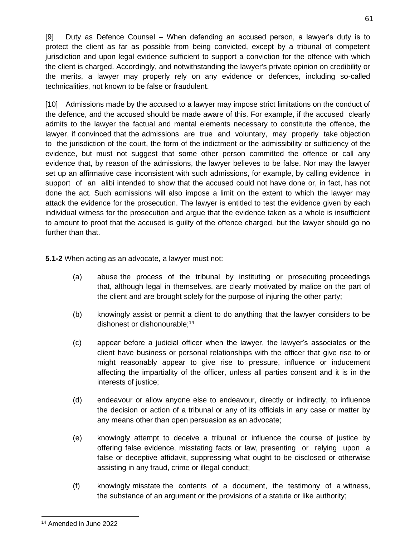[9] Duty as Defence Counsel – When defending an accused person, a lawyer's duty is to protect the client as far as possible from being convicted, except by a tribunal of competent jurisdiction and upon legal evidence sufficient to support a conviction for the offence with which the client is charged. Accordingly, and notwithstanding the lawyer's private opinion on credibility or the merits, a lawyer may properly rely on any evidence or defences, including so-called technicalities, not known to be false or fraudulent.

[10] Admissions made by the accused to a lawyer may impose strict limitations on the conduct of the defence, and the accused should be made aware of this. For example, if the accused clearly admits to the lawyer the factual and mental elements necessary to constitute the offence, the lawyer, if convinced that the admissions are true and voluntary, may properly take objection to the jurisdiction of the court, the form of the indictment or the admissibility or sufficiency of the evidence, but must not suggest that some other person committed the offence or call any evidence that, by reason of the admissions, the lawyer believes to be false. Nor may the lawyer set up an affirmative case inconsistent with such admissions, for example, by calling evidence in support of an alibi intended to show that the accused could not have done or, in fact, has not done the act. Such admissions will also impose a limit on the extent to which the lawyer may attack the evidence for the prosecution. The lawyer is entitled to test the evidence given by each individual witness for the prosecution and argue that the evidence taken as a whole is insufficient to amount to proof that the accused is guilty of the offence charged, but the lawyer should go no further than that.

**5.1-2** When acting as an advocate, a lawyer must not:

- (a) abuse the process of the tribunal by instituting or prosecuting proceedings that, although legal in themselves, are clearly motivated by malice on the part of the client and are brought solely for the purpose of injuring the other party;
- (b) knowingly assist or permit a client to do anything that the lawyer considers to be dishonest or dishonourable;<sup>14</sup>
- (c) appear before a judicial officer when the lawyer, the lawyer's associates or the client have business or personal relationships with the officer that give rise to or might reasonably appear to give rise to pressure, influence or inducement affecting the impartiality of the officer, unless all parties consent and it is in the interests of justice;
- (d) endeavour or allow anyone else to endeavour, directly or indirectly, to influence the decision or action of a tribunal or any of its officials in any case or matter by any means other than open persuasion as an advocate;
- (e) knowingly attempt to deceive a tribunal or influence the course of justice by offering false evidence, misstating facts or law, presenting or relying upon a false or deceptive affidavit, suppressing what ought to be disclosed or otherwise assisting in any fraud, crime or illegal conduct;
- (f) knowingly misstate the contents of a document, the testimony of a witness, the substance of an argument or the provisions of a statute or like authority;

<sup>14</sup> Amended in June 2022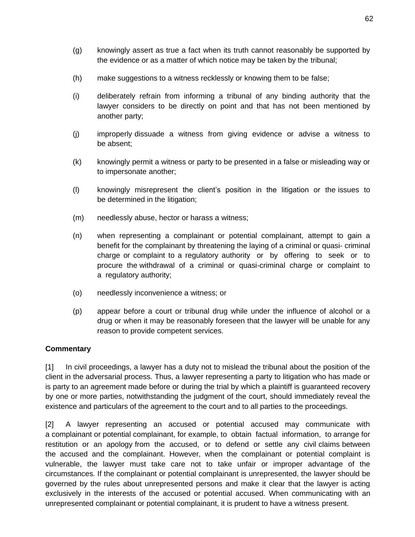- (g) knowingly assert as true a fact when its truth cannot reasonably be supported by the evidence or as a matter of which notice may be taken by the tribunal;
- (h) make suggestions to a witness recklessly or knowing them to be false;
- (i) deliberately refrain from informing a tribunal of any binding authority that the lawyer considers to be directly on point and that has not been mentioned by another party;
- (j) improperly dissuade a witness from giving evidence or advise a witness to be absent;
- (k) knowingly permit a witness or party to be presented in a false or misleading way or to impersonate another;
- (l) knowingly misrepresent the client's position in the litigation or the issues to be determined in the litigation;
- (m) needlessly abuse, hector or harass a witness;
- (n) when representing a complainant or potential complainant, attempt to gain a benefit for the complainant by threatening the laying of a criminal or quasi- criminal charge or complaint to a regulatory authority or by offering to seek or to procure the withdrawal of a criminal or quasi-criminal charge or complaint to a regulatory authority;
- (o) needlessly inconvenience a witness; or
- (p) appear before a court or tribunal drug while under the influence of alcohol or a drug or when it may be reasonably foreseen that the lawyer will be unable for any reason to provide competent services.

[1] In civil proceedings, a lawyer has a duty not to mislead the tribunal about the position of the client in the adversarial process. Thus, a lawyer representing a party to litigation who has made or is party to an agreement made before or during the trial by which a plaintiff is guaranteed recovery by one or more parties, notwithstanding the judgment of the court, should immediately reveal the existence and particulars of the agreement to the court and to all parties to the proceedings.

[2] A lawyer representing an accused or potential accused may communicate with a complainant or potential complainant, for example, to obtain factual information, to arrange for restitution or an apology from the accused, or to defend or settle any civil claims between the accused and the complainant. However, when the complainant or potential complaint is vulnerable, the lawyer must take care not to take unfair or improper advantage of the circumstances. If the complainant or potential complainant is unrepresented, the lawyer should be governed by the rules about unrepresented persons and make it clear that the lawyer is acting exclusively in the interests of the accused or potential accused. When communicating with an unrepresented complainant or potential complainant, it is prudent to have a witness present.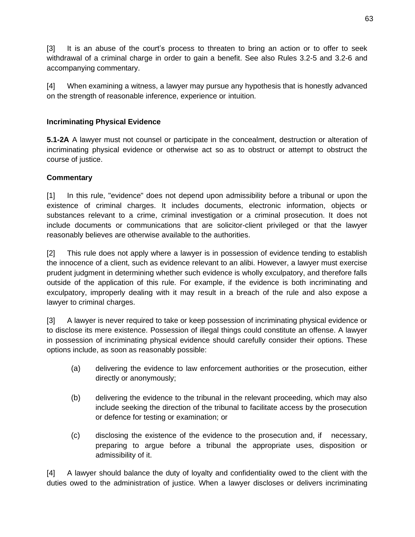[3] It is an abuse of the court's process to threaten to bring an action or to offer to seek withdrawal of a criminal charge in order to gain a benefit. See also Rules 3.2-5 and 3.2-6 and accompanying commentary.

[4] When examining a witness, a lawyer may pursue any hypothesis that is honestly advanced on the strength of reasonable inference, experience or intuition.

# **Incriminating Physical Evidence**

**5.1-2A** A lawyer must not counsel or participate in the concealment, destruction or alteration of incriminating physical evidence or otherwise act so as to obstruct or attempt to obstruct the course of justice.

# **Commentary**

[1] In this rule, "evidence" does not depend upon admissibility before a tribunal or upon the existence of criminal charges. It includes documents, electronic information, objects or substances relevant to a crime, criminal investigation or a criminal prosecution. It does not include documents or communications that are solicitor-client privileged or that the lawyer reasonably believes are otherwise available to the authorities.

[2] This rule does not apply where a lawyer is in possession of evidence tending to establish the innocence of a client, such as evidence relevant to an alibi. However, a lawyer must exercise prudent judgment in determining whether such evidence is wholly exculpatory, and therefore falls outside of the application of this rule. For example, if the evidence is both incriminating and exculpatory, improperly dealing with it may result in a breach of the rule and also expose a lawyer to criminal charges.

[3] A lawyer is never required to take or keep possession of incriminating physical evidence or to disclose its mere existence. Possession of illegal things could constitute an offense. A lawyer in possession of incriminating physical evidence should carefully consider their options. These options include, as soon as reasonably possible:

- (a) delivering the evidence to law enforcement authorities or the prosecution, either directly or anonymously;
- (b) delivering the evidence to the tribunal in the relevant proceeding, which may also include seeking the direction of the tribunal to facilitate access by the prosecution or defence for testing or examination; or
- (c) disclosing the existence of the evidence to the prosecution and, if necessary, preparing to argue before a tribunal the appropriate uses, disposition or admissibility of it.

[4] A lawyer should balance the duty of loyalty and confidentiality owed to the client with the duties owed to the administration of justice. When a lawyer discloses or delivers incriminating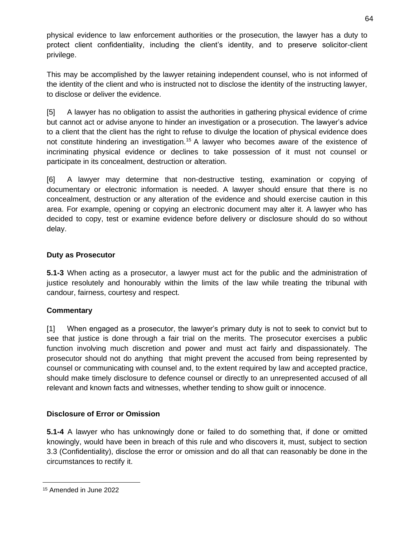physical evidence to law enforcement authorities or the prosecution, the lawyer has a duty to protect client confidentiality, including the client's identity, and to preserve solicitor-client privilege.

This may be accomplished by the lawyer retaining independent counsel, who is not informed of the identity of the client and who is instructed not to disclose the identity of the instructing lawyer, to disclose or deliver the evidence.

[5] A lawyer has no obligation to assist the authorities in gathering physical evidence of crime but cannot act or advise anyone to hinder an investigation or a prosecution. The lawyer's advice to a client that the client has the right to refuse to divulge the location of physical evidence does not constitute hindering an investigation.<sup>15</sup> A lawyer who becomes aware of the existence of incriminating physical evidence or declines to take possession of it must not counsel or participate in its concealment, destruction or alteration.

[6] A lawyer may determine that non-destructive testing, examination or copying of documentary or electronic information is needed. A lawyer should ensure that there is no concealment, destruction or any alteration of the evidence and should exercise caution in this area. For example, opening or copying an electronic document may alter it. A lawyer who has decided to copy, test or examine evidence before delivery or disclosure should do so without delay.

# **Duty as Prosecutor**

**5.1-3** When acting as a prosecutor, a lawyer must act for the public and the administration of justice resolutely and honourably within the limits of the law while treating the tribunal with candour, fairness, courtesy and respect.

# **Commentary**

[1] When engaged as a prosecutor, the lawyer's primary duty is not to seek to convict but to see that justice is done through a fair trial on the merits. The prosecutor exercises a public function involving much discretion and power and must act fairly and dispassionately. The prosecutor should not do anything that might prevent the accused from being represented by counsel or communicating with counsel and, to the extent required by law and accepted practice, should make timely disclosure to defence counsel or directly to an unrepresented accused of all relevant and known facts and witnesses, whether tending to show guilt or innocence.

# **Disclosure of Error or Omission**

**5.1-4** A lawyer who has unknowingly done or failed to do something that, if done or omitted knowingly, would have been in breach of this rule and who discovers it, must, subject to section 3.3 (Confidentiality), disclose the error or omission and do all that can reasonably be done in the circumstances to rectify it.

<sup>15</sup> Amended in June 2022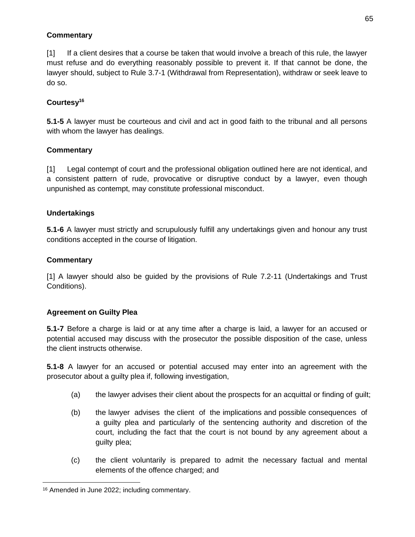[1] If a client desires that a course be taken that would involve a breach of this rule, the lawyer must refuse and do everything reasonably possible to prevent it. If that cannot be done, the lawyer should, subject to Rule 3.7-1 (Withdrawal from Representation), withdraw or seek leave to do so.

# **Courtesy<sup>16</sup>**

**5.1-5** A lawyer must be courteous and civil and act in good faith to the tribunal and all persons with whom the lawyer has dealings.

#### **Commentary**

[1] Legal contempt of court and the professional obligation outlined here are not identical, and a consistent pattern of rude, provocative or disruptive conduct by a lawyer, even though unpunished as contempt, may constitute professional misconduct.

#### **Undertakings**

**5.1-6** A lawyer must strictly and scrupulously fulfill any undertakings given and honour any trust conditions accepted in the course of litigation.

#### **Commentary**

[1] A lawyer should also be guided by the provisions of Rule 7.2-11 (Undertakings and Trust Conditions).

#### **Agreement on Guilty Plea**

**5.1-7** Before a charge is laid or at any time after a charge is laid, a lawyer for an accused or potential accused may discuss with the prosecutor the possible disposition of the case, unless the client instructs otherwise.

**5.1-8** A lawyer for an accused or potential accused may enter into an agreement with the prosecutor about a guilty plea if, following investigation,

- (a) the lawyer advises their client about the prospects for an acquittal or finding of guilt;
- (b) the lawyer advises the client of the implications and possible consequences of a guilty plea and particularly of the sentencing authority and discretion of the court, including the fact that the court is not bound by any agreement about a guilty plea;
- (c) the client voluntarily is prepared to admit the necessary factual and mental elements of the offence charged; and

<sup>16</sup> Amended in June 2022; including commentary.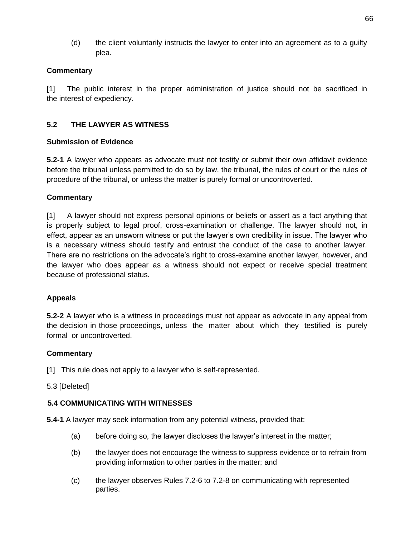(d) the client voluntarily instructs the lawyer to enter into an agreement as to a guilty plea.

### **Commentary**

[1] The public interest in the proper administration of justice should not be sacrificed in the interest of expediency.

# **5.2 THE LAWYER AS WITNESS**

# **Submission of Evidence**

**5.2-1** A lawyer who appears as advocate must not testify or submit their own affidavit evidence before the tribunal unless permitted to do so by law, the tribunal, the rules of court or the rules of procedure of the tribunal, or unless the matter is purely formal or uncontroverted.

# **Commentary**

[1] A lawyer should not express personal opinions or beliefs or assert as a fact anything that is properly subject to legal proof, cross-examination or challenge. The lawyer should not, in effect, appear as an unsworn witness or put the lawyer's own credibility in issue. The lawyer who is a necessary witness should testify and entrust the conduct of the case to another lawyer. There are no restrictions on the advocate's right to cross-examine another lawyer, however, and the lawyer who does appear as a witness should not expect or receive special treatment because of professional status.

#### **Appeals**

**5.2-2** A lawyer who is a witness in proceedings must not appear as advocate in any appeal from the decision in those proceedings, unless the matter about which they testified is purely formal or uncontroverted.

#### **Commentary**

[1] This rule does not apply to a lawyer who is self-represented.

5.3 [Deleted]

# **5.4 COMMUNICATING WITH WITNESSES**

**5.4-1** A lawyer may seek information from any potential witness, provided that:

- (a) before doing so, the lawyer discloses the lawyer's interest in the matter;
- (b) the lawyer does not encourage the witness to suppress evidence or to refrain from providing information to other parties in the matter; and
- (c) the lawyer observes Rules 7.2-6 to 7.2-8 on communicating with represented parties.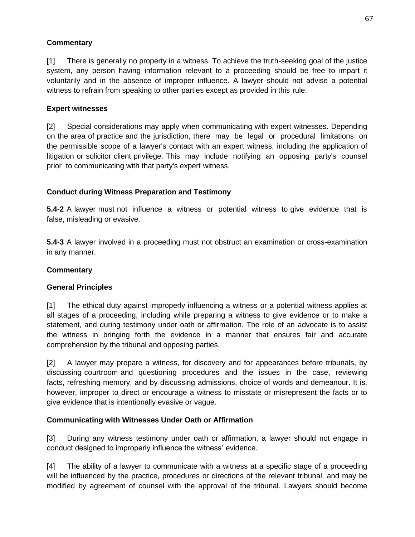[1] There is generally no property in a witness. To achieve the truth-seeking goal of the justice system, any person having information relevant to a proceeding should be free to impart it voluntarily and in the absence of improper influence. A lawyer should not advise a potential witness to refrain from speaking to other parties except as provided in this rule.

# **Expert witnesses**

[2] Special considerations may apply when communicating with expert witnesses. Depending on the area of practice and the jurisdiction, there may be legal or procedural limitations on the permissible scope of a lawyer's contact with an expert witness, including the application of litigation or solicitor client privilege. This may include notifying an opposing party's counsel prior to communicating with that party's expert witness.

# **Conduct during Witness Preparation and Testimony**

**5.4-2** A lawyer must not influence a witness or potential witness to give evidence that is false, misleading or evasive.

**5.4-3** A lawyer involved in a proceeding must not obstruct an examination or cross-examination in any manner.

# **Commentary**

# **General Principles**

[1] The ethical duty against improperly influencing a witness or a potential witness applies at all stages of a proceeding, including while preparing a witness to give evidence or to make a statement, and during testimony under oath or affirmation. The role of an advocate is to assist the witness in bringing forth the evidence in a manner that ensures fair and accurate comprehension by the tribunal and opposing parties.

[2] A lawyer may prepare a witness, for discovery and for appearances before tribunals, by discussing courtroom and questioning procedures and the issues in the case, reviewing facts, refreshing memory, and by discussing admissions, choice of words and demeanour. It is, however, improper to direct or encourage a witness to misstate or misrepresent the facts or to give evidence that is intentionally evasive or vague.

# **Communicating with Witnesses Under Oath or Affirmation**

[3] During any witness testimony under oath or affirmation, a lawyer should not engage in conduct designed to improperly influence the witness' evidence.

[4] The ability of a lawyer to communicate with a witness at a specific stage of a proceeding will be influenced by the practice, procedures or directions of the relevant tribunal, and may be modified by agreement of counsel with the approval of the tribunal. Lawyers should become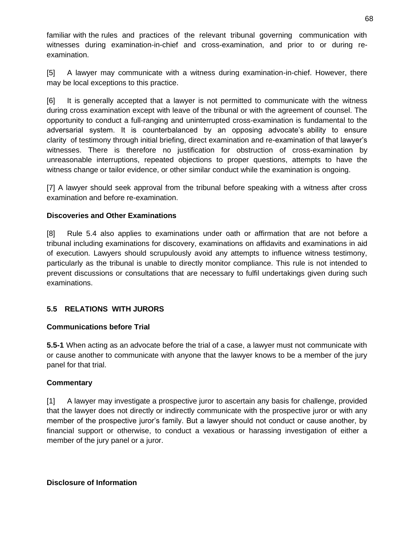familiar with the rules and practices of the relevant tribunal governing communication with witnesses during examination-in-chief and cross-examination, and prior to or during reexamination.

[5] A lawyer may communicate with a witness during examination-in-chief. However, there may be local exceptions to this practice.

[6] It is generally accepted that a lawyer is not permitted to communicate with the witness during cross examination except with leave of the tribunal or with the agreement of counsel. The opportunity to conduct a full-ranging and uninterrupted cross-examination is fundamental to the adversarial system. It is counterbalanced by an opposing advocate's ability to ensure clarity of testimony through initial briefing, direct examination and re-examination of that lawyer's witnesses. There is therefore no justification for obstruction of cross-examination by unreasonable interruptions, repeated objections to proper questions, attempts to have the witness change or tailor evidence, or other similar conduct while the examination is ongoing.

[7] A lawyer should seek approval from the tribunal before speaking with a witness after cross examination and before re-examination.

#### **Discoveries and Other Examinations**

[8] Rule 5.4 also applies to examinations under oath or affirmation that are not before a tribunal including examinations for discovery, examinations on affidavits and examinations in aid of execution. Lawyers should scrupulously avoid any attempts to influence witness testimony, particularly as the tribunal is unable to directly monitor compliance. This rule is not intended to prevent discussions or consultations that are necessary to fulfil undertakings given during such examinations.

# **5.5 RELATIONS WITH JURORS**

# **Communications before Trial**

**5.5-1** When acting as an advocate before the trial of a case, a lawyer must not communicate with or cause another to communicate with anyone that the lawyer knows to be a member of the jury panel for that trial.

#### **Commentary**

[1] A lawyer may investigate a prospective juror to ascertain any basis for challenge, provided that the lawyer does not directly or indirectly communicate with the prospective juror or with any member of the prospective juror's family. But a lawyer should not conduct or cause another, by financial support or otherwise, to conduct a vexatious or harassing investigation of either a member of the jury panel or a juror.

**Disclosure of Information**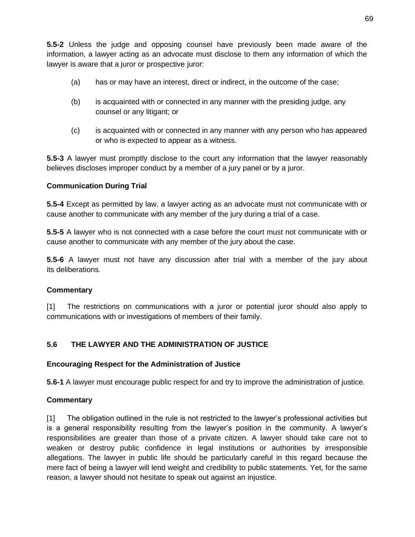**5.5-2** Unless the judge and opposing counsel have previously been made aware of the information, a lawyer acting as an advocate must disclose to them any information of which the lawyer is aware that a juror or prospective juror:

- (a) has or may have an interest, direct or indirect, in the outcome of the case;
- (b) is acquainted with or connected in any manner with the presiding judge, any counsel or any litigant; or
- (c) is acquainted with or connected in any manner with any person who has appeared or who is expected to appear as a witness.

**5.5-3** A lawyer must promptly disclose to the court any information that the lawyer reasonably believes discloses improper conduct by a member of a jury panel or by a juror.

# **Communication During Trial**

**5.5-4** Except as permitted by law, a lawyer acting as an advocate must not communicate with or cause another to communicate with any member of the jury during a trial of a case.

**5.5-5** A lawyer who is not connected with a case before the court must not communicate with or cause another to communicate with any member of the jury about the case.

**5.5-6** A lawyer must not have any discussion after trial with a member of the jury about its deliberations.

# **Commentary**

[1] The restrictions on communications with a juror or potential juror should also apply to communications with or investigations of members of their family.

# **5.6 THE LAWYER AND THE ADMINISTRATION OF JUSTICE**

# **Encouraging Respect for the Administration of Justice**

**5.6-1** A lawyer must encourage public respect for and try to improve the administration of justice.

# **Commentary**

[1] The obligation outlined in the rule is not restricted to the lawyer's professional activities but is a general responsibility resulting from the lawyer's position in the community. A lawyer's responsibilities are greater than those of a private citizen. A lawyer should take care not to weaken or destroy public confidence in legal institutions or authorities by irresponsible allegations. The lawyer in public life should be particularly careful in this regard because the mere fact of being a lawyer will lend weight and credibility to public statements. Yet, for the same reason, a lawyer should not hesitate to speak out against an injustice.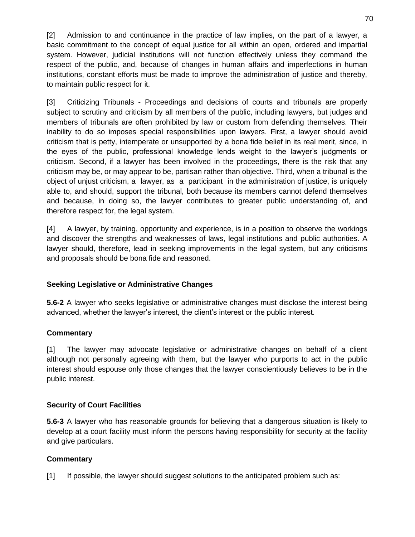[2] Admission to and continuance in the practice of law implies, on the part of a lawyer, a basic commitment to the concept of equal justice for all within an open, ordered and impartial system. However, judicial institutions will not function effectively unless they command the respect of the public, and, because of changes in human affairs and imperfections in human institutions, constant efforts must be made to improve the administration of justice and thereby, to maintain public respect for it.

[3] Criticizing Tribunals - Proceedings and decisions of courts and tribunals are properly subject to scrutiny and criticism by all members of the public, including lawyers, but judges and members of tribunals are often prohibited by law or custom from defending themselves. Their inability to do so imposes special responsibilities upon lawyers. First, a lawyer should avoid criticism that is petty, intemperate or unsupported by a bona fide belief in its real merit, since, in the eyes of the public, professional knowledge lends weight to the lawyer's judgments or criticism. Second, if a lawyer has been involved in the proceedings, there is the risk that any criticism may be, or may appear to be, partisan rather than objective. Third, when a tribunal is the object of unjust criticism, a lawyer, as a participant in the administration of justice, is uniquely able to, and should, support the tribunal, both because its members cannot defend themselves and because, in doing so, the lawyer contributes to greater public understanding of, and therefore respect for, the legal system.

[4] A lawyer, by training, opportunity and experience, is in a position to observe the workings and discover the strengths and weaknesses of laws, legal institutions and public authorities. A lawyer should, therefore, lead in seeking improvements in the legal system, but any criticisms and proposals should be bona fide and reasoned.

#### **Seeking Legislative or Administrative Changes**

**5.6-2** A lawyer who seeks legislative or administrative changes must disclose the interest being advanced, whether the lawyer's interest, the client's interest or the public interest.

#### **Commentary**

[1] The lawyer may advocate legislative or administrative changes on behalf of a client although not personally agreeing with them, but the lawyer who purports to act in the public interest should espouse only those changes that the lawyer conscientiously believes to be in the public interest.

#### **Security of Court Facilities**

**5.6-3** A lawyer who has reasonable grounds for believing that a dangerous situation is likely to develop at a court facility must inform the persons having responsibility for security at the facility and give particulars.

## **Commentary**

[1] If possible, the lawyer should suggest solutions to the anticipated problem such as: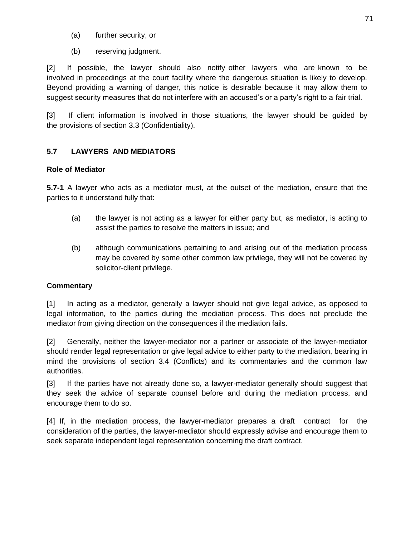- (a) further security, or
- (b) reserving judgment.

[2] If possible, the lawyer should also notify other lawyers who are known to be involved in proceedings at the court facility where the dangerous situation is likely to develop. Beyond providing a warning of danger, this notice is desirable because it may allow them to suggest security measures that do not interfere with an accused's or a party's right to a fair trial.

[3] If client information is involved in those situations, the lawyer should be guided by the provisions of section 3.3 (Confidentiality).

# **5.7 LAWYERS AND MEDIATORS**

## **Role of Mediator**

**5.7-1** A lawyer who acts as a mediator must, at the outset of the mediation, ensure that the parties to it understand fully that:

- (a) the lawyer is not acting as a lawyer for either party but, as mediator, is acting to assist the parties to resolve the matters in issue; and
- (b) although communications pertaining to and arising out of the mediation process may be covered by some other common law privilege, they will not be covered by solicitor-client privilege.

# **Commentary**

[1] In acting as a mediator, generally a lawyer should not give legal advice, as opposed to legal information, to the parties during the mediation process. This does not preclude the mediator from giving direction on the consequences if the mediation fails.

[2] Generally, neither the lawyer-mediator nor a partner or associate of the lawyer-mediator should render legal representation or give legal advice to either party to the mediation, bearing in mind the provisions of section 3.4 (Conflicts) and its commentaries and the common law authorities.

[3] If the parties have not already done so, a lawyer-mediator generally should suggest that they seek the advice of separate counsel before and during the mediation process, and encourage them to do so.

[4] If, in the mediation process, the lawyer-mediator prepares a draft contract for the consideration of the parties, the lawyer-mediator should expressly advise and encourage them to seek separate independent legal representation concerning the draft contract.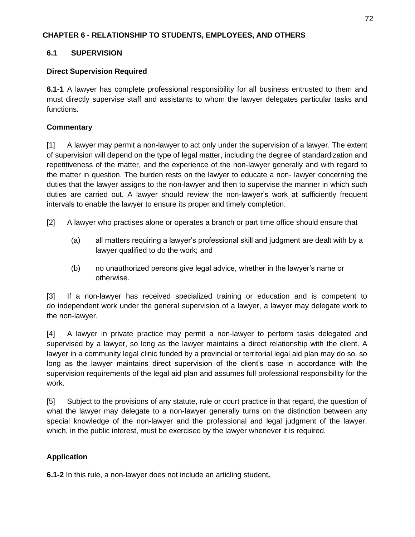#### **CHAPTER 6 - RELATIONSHIP TO STUDENTS, EMPLOYEES, AND OTHERS**

#### **6.1 SUPERVISION**

#### **Direct Supervision Required**

**6.1-1** A lawyer has complete professional responsibility for all business entrusted to them and must directly supervise staff and assistants to whom the lawyer delegates particular tasks and functions.

#### **Commentary**

[1] A lawyer may permit a non-lawyer to act only under the supervision of a lawyer. The extent of supervision will depend on the type of legal matter, including the degree of standardization and repetitiveness of the matter, and the experience of the non-lawyer generally and with regard to the matter in question. The burden rests on the lawyer to educate a non- lawyer concerning the duties that the lawyer assigns to the non-lawyer and then to supervise the manner in which such duties are carried out. A lawyer should review the non-lawyer's work at sufficiently frequent intervals to enable the lawyer to ensure its proper and timely completion.

- [2] A lawyer who practises alone or operates a branch or part time office should ensure that
	- (a) all matters requiring a lawyer's professional skill and judgment are dealt with by a lawyer qualified to do the work; and
	- (b) no unauthorized persons give legal advice, whether in the lawyer's name or otherwise.

[3] If a non-lawyer has received specialized training or education and is competent to do independent work under the general supervision of a lawyer, a lawyer may delegate work to the non-lawyer.

[4] A lawyer in private practice may permit a non-lawyer to perform tasks delegated and supervised by a lawyer, so long as the lawyer maintains a direct relationship with the client. A lawyer in a community legal clinic funded by a provincial or territorial legal aid plan may do so, so long as the lawyer maintains direct supervision of the client's case in accordance with the supervision requirements of the legal aid plan and assumes full professional responsibility for the work.

[5] Subject to the provisions of any statute, rule or court practice in that regard, the question of what the lawyer may delegate to a non-lawyer generally turns on the distinction between any special knowledge of the non-lawyer and the professional and legal judgment of the lawyer, which, in the public interest, must be exercised by the lawyer whenever it is required.

## **Application**

**6.1-2** In this rule, a non-lawyer does not include an articling student**.**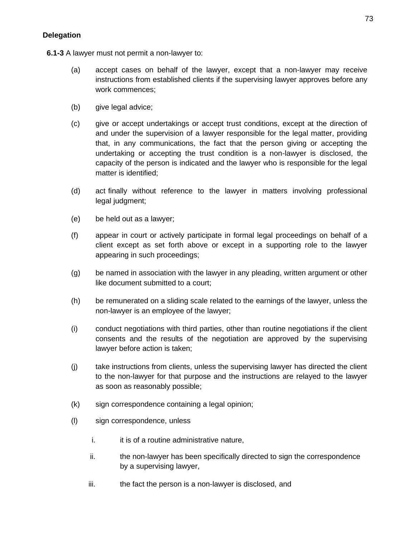**6.1-3** A lawyer must not permit a non-lawyer to:

- (a) accept cases on behalf of the lawyer, except that a non-lawyer may receive instructions from established clients if the supervising lawyer approves before any work commences;
- (b) give legal advice;
- (c) give or accept undertakings or accept trust conditions, except at the direction of and under the supervision of a lawyer responsible for the legal matter, providing that, in any communications, the fact that the person giving or accepting the undertaking or accepting the trust condition is a non-lawyer is disclosed, the capacity of the person is indicated and the lawyer who is responsible for the legal matter is identified;
- (d) act finally without reference to the lawyer in matters involving professional legal judgment;
- (e) be held out as a lawyer;
- (f) appear in court or actively participate in formal legal proceedings on behalf of a client except as set forth above or except in a supporting role to the lawyer appearing in such proceedings;
- (g) be named in association with the lawyer in any pleading, written argument or other like document submitted to a court;
- (h) be remunerated on a sliding scale related to the earnings of the lawyer, unless the non-lawyer is an employee of the lawyer;
- (i) conduct negotiations with third parties, other than routine negotiations if the client consents and the results of the negotiation are approved by the supervising lawyer before action is taken;
- (j) take instructions from clients, unless the supervising lawyer has directed the client to the non-lawyer for that purpose and the instructions are relayed to the lawyer as soon as reasonably possible;
- (k) sign correspondence containing a legal opinion;
- (l) sign correspondence, unless
	- i. it is of a routine administrative nature,
	- ii. the non-lawyer has been specifically directed to sign the correspondence by a supervising lawyer,
	- iii. the fact the person is a non-lawyer is disclosed, and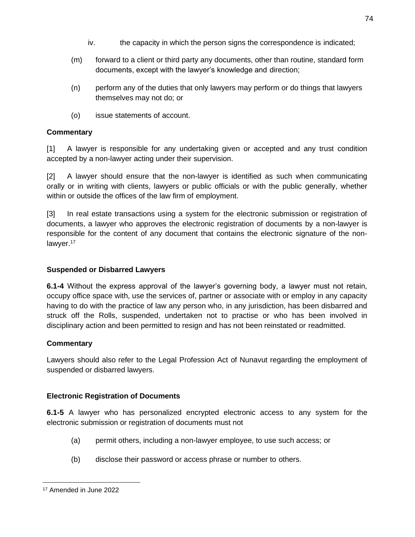- iv. the capacity in which the person signs the correspondence is indicated;
- (m) forward to a client or third party any documents, other than routine, standard form documents, except with the lawyer's knowledge and direction;
- (n) perform any of the duties that only lawyers may perform or do things that lawyers themselves may not do; or
- (o) issue statements of account.

[1] A lawyer is responsible for any undertaking given or accepted and any trust condition accepted by a non-lawyer acting under their supervision.

[2] A lawyer should ensure that the non-lawyer is identified as such when communicating orally or in writing with clients, lawyers or public officials or with the public generally, whether within or outside the offices of the law firm of employment.

[3] In real estate transactions using a system for the electronic submission or registration of documents, a lawyer who approves the electronic registration of documents by a non-lawyer is responsible for the content of any document that contains the electronic signature of the nonlawyer.<sup>17</sup>

## **Suspended or Disbarred Lawyers**

**6.1-4** Without the express approval of the lawyer's governing body, a lawyer must not retain, occupy office space with, use the services of, partner or associate with or employ in any capacity having to do with the practice of law any person who, in any jurisdiction, has been disbarred and struck off the Rolls, suspended, undertaken not to practise or who has been involved in disciplinary action and been permitted to resign and has not been reinstated or readmitted.

# **Commentary**

Lawyers should also refer to the Legal Profession Act of Nunavut regarding the employment of suspended or disbarred lawyers.

# **Electronic Registration of Documents**

**6.1-5** A lawyer who has personalized encrypted electronic access to any system for the electronic submission or registration of documents must not

- (a) permit others, including a non-lawyer employee, to use such access; or
- (b) disclose their password or access phrase or number to others.

74

<sup>17</sup> Amended in June 2022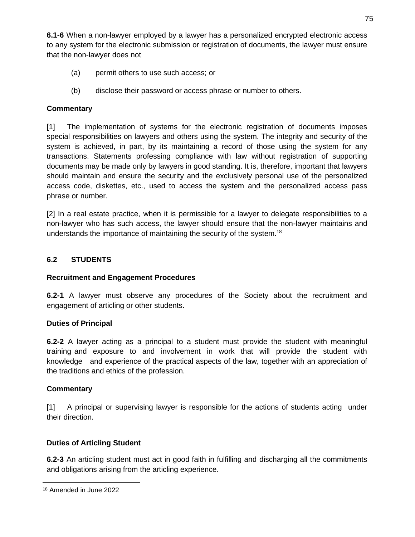**6.1-6** When a non-lawyer employed by a lawyer has a personalized encrypted electronic access to any system for the electronic submission or registration of documents, the lawyer must ensure that the non-lawyer does not

- (a) permit others to use such access; or
- (b) disclose their password or access phrase or number to others.

## **Commentary**

[1] The implementation of systems for the electronic registration of documents imposes special responsibilities on lawyers and others using the system. The integrity and security of the system is achieved, in part, by its maintaining a record of those using the system for any transactions. Statements professing compliance with law without registration of supporting documents may be made only by lawyers in good standing. It is, therefore, important that lawyers should maintain and ensure the security and the exclusively personal use of the personalized access code, diskettes, etc., used to access the system and the personalized access pass phrase or number.

[2] In a real estate practice, when it is permissible for a lawyer to delegate responsibilities to a non-lawyer who has such access, the lawyer should ensure that the non-lawyer maintains and understands the importance of maintaining the security of the system.<sup>18</sup>

## **6.2 STUDENTS**

## **Recruitment and Engagement Procedures**

**6.2-1** A lawyer must observe any procedures of the Society about the recruitment and engagement of articling or other students.

## **Duties of Principal**

**6.2-2** A lawyer acting as a principal to a student must provide the student with meaningful training and exposure to and involvement in work that will provide the student with knowledge and experience of the practical aspects of the law, together with an appreciation of the traditions and ethics of the profession.

## **Commentary**

[1] A principal or supervising lawyer is responsible for the actions of students acting under their direction.

## **Duties of Articling Student**

**6.2-3** An articling student must act in good faith in fulfilling and discharging all the commitments and obligations arising from the articling experience.

<sup>18</sup> Amended in June 2022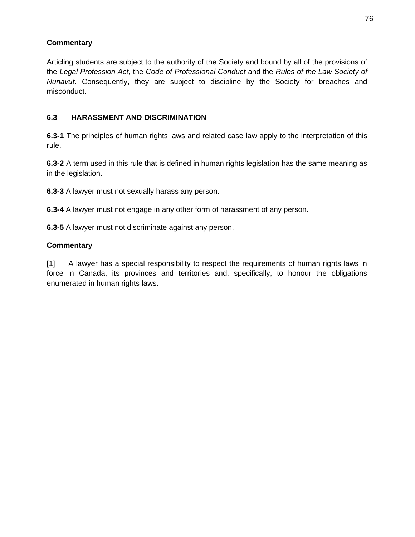Articling students are subject to the authority of the Society and bound by all of the provisions of the *Legal Profession Act*, the *Code of Professional Conduct* and the *Rules of the Law Society of Nunavut*. Consequently, they are subject to discipline by the Society for breaches and misconduct.

## **6.3 HARASSMENT AND DISCRIMINATION**

**6.3-1** The principles of human rights laws and related case law apply to the interpretation of this rule.

**6.3-2** A term used in this rule that is defined in human rights legislation has the same meaning as in the legislation.

**6.3-3** A lawyer must not sexually harass any person.

**6.3-4** A lawyer must not engage in any other form of harassment of any person.

**6.3-5** A lawyer must not discriminate against any person.

#### **Commentary**

[1] A lawyer has a special responsibility to respect the requirements of human rights laws in force in Canada, its provinces and territories and, specifically, to honour the obligations enumerated in human rights laws.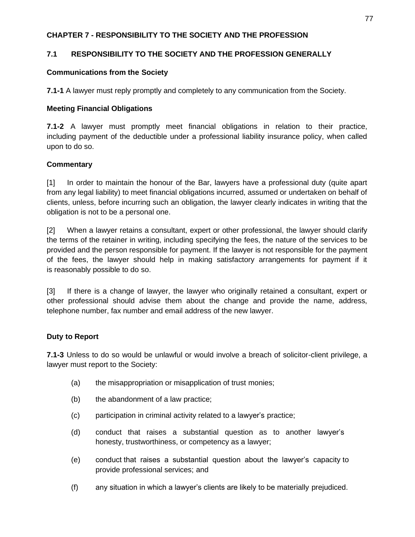#### **CHAPTER 7 - RESPONSIBILITY TO THE SOCIETY AND THE PROFESSION**

## **7.1 RESPONSIBILITY TO THE SOCIETY AND THE PROFESSION GENERALLY**

#### **Communications from the Society**

**7.1-1** A lawyer must reply promptly and completely to any communication from the Society.

#### **Meeting Financial Obligations**

**7.1-2** A lawyer must promptly meet financial obligations in relation to their practice, including payment of the deductible under a professional liability insurance policy, when called upon to do so.

#### **Commentary**

[1] In order to maintain the honour of the Bar, lawyers have a professional duty (quite apart from any legal liability) to meet financial obligations incurred, assumed or undertaken on behalf of clients, unless, before incurring such an obligation, the lawyer clearly indicates in writing that the obligation is not to be a personal one.

[2] When a lawyer retains a consultant, expert or other professional, the lawyer should clarify the terms of the retainer in writing, including specifying the fees, the nature of the services to be provided and the person responsible for payment. If the lawyer is not responsible for the payment of the fees, the lawyer should help in making satisfactory arrangements for payment if it is reasonably possible to do so.

[3] If there is a change of lawyer, the lawyer who originally retained a consultant, expert or other professional should advise them about the change and provide the name, address, telephone number, fax number and email address of the new lawyer.

#### **Duty to Report**

**7.1-3** Unless to do so would be unlawful or would involve a breach of solicitor-client privilege, a lawyer must report to the Society:

- (a) the misappropriation or misapplication of trust monies;
- (b) the abandonment of a law practice;
- (c) participation in criminal activity related to a lawyer's practice;
- (d) conduct that raises a substantial question as to another lawyer's honesty, trustworthiness, or competency as a lawyer;
- (e) conduct that raises a substantial question about the lawyer's capacity to provide professional services; and
- (f) any situation in which a lawyer's clients are likely to be materially prejudiced.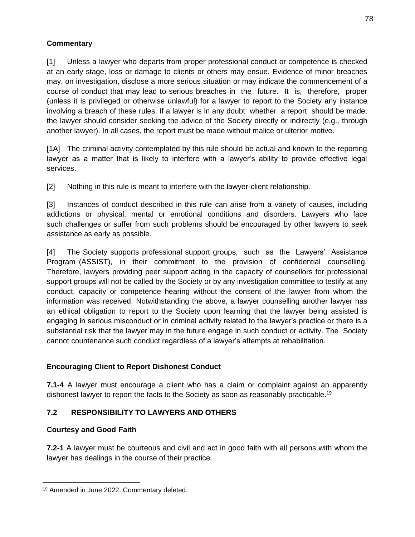[1] Unless a lawyer who departs from proper professional conduct or competence is checked at an early stage, loss or damage to clients or others may ensue. Evidence of minor breaches may, on investigation, disclose a more serious situation or may indicate the commencement of a course of conduct that may lead to serious breaches in the future. It is, therefore, proper (unless it is privileged or otherwise unlawful) for a lawyer to report to the Society any instance involving a breach of these rules. If a lawyer is in any doubt whether a report should be made, the lawyer should consider seeking the advice of the Society directly or indirectly (e.g., through another lawyer). In all cases, the report must be made without malice or ulterior motive.

[1A] The criminal activity contemplated by this rule should be actual and known to the reporting lawyer as a matter that is likely to interfere with a lawyer's ability to provide effective legal services.

[2] Nothing in this rule is meant to interfere with the lawyer-client relationship.

[3] Instances of conduct described in this rule can arise from a variety of causes, including addictions or physical, mental or emotional conditions and disorders. Lawyers who face such challenges or suffer from such problems should be encouraged by other lawyers to seek assistance as early as possible.

[4] The Society supports professional support groups, such as the Lawyers' Assistance Program (ASSIST), in their commitment to the provision of confidential counselling. Therefore, lawyers providing peer support acting in the capacity of counsellors for professional support groups will not be called by the Society or by any investigation committee to testify at any conduct, capacity or competence hearing without the consent of the lawyer from whom the information was received. Notwithstanding the above, a lawyer counselling another lawyer has an ethical obligation to report to the Society upon learning that the lawyer being assisted is engaging in serious misconduct or in criminal activity related to the lawyer's practice or there is a substantial risk that the lawyer may in the future engage in such conduct or activity. The Society cannot countenance such conduct regardless of a lawyer's attempts at rehabilitation.

## **Encouraging Client to Report Dishonest Conduct**

**7.1-4** A lawyer must encourage a client who has a claim or complaint against an apparently dishonest lawyer to report the facts to the Society as soon as reasonably practicable.<sup>19</sup>

# **7.2 RESPONSIBILITY TO LAWYERS AND OTHERS**

## **Courtesy and Good Faith**

**7.2-1** A lawyer must be courteous and civil and act in good faith with all persons with whom the lawyer has dealings in the course of their practice.

<sup>19</sup> Amended in June 2022. Commentary deleted.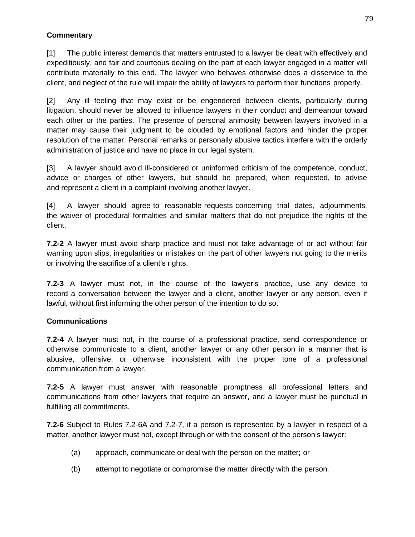[1] The public interest demands that matters entrusted to a lawyer be dealt with effectively and expeditiously, and fair and courteous dealing on the part of each lawyer engaged in a matter will contribute materially to this end. The lawyer who behaves otherwise does a disservice to the client, and neglect of the rule will impair the ability of lawyers to perform their functions properly.

[2] Any ill feeling that may exist or be engendered between clients, particularly during litigation, should never be allowed to influence lawyers in their conduct and demeanour toward each other or the parties. The presence of personal animosity between lawyers involved in a matter may cause their judgment to be clouded by emotional factors and hinder the proper resolution of the matter. Personal remarks or personally abusive tactics interfere with the orderly administration of justice and have no place in our legal system.

[3] A lawyer should avoid ill-considered or uninformed criticism of the competence, conduct, advice or charges of other lawyers, but should be prepared, when requested, to advise and represent a client in a complaint involving another lawyer.

[4] A lawyer should agree to reasonable requests concerning trial dates, adjournments, the waiver of procedural formalities and similar matters that do not prejudice the rights of the client.

**7.2-2** A lawyer must avoid sharp practice and must not take advantage of or act without fair warning upon slips, irregularities or mistakes on the part of other lawyers not going to the merits or involving the sacrifice of a client's rights.

**7.2-3** A lawyer must not, in the course of the lawyer's practice, use any device to record a conversation between the lawyer and a client, another lawyer or any person, even if lawful, without first informing the other person of the intention to do so.

## **Communications**

**7.2-4** A lawyer must not, in the course of a professional practice, send correspondence or otherwise communicate to a client, another lawyer or any other person in a manner that is abusive, offensive, or otherwise inconsistent with the proper tone of a professional communication from a lawyer.

**7.2-5** A lawyer must answer with reasonable promptness all professional letters and communications from other lawyers that require an answer, and a lawyer must be punctual in fulfilling all commitments.

**7.2-6** Subject to Rules 7.2-6A and 7.2-7, if a person is represented by a lawyer in respect of a matter, another lawyer must not, except through or with the consent of the person's lawyer:

- (a) approach, communicate or deal with the person on the matter; or
- (b) attempt to negotiate or compromise the matter directly with the person.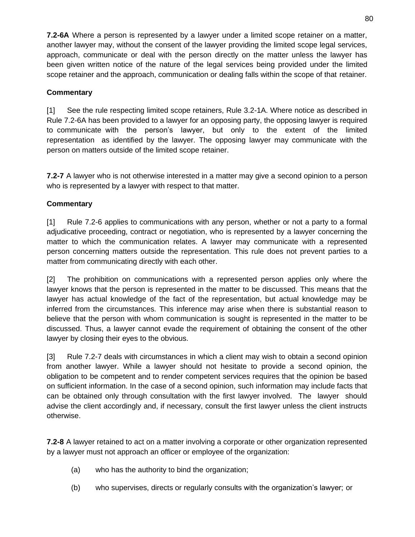**7.2-6A** Where a person is represented by a lawyer under a limited scope retainer on a matter, another lawyer may, without the consent of the lawyer providing the limited scope legal services, approach, communicate or deal with the person directly on the matter unless the lawyer has been given written notice of the nature of the legal services being provided under the limited scope retainer and the approach, communication or dealing falls within the scope of that retainer.

## **Commentary**

[1] See the rule respecting limited scope retainers, Rule 3.2-1A. Where notice as described in Rule 7.2-6A has been provided to a lawyer for an opposing party, the opposing lawyer is required to communicate with the person's lawyer, but only to the extent of the limited representation as identified by the lawyer. The opposing lawyer may communicate with the person on matters outside of the limited scope retainer.

**7.2-7** A lawyer who is not otherwise interested in a matter may give a second opinion to a person who is represented by a lawyer with respect to that matter.

## **Commentary**

[1] Rule 7.2-6 applies to communications with any person, whether or not a party to a formal adjudicative proceeding, contract or negotiation, who is represented by a lawyer concerning the matter to which the communication relates. A lawyer may communicate with a represented person concerning matters outside the representation. This rule does not prevent parties to a matter from communicating directly with each other.

[2] The prohibition on communications with a represented person applies only where the lawyer knows that the person is represented in the matter to be discussed. This means that the lawyer has actual knowledge of the fact of the representation, but actual knowledge may be inferred from the circumstances. This inference may arise when there is substantial reason to believe that the person with whom communication is sought is represented in the matter to be discussed. Thus, a lawyer cannot evade the requirement of obtaining the consent of the other lawyer by closing their eyes to the obvious.

[3] Rule 7.2-7 deals with circumstances in which a client may wish to obtain a second opinion from another lawyer. While a lawyer should not hesitate to provide a second opinion, the obligation to be competent and to render competent services requires that the opinion be based on sufficient information. In the case of a second opinion, such information may include facts that can be obtained only through consultation with the first lawyer involved. The lawyer should advise the client accordingly and, if necessary, consult the first lawyer unless the client instructs otherwise.

**7.2-8** A lawyer retained to act on a matter involving a corporate or other organization represented by a lawyer must not approach an officer or employee of the organization:

- (a) who has the authority to bind the organization;
- (b) who supervises, directs or regularly consults with the organization's lawyer; or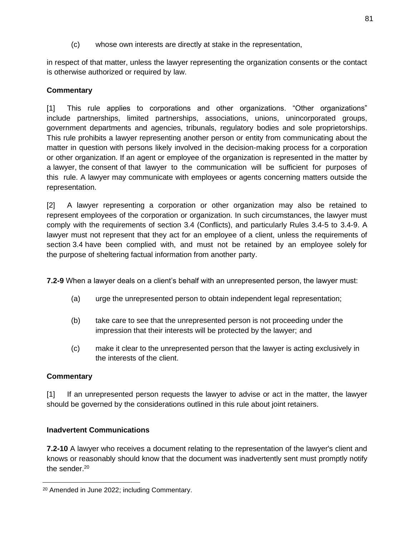(c) whose own interests are directly at stake in the representation,

in respect of that matter, unless the lawyer representing the organization consents or the contact is otherwise authorized or required by law.

# **Commentary**

[1] This rule applies to corporations and other organizations. "Other organizations" include partnerships, limited partnerships, associations, unions, unincorporated groups, government departments and agencies, tribunals, regulatory bodies and sole proprietorships. This rule prohibits a lawyer representing another person or entity from communicating about the matter in question with persons likely involved in the decision-making process for a corporation or other organization. If an agent or employee of the organization is represented in the matter by a lawyer, the consent of that lawyer to the communication will be sufficient for purposes of this rule. A lawyer may communicate with employees or agents concerning matters outside the representation.

[2] A lawyer representing a corporation or other organization may also be retained to represent employees of the corporation or organization. In such circumstances, the lawyer must comply with the requirements of section 3.4 (Conflicts), and particularly Rules 3.4-5 to 3.4-9. A lawyer must not represent that they act for an employee of a client, unless the requirements of section 3.4 have been complied with, and must not be retained by an employee solely for the purpose of sheltering factual information from another party.

**7.2-9** When a lawyer deals on a client's behalf with an unrepresented person, the lawyer must:

- (a) urge the unrepresented person to obtain independent legal representation;
- (b) take care to see that the unrepresented person is not proceeding under the impression that their interests will be protected by the lawyer; and
- (c) make it clear to the unrepresented person that the lawyer is acting exclusively in the interests of the client.

# **Commentary**

[1] If an unrepresented person requests the lawyer to advise or act in the matter, the lawyer should be governed by the considerations outlined in this rule about joint retainers.

# **Inadvertent Communications**

**7.2-10** A lawyer who receives a document relating to the representation of the lawyer's client and knows or reasonably should know that the document was inadvertently sent must promptly notify the sender. $20$ 

<sup>&</sup>lt;sup>20</sup> Amended in June 2022; including Commentary.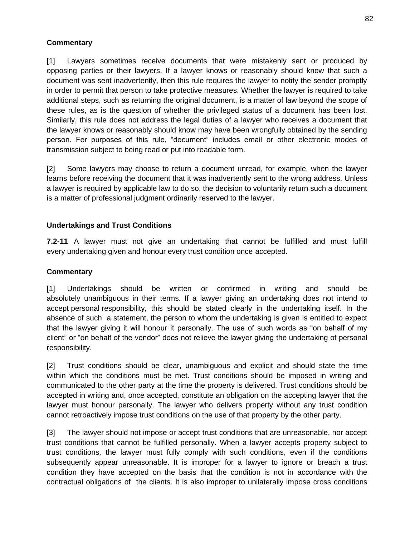[1] Lawyers sometimes receive documents that were mistakenly sent or produced by opposing parties or their lawyers. If a lawyer knows or reasonably should know that such a document was sent inadvertently, then this rule requires the lawyer to notify the sender promptly in order to permit that person to take protective measures. Whether the lawyer is required to take additional steps, such as returning the original document, is a matter of law beyond the scope of these rules, as is the question of whether the privileged status of a document has been lost. Similarly, this rule does not address the legal duties of a lawyer who receives a document that the lawyer knows or reasonably should know may have been wrongfully obtained by the sending person. For purposes of this rule, "document" includes email or other electronic modes of transmission subject to being read or put into readable form.

[2] Some lawyers may choose to return a document unread, for example, when the lawyer learns before receiving the document that it was inadvertently sent to the wrong address. Unless a lawyer is required by applicable law to do so, the decision to voluntarily return such a document is a matter of professional judgment ordinarily reserved to the lawyer.

## **Undertakings and Trust Conditions**

**7.2-11** A lawyer must not give an undertaking that cannot be fulfilled and must fulfill every undertaking given and honour every trust condition once accepted.

## **Commentary**

[1] Undertakings should be written or confirmed in writing and should be absolutely unambiguous in their terms. If a lawyer giving an undertaking does not intend to accept personal responsibility, this should be stated clearly in the undertaking itself. In the absence of such a statement, the person to whom the undertaking is given is entitled to expect that the lawyer giving it will honour it personally. The use of such words as "on behalf of my client" or "on behalf of the vendor" does not relieve the lawyer giving the undertaking of personal responsibility.

[2] Trust conditions should be clear, unambiguous and explicit and should state the time within which the conditions must be met. Trust conditions should be imposed in writing and communicated to the other party at the time the property is delivered. Trust conditions should be accepted in writing and, once accepted, constitute an obligation on the accepting lawyer that the lawyer must honour personally. The lawyer who delivers property without any trust condition cannot retroactively impose trust conditions on the use of that property by the other party.

[3] The lawyer should not impose or accept trust conditions that are unreasonable, nor accept trust conditions that cannot be fulfilled personally. When a lawyer accepts property subject to trust conditions, the lawyer must fully comply with such conditions, even if the conditions subsequently appear unreasonable. It is improper for a lawyer to ignore or breach a trust condition they have accepted on the basis that the condition is not in accordance with the contractual obligations of the clients. It is also improper to unilaterally impose cross conditions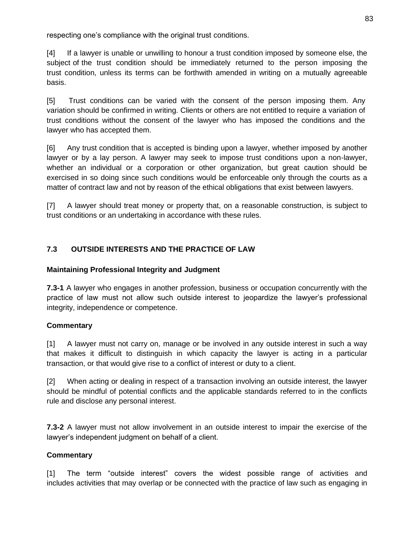respecting one's compliance with the original trust conditions.

[4] If a lawyer is unable or unwilling to honour a trust condition imposed by someone else, the subject of the trust condition should be immediately returned to the person imposing the trust condition, unless its terms can be forthwith amended in writing on a mutually agreeable basis.

[5] Trust conditions can be varied with the consent of the person imposing them. Any variation should be confirmed in writing. Clients or others are not entitled to require a variation of trust conditions without the consent of the lawyer who has imposed the conditions and the lawyer who has accepted them.

[6] Any trust condition that is accepted is binding upon a lawyer, whether imposed by another lawyer or by a lay person. A lawyer may seek to impose trust conditions upon a non-lawyer, whether an individual or a corporation or other organization, but great caution should be exercised in so doing since such conditions would be enforceable only through the courts as a matter of contract law and not by reason of the ethical obligations that exist between lawyers.

[7] A lawyer should treat money or property that, on a reasonable construction, is subject to trust conditions or an undertaking in accordance with these rules.

# **7.3 OUTSIDE INTERESTS AND THE PRACTICE OF LAW**

## **Maintaining Professional Integrity and Judgment**

**7.3-1** A lawyer who engages in another profession, business or occupation concurrently with the practice of law must not allow such outside interest to jeopardize the lawyer's professional integrity, independence or competence.

## **Commentary**

[1] A lawyer must not carry on, manage or be involved in any outside interest in such a way that makes it difficult to distinguish in which capacity the lawyer is acting in a particular transaction, or that would give rise to a conflict of interest or duty to a client.

[2] When acting or dealing in respect of a transaction involving an outside interest, the lawyer should be mindful of potential conflicts and the applicable standards referred to in the conflicts rule and disclose any personal interest.

**7.3-2** A lawyer must not allow involvement in an outside interest to impair the exercise of the lawyer's independent judgment on behalf of a client.

## **Commentary**

[1] The term "outside interest" covers the widest possible range of activities and includes activities that may overlap or be connected with the practice of law such as engaging in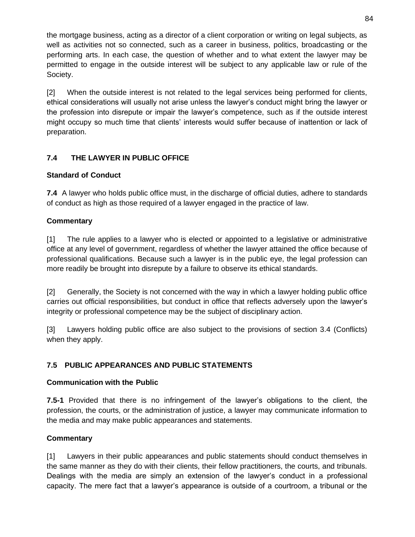the mortgage business, acting as a director of a client corporation or writing on legal subjects, as well as activities not so connected, such as a career in business, politics, broadcasting or the performing arts. In each case, the question of whether and to what extent the lawyer may be permitted to engage in the outside interest will be subject to any applicable law or rule of the Society.

[2] When the outside interest is not related to the legal services being performed for clients, ethical considerations will usually not arise unless the lawyer's conduct might bring the lawyer or the profession into disrepute or impair the lawyer's competence, such as if the outside interest might occupy so much time that clients' interests would suffer because of inattention or lack of preparation.

# **7.4 THE LAWYER IN PUBLIC OFFICE**

## **Standard of Conduct**

**7.4** A lawyer who holds public office must, in the discharge of official duties, adhere to standards of conduct as high as those required of a lawyer engaged in the practice of law.

# **Commentary**

[1] The rule applies to a lawyer who is elected or appointed to a legislative or administrative office at any level of government, regardless of whether the lawyer attained the office because of professional qualifications. Because such a lawyer is in the public eye, the legal profession can more readily be brought into disrepute by a failure to observe its ethical standards.

[2] Generally, the Society is not concerned with the way in which a lawyer holding public office carries out official responsibilities, but conduct in office that reflects adversely upon the lawyer's integrity or professional competence may be the subject of disciplinary action.

[3] Lawyers holding public office are also subject to the provisions of section 3.4 (Conflicts) when they apply.

# **7.5 PUBLIC APPEARANCES AND PUBLIC STATEMENTS**

## **Communication with the Public**

**7.5-1** Provided that there is no infringement of the lawyer's obligations to the client, the profession, the courts, or the administration of justice, a lawyer may communicate information to the media and may make public appearances and statements.

# **Commentary**

[1] Lawyers in their public appearances and public statements should conduct themselves in the same manner as they do with their clients, their fellow practitioners, the courts, and tribunals. Dealings with the media are simply an extension of the lawyer's conduct in a professional capacity. The mere fact that a lawyer's appearance is outside of a courtroom, a tribunal or the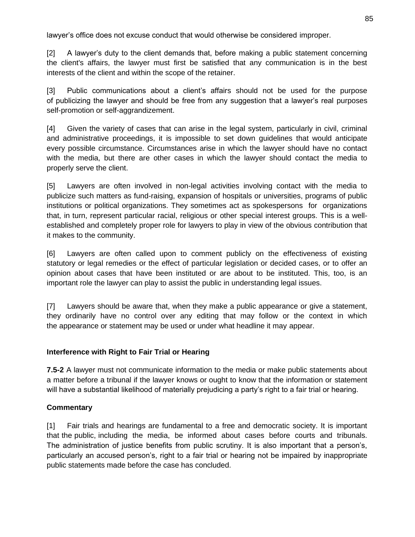lawyer's office does not excuse conduct that would otherwise be considered improper.

[2] A lawyer's duty to the client demands that, before making a public statement concerning the client's affairs, the lawyer must first be satisfied that any communication is in the best interests of the client and within the scope of the retainer.

[3] Public communications about a client's affairs should not be used for the purpose of publicizing the lawyer and should be free from any suggestion that a lawyer's real purposes self-promotion or self-aggrandizement.

[4] Given the variety of cases that can arise in the legal system, particularly in civil, criminal and administrative proceedings, it is impossible to set down guidelines that would anticipate every possible circumstance. Circumstances arise in which the lawyer should have no contact with the media, but there are other cases in which the lawyer should contact the media to properly serve the client.

[5] Lawyers are often involved in non-legal activities involving contact with the media to publicize such matters as fund-raising, expansion of hospitals or universities, programs of public institutions or political organizations. They sometimes act as spokespersons for organizations that, in turn, represent particular racial, religious or other special interest groups. This is a wellestablished and completely proper role for lawyers to play in view of the obvious contribution that it makes to the community.

[6] Lawyers are often called upon to comment publicly on the effectiveness of existing statutory or legal remedies or the effect of particular legislation or decided cases, or to offer an opinion about cases that have been instituted or are about to be instituted. This, too, is an important role the lawyer can play to assist the public in understanding legal issues.

[7] Lawyers should be aware that, when they make a public appearance or give a statement, they ordinarily have no control over any editing that may follow or the context in which the appearance or statement may be used or under what headline it may appear.

## **Interference with Right to Fair Trial or Hearing**

**7.5-2** A lawyer must not communicate information to the media or make public statements about a matter before a tribunal if the lawyer knows or ought to know that the information or statement will have a substantial likelihood of materially prejudicing a party's right to a fair trial or hearing.

## **Commentary**

[1] Fair trials and hearings are fundamental to a free and democratic society. It is important that the public, including the media, be informed about cases before courts and tribunals. The administration of justice benefits from public scrutiny. It is also important that a person's, particularly an accused person's, right to a fair trial or hearing not be impaired by inappropriate public statements made before the case has concluded.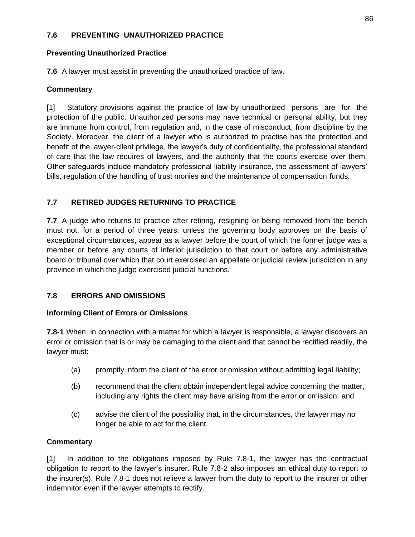#### **7.6 PREVENTING UNAUTHORIZED PRACTICE**

#### **Preventing Unauthorized Practice**

**7.6** A lawyer must assist in preventing the unauthorized practice of law.

#### **Commentary**

[1] Statutory provisions against the practice of law by unauthorized persons are for the protection of the public. Unauthorized persons may have technical or personal ability, but they are immune from control, from regulation and, in the case of misconduct, from discipline by the Society. Moreover, the client of a lawyer who is authorized to practise has the protection and benefit of the lawyer-client privilege, the lawyer's duty of confidentiality, the professional standard of care that the law requires of lawyers, and the authority that the courts exercise over them. Other safeguards include mandatory professional liability insurance, the assessment of lawyers' bills, regulation of the handling of trust monies and the maintenance of compensation funds.

## **7.7 RETIRED JUDGES RETURNING TO PRACTICE**

**7.7** A judge who returns to practice after retiring, resigning or being removed from the bench must not, for a period of three years, unless the governing body approves on the basis of exceptional circumstances, appear as a lawyer before the court of which the former judge was a member or before any courts of inferior jurisdiction to that court or before any administrative board or tribunal over which that court exercised an appellate or judicial review jurisdiction in any province in which the judge exercised judicial functions.

## **7.8 ERRORS AND OMISSIONS**

## **Informing Client of Errors or Omissions**

**7.8-1** When, in connection with a matter for which a lawyer is responsible, a lawyer discovers an error or omission that is or may be damaging to the client and that cannot be rectified readily, the lawyer must:

- (a) promptly inform the client of the error or omission without admitting legal liability;
- (b) recommend that the client obtain independent legal advice concerning the matter, including any rights the client may have arising from the error or omission; and
- (c) advise the client of the possibility that, in the circumstances, the lawyer may no longer be able to act for the client.

## **Commentary**

[1] In addition to the obligations imposed by Rule 7.8-1, the lawyer has the contractual obligation to report to the lawyer's insurer. Rule 7.8-2 also imposes an ethical duty to report to the insurer(s). Rule 7.8-1 does not relieve a lawyer from the duty to report to the insurer or other indemnitor even if the lawyer attempts to rectify.